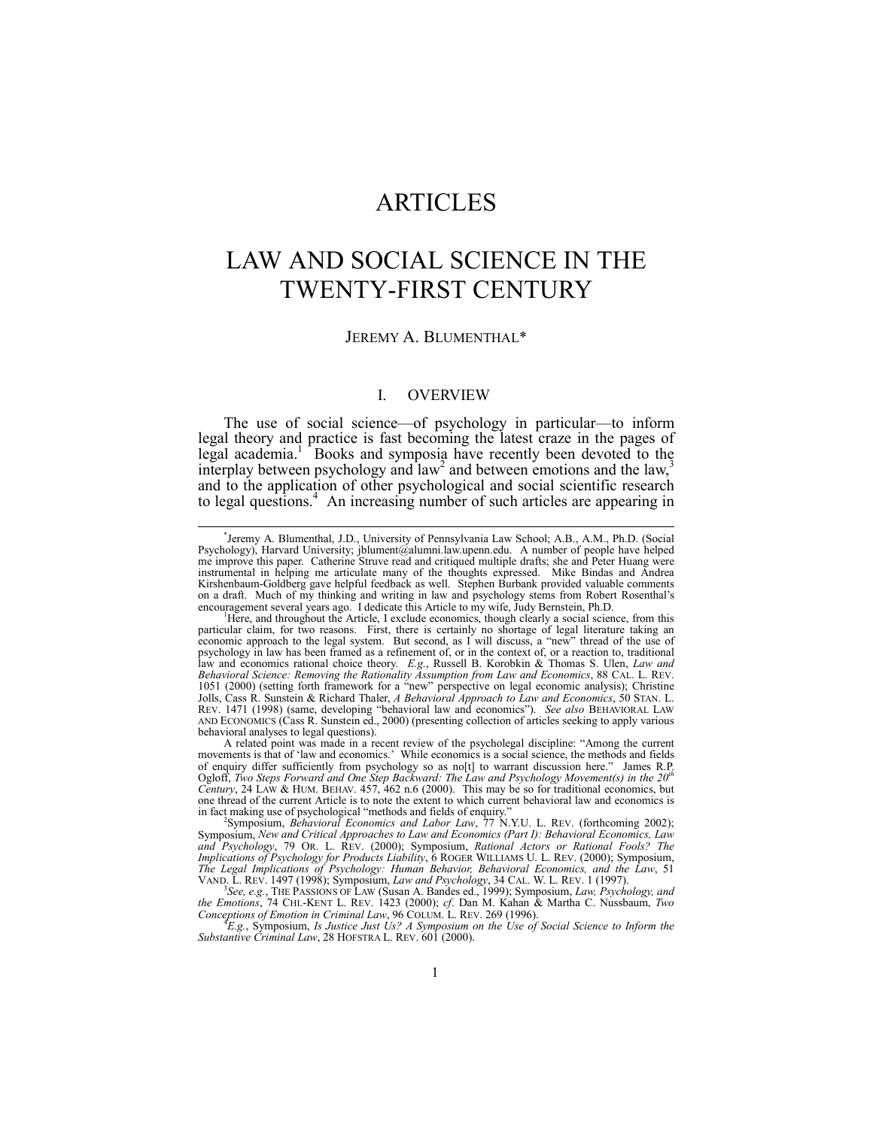## ARTICLES

# LAW AND SOCIAL SCIENCE IN THE TWENTY-FIRST CENTURY

## JEREMY A. BLUMENTHAL\*

## I. OVERVIEW

The use of social science—of psychology in particular—to inform legal theory and practice is fast becoming the latest craze in the pages of legal academia.<sup>1</sup> Books and symposia have recently been devoted to the interplay between psychology and  $law<sup>2</sup>$  and between emotions and the law,<sup>3</sup> and to the application of other psychological and social scientific research to legal questions.<sup>4</sup> An increasing number of such articles are appearing in

 <sup>\*</sup> Jeremy A. Blumenthal, J.D., University of Pennsylvania Law School; A.B., A.M., Ph.D. (Social Psychology), Harvard University; jblument@alumni.law.upenn.edu. A number of people have helped me improve this paper. Catherine Struve read and critiqued multiple drafts; she and Peter Huang were instrumental in helping me articulate many of the thoughts expressed. Mike Bindas and Andrea Kirshenbaum-Goldberg gave helpful feedback as well. Stephen Burbank provided valuable comments on a draft. Much of my thinking and writing in law and psychology stems from Robert Rosenthal's

encouragement several years ago. I dedicate this Article to my wife, Judy Bernstein, Ph.D.<br><sup>1</sup>Here, and throughout the Article, I exclude economics, though clearly a social science, from this particular claim, for two reasons. First, there is certainly no shortage of legal literature taking an economic approach to the legal system. But second, as I will discuss, a "new" thread of the use of psychology in law has been framed as a refinement of, or in the context of, or a reaction to, traditional law and economics rational choice theory. *E.g.*, Russell B. Korobkin & Thomas S. Ulen, *Law and Behavioral Science: Removing the Rationality Assumption from Law and Economics*, 88 CAL. L. REV. 1051 (2000) (setting forth framework for a ìnewî perspective on legal economic analysis); Christine Jolls, Cass R. Sunstein & Richard Thaler, *A Behavioral Approach to Law and Economics*, 50 STAN. L. REV. 1471 (1998) (same, developing "behavioral law and economics"). *See also* BEHAVIORAL LAW<br>AND ECONOMICS (Cass R. Sunstein ed., 2000) (presenting collection of articles seeking to apply various behavioral analyses to legal questions).

A related point was made in a recent review of the psycholegal discipline: "Among the current movements is that of 'law and economics.' While economics is a social science, the methods and fields of enquiry differ sufficiently from psychology so as no[t] to warrant discussion here." James R.P. Ogloff, *Two Steps Forward and One Step Backward: The Law and Psychology Movement(s) in the 20th Century*, 24 LAW & HUM. BEHAV. 457, 462 n.6 (2000). This may be so for traditional economics, but one thread of the current Article is to note the extent to which current behavioral law and economics is in fact making use of psychological "methods and fields of enquiry."<br><sup>2</sup>Symposium, *Behavioral Economics and Labor Law*, 77 N.Y.U. L. REV. (forthcoming 2002);

Symposium, *New and Critical Approaches to Law and Economics (Part I): Behavioral Economics, Law and Psychology*, 79 OR. L. REV. (2000); Symposium, *Rational Actors or Rational Fools? The Implications of Psychology for Products Liability*, 6 ROGER WILLIAMS U. L. REV. (2000); Symposium, *The Legal Implications of Psychology: Human Behavior, Behavioral Economics, and the Law*, 51 VAND. L. REV. 1497 (1998); Symposium, *Law and Psychology*, 34 CAL. W. L. REV. 1 (1997). <sup>3</sup> *See, e.g.*, THE PASSIONS OF LAW (Susan A. Bandes ed., 1999); Symposium, *Law, Psychology, and*

*the Emotions*, 74 CHI.-KENT L. REV. 1423 (2000); *cf*. Dan M. Kahan & Martha C. Nussbaum, *Two Conceptions of Emotion in Criminal Law*, 96 COLUM. L. REV. 269 (1996). <sup>4</sup> *E.g.*, Symposium, *Is Justice Just Us? A Symposium on the Use of Social Science to Inform the*

*Substantive Criminal Law*, 28 HOFSTRA L. REV. 601 (2000).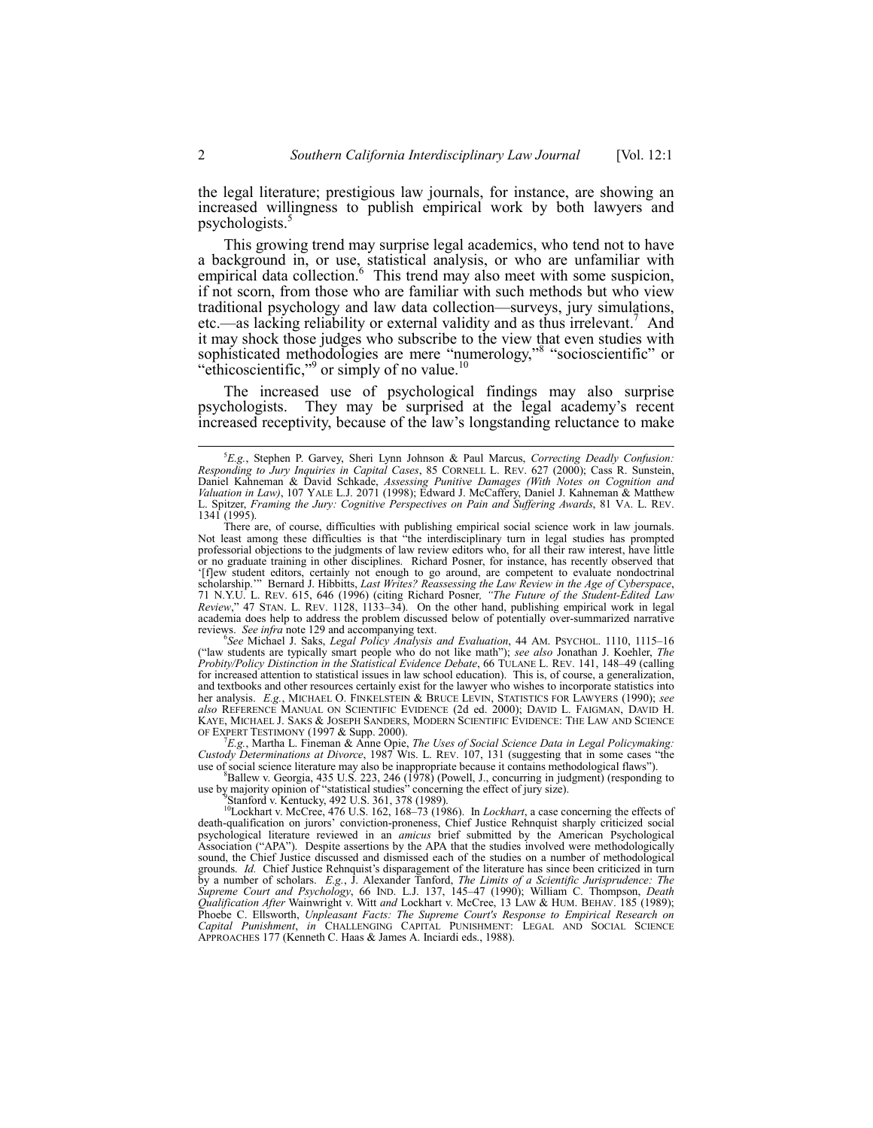the legal literature; prestigious law journals, for instance, are showing an increased willingness to publish empirical work by both lawyers and psychologists.<sup>5</sup>

This growing trend may surprise legal academics, who tend not to have a background in, or use, statistical analysis, or who are unfamiliar with empirical data collection.<sup>6</sup> This trend may also meet with some suspicion, if not scorn, from those who are familiar with such methods but who view traditional psychology and law data collection—surveys, jury simulations, etc.—as lacking reliability or external validity and as thus irrelevant.<sup>7</sup> And it may shock those judges who subscribe to the view that even studies with sophisticated methodologies are mere "numerology,"<sup>8</sup> "socioscientific" or "ethicoscientific,"<sup>9</sup> or simply of no value.<sup>10</sup>

The increased use of psychological findings may also surprise psychologists. They may be surprised at the legal academy's recent increased receptivity, because of the law's longstanding reluctance to make

*See* Michael J. Saks, *Legal Policy Analysis and Evaluation*, 44 AM. PSYCHOL. 1110, 1115-16 (ìlaw students are typically smart people who do not like mathî); *see also* Jonathan J. Koehler, *The Probity/Policy Distinction in the Statistical Evidence Debate*, 66 TULANE L. REV. 141, 148-49 (calling for increased attention to statistical issues in law school education). This is, of course, a generalization, and textbooks and other resources certainly exist for the lawyer who wishes to incorporate statistics into her analysis. *E.g.*, MICHAEL O. FINKELSTEIN & BRUCE LEVIN, STATISTICS FOR LAWYERS (1990); *see also* REFERENCE MANUAL ON SCIENTIFIC EVIDENCE (2d ed. 2000); DAVID L. FAIGMAN, DAVID H. KAYE, MICHAEL J. SAKS & JOSEPH SANDERS, MODERN SCIENTIFIC EVIDENCE: THE LAW AND SCIENCE OF EXPERT TESTIMONY (1997 & Supp. 2000).

*E.g.*, Martha L. Fineman & Anne Opie, *The Uses of Social Science Data in Legal Policymaking:*<br>*Custody Determinations at Divorce*, 1987 WIS. L. REV. 107, 131 (suggesting that in some cases "the use of social science literature may also be inappropriate because it contains methodological flaws").

<sup>8</sup>Ballew v. Georgia, 435 U.S. 223, 246 (1978) (Powell, J., concurring in judgment) (responding to use by majority opinion of "statistical studies" concerning the effect of jury size).

<sup>9</sup>Stanford v. Kentucky, 492 U.S. 361, 378 (1989).<br><sup>10</sup>Lockhart v. McCree, 476 U.S. 162, 168–73 (1986). In *Lockhart*, a case concerning the effects of death-qualification on jurors' conviction-proneness, Chief Justice Rehnquist sharply criticized social psychological literature reviewed in an *amicus* brief submitted by the American Psychological Association ("APA"). Despite assertions by the APA that the studies involved were methodologically sound, the Chief Justice discussed and dismissed each of the studies on a number of methodological grounds. *Id.* Chief Justice Rehnquist's disparagement of the literature has since been criticized in turn by a number of scholars. *E.g.*, J. Alexander Tanford, *The Limits of a Scientific Jurisprudence: The Supreme Court and Psychology*, 66 IND. L.J. 137, 145–47 (1990); William C. Thompson, *Death Qualification After* Wainwright v. Witt *and* Lockhart v. McCree, 13 LAW & HUM. BEHAV. 185 (1989); Phoebe C. Ellsworth, *Unpleasant Facts: The Supreme Court's Response to Empirical Research on Capital Punishment*, *in* CHALLENGING CAPITAL PUNISHMENT: LEGAL AND SOCIAL SCIENCE APPROACHES 177 (Kenneth C. Haas & James A. Inciardi eds., 1988).

 $\frac{1}{5}$ *E.g.*, Stephen P. Garvey, Sheri Lynn Johnson & Paul Marcus, *Correcting Deadly Confusion: Responding to Jury Inquiries in Capital Cases*, 85 CORNELL L. REV. 627 (2000); Cass R. Sunstein, Daniel Kahneman & David Schkade, *Assessing Punitive Damages (With Notes on Cognition and Valuation in Law)*, 107 YALE L.J. 2071 (1998); Edward J. McCaffery, Daniel J. Kahneman & Matthew L. Spitzer, *Framing the Jury: Cognitive Perspectives on Pain and Suffering Awards*, 81 VA. L. REV. 1341 (1995).

There are, of course, difficulties with publishing empirical social science work in law journals. Not least among these difficulties is that <sup>a</sup>the interdisciplinary turn in legal studies has prompted professorial objections to the judgments of law review editors who, for all their raw interest, have little or no graduate training in other disciplines. Richard Posner, for instance, has recently observed that ë[f]ew student editors, certainly not enough to go around, are competent to evaluate nondoctrinal scholarship.íî Bernard J. Hibbitts, *Last Writes? Reassessing the Law Review in the Age of Cyberspace*, 71 N.Y.U. L. REV. 615, 646 (1996) (citing Richard Posner*, ìThe Future of the Student-Edited Law Review*," 47 STAN. L. REV. 1128, 1133–34). On the other hand, publishing empirical work in legal academia does help to address the problem discussed below of potentially over-summarized narrative reviews. *See infra* note 129 and accompanying text.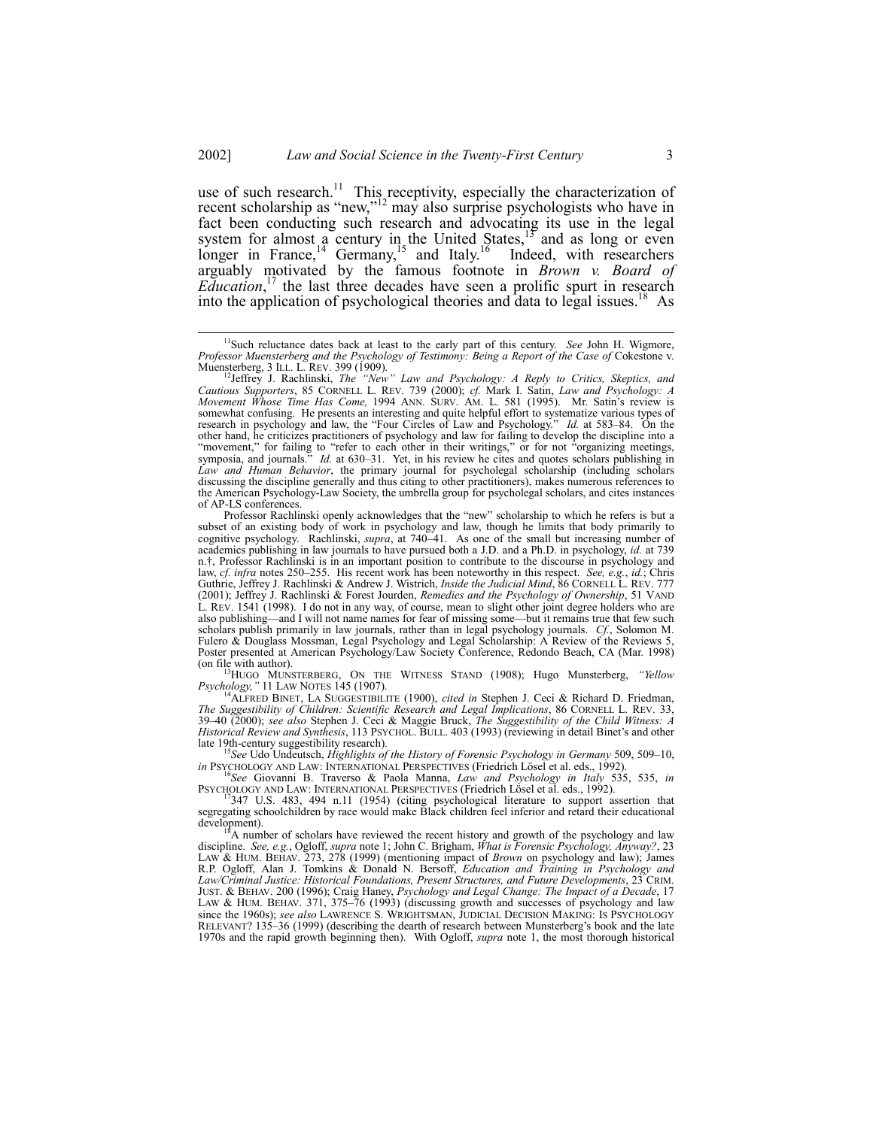use of such research.<sup>11</sup> This receptivity, especially the characterization of recent scholarship as "new," $12$  may also surprise psychologists who have in fact been conducting such research and advocating its use in the legal system for almost a century in the United States, $15$  and as long or even longer in France, $14$  Germany, $15$  and Italy.<sup>16</sup> Indeed, with researchers arguably motivated by the famous footnote in *Brown v. Board of Education*,<sup>17</sup> the last three decades have seen a prolific spurt in research into the application of psychological theories and data to legal issues.<sup>18</sup> As

*Psychology,*<sup>"</sup> 11 LAW NOTES 145 (1907).<br><sup>14</sup>ALFRED BINET, LA SUGGESTIBILITE (1900), *cited in* Stephen J. Ceci & Richard D. Friedman,

The Suggestibility of Children: Scientific Research and Legal Implications, 86 CORNELL L. REV. 33, *JAP 40 (2000)*; *see also* Stephen J. Ceci & Maggie Bruck, *The Suggestibility of the Child Witness: A Historical Review and Synthesis*, 113 PSYCHOL. BULL. 403 (1993) (reviewing in detail Binetís and other late 19th-century suggestibility research).<br>
<sup>15</sup>See Udo Undeutsch, *Highlights of the History of Forensic Psychology in Germany* 509, 509–10,

*in* PSYCHOLOGY AND LAW: INTERNATIONAL PERSPECTIVES (Friedrich Lösel et al. eds., 1992). <sup>16</sup>See Giovanni B. Traverso & Paola Manna, *Law and Psychology in Italy* 535, 535, *in* Psychology *AND* LAW: INTERNATIONAL PERSPECT PSYCHOLOGY AND LAW: INTERNATIONAL PERSPECTIVES (Friedrich Lösel et al. eds., 1992).<br><sup>17</sup>347 U.S. 483, 494 n.11 (1954) (citing psychological literature to support assertion that

segregating schoolchildren by race would make Black children feel inferior and retard their educational development).<br><sup>18</sup>A number of scholars have reviewed the recent history and growth of the psychology and law

discipline. *See, e.g.*, Ogloff, *supra* note 1; John C. Brigham, *What is Forensic Psychology, Anyway?*, 23 LAW & HUM. BEHAV. 273, 278 (1999) (mentioning impact of *Brown* on psychology and law); James R.P. Ogloff, Alan J. Tomkins & Donald N. Bersoff, *Education and Training in Psychology and* Law/Criminal Justice: Historical Foundations, Present Structures, and Future Developments, 23 CRIM.<br>JUST. & BEHAV. 200 (1996); Craig Haney, *Psychology and Legal Change: The Impact of a Decade*, 17 LAW & HUM. BEHAV. 371, 375–76 (1993) (discussing growth and successes of psychology and law since the 1960s); *see also* LAWRENCE S. WRIGHTSMAN, JUDICIAL DECISION MAKING: IS PSYCHOLOGY<br>RELEVANT? 135–36 (1999) (describing the dearth of research between Munsterberg's book and the late 1970s and the rapid growth beginning then). With Ogloff, *supra* note 1, the most thorough historical

<sup>&</sup>lt;sup>11</sup>Such reluctance dates back at least to the early part of this century. *See John H. Wigmore*, *Professor Muensterberg and the Psychology of Testimony: Being a Report of the Case of* Cokestone v. Muensterberg, 3 ILL. L. REV. 399 (1909).<br><sup>12</sup>Jeffrey J. Rachlinski, *The "New" Law and Psychology: A Reply to Critics, Skeptics, and*<br><sup>12</sup>Jeffrey J. Rachlinski, *The "New" Law and Psychology: A Reply to Critics, Skeptics,* 

*Cautious Supporters*, 85 CORNELL L. REV. 739 (2000); *cf.* Mark I. Satin, *Law and Psychology: A Movement Whose Time Has Come,* 1994 ANN. SURV. AM. L. 581 (1995). Mr. Satinís review is somewhat confusing. He presents an interesting and quite helpful effort to systematize various types of research in psychology and law, the "Four Circles of Law and Psychology." *Id.* at 583–84. On the other hand, he criticizes practitioners of psychology and law for failing to develop the discipline into a "movement," for failing to "refer to each other in their writings," or for not "organizing meetings, symposia, and journals.<sup>3</sup> *Id.* at 630–31. Yet, in his review he cites and quotes scholars publishing in *Law and Human Behavior*, the primary journal for psycholegal scholarship (including scholars discussing the discipline generally and thus citing to other practitioners), makes numerous references to the American Psychology-Law Society, the umbrella group for psycholegal scholars, and cites instances of AP-LS conferences.

Professor Rachlinski openly acknowledges that the "new" scholarship to which he refers is but a subset of an existing body of work in psychology and law, though he limits that body primarily to cognitive psychology. Rachlinski, *supra*, at 740–41. As one of the small but increasing number of academics publishing in law journals to have pursued both a J.D. and a Ph.D. in psychology, *id.* at 739 n.†, Professor Rachlinski is in an important position to contribute to the discourse in psychology and law, cf. infra notes 250–255. His recent work has been noteworthy in this respect. See, e.g., id.; Chris<br>Guthrie, Jeffrey J. Rachlinski & Andrew J. Wistrich, *Inside the Judicial Mind*, 86 CORNELL L. REV. 777 (2001); Jeffrey J. Rachlinski & Forest Jourden, *Remedies and the Psychology of Ownership*, 51 VAND L. REV. 1541 (1998). I do not in any way, of course, mean to slight other joint degree holders who are also publishing—and I will not name names for fear of missing some—but it remains true that few such scholars publish primarily in law journals, rather than in legal psychology journals. *Cf.*, Solomon M. Fulero & Douglass Mossman, Legal Psychology and Legal Scholarship: A Review of the Reviews 5, Poster presented at American Psychology/Law Society Conference, Redondo Beach, CA (Mar. 1998) (on file with author). 13HUGO MUNSTERBERG, ON THE WITNESS STAND (1908); Hugo Munsterberg, *ìYellow*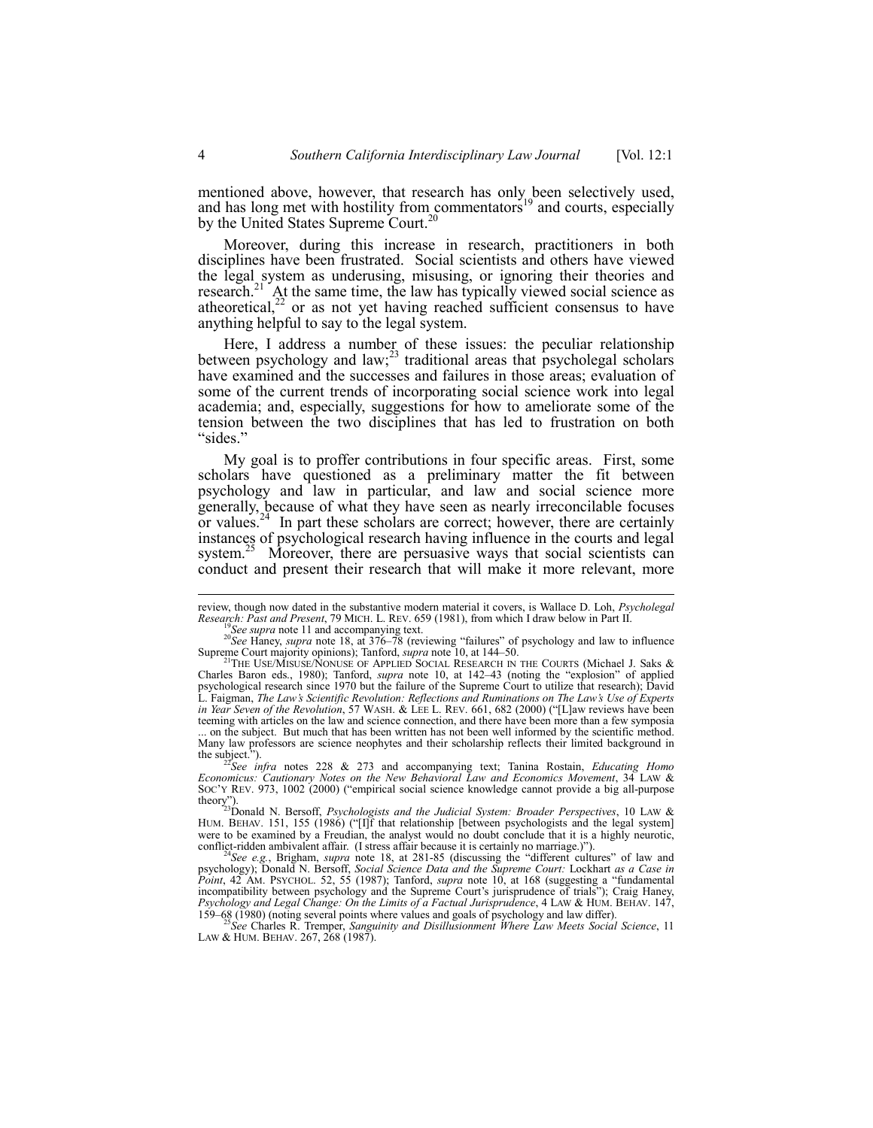mentioned above, however, that research has only been selectively used, and has long met with hostility from commentators<sup>19</sup> and courts, especially by the United States Supreme Court.<sup>20</sup>

Moreover, during this increase in research, practitioners in both disciplines have been frustrated. Social scientists and others have viewed the legal system as underusing, misusing, or ignoring their theories and research.<sup>21</sup> At the same time, the law has typically viewed social science as atheoretical, $22$  or as not yet having reached sufficient consensus to have anything helpful to say to the legal system.

Here, I address a number of these issues: the peculiar relationship between psychology and law;<sup>23</sup> traditional areas that psycholegal scholars have examined and the successes and failures in those areas; evaluation of some of the current trends of incorporating social science work into legal academia; and, especially, suggestions for how to ameliorate some of the tension between the two disciplines that has led to frustration on both "sides."

My goal is to proffer contributions in four specific areas. First, some scholars have questioned as a preliminary matter the fit between psychology and law in particular, and law and social science more generally, because of what they have seen as nearly irreconcilable focuses or values.<sup>24</sup> In part these scholars are correct; however, there are certainly instances of psychological research having influence in the courts and legal system.<sup>25</sup> Moreover, there are persuasive ways that social scientists can conduct and present their research that will make it more relevant, more

review, though now dated in the substantive modern material it covers, is Wallace D. Loh, *Psycholegal* Research: Past and Present, 79 MICH. L. REV. 659 (1981), from which I draw below in Part II. *Research: Past and Present, 79 MICH. L. REV. 659 (1981), from which I draw below in Part II.*<br><sup>19</sup>See supra note 11 and accompanying text.<br><sup>20</sup>See Haney, *supra* note 18, at 376–78 (reviewing "failures" of psychology and

Supreme Court majority opinions); Tanford, *supra* note 10, at 144–50. <sup>21</sup>THE USE/MISUSE/NONUSE OF APPLIED SOCIAL RESEARCH IN THE COURTS (Michael J. Saks &

Charles Baron eds., 1980); Tanford, *supra* note 10, at 142–43 (noting the "explosion" of applied psychological research since 1970 but the failure of the Supreme Court to utilize that research); David L. Faigman, *The Lawís Scientific Revolution: Reflections and Ruminations on The Lawís Use of Experts in Year Seven of the Revolution*, 57 WASH. & LEE L. REV. 661, 682 (2000) ("[L]aw reviews have been teeming with articles on the law and science connection, and there have been more than a few symposia ... on the subject. But much that has been written has not been well informed by the scientific method. Many law professors are science neophytes and their scholarship reflects their limited background in the subject.<sup>33</sup>).<br><sup>22</sup>*See infra* notes 228 & 273 and accompanying text; Tanina Rostain, *Educating Homo* 

*Economicus: Cautionary Notes on the New Behavioral Law and Economics Movement*, 34 LAW & SOC'Y REV. 973, 1002 (2000) ("empirical social science knowledge cannot provide a big all-purpose

theory").<br><sup>23</sup>Donald N. Bersoff, *Psychologists and the Judicial System: Broader Perspectives*, 10 LAW &<br>HUM. BEHAV. 151, 155 (1986) ("[I]f that relationship [between psychologists and the legal system] were to be examined by a Freudian, the analyst would no doubt conclude that it is a highly neurotic, conflict-ridden ambivalent affair. (I stress affair because it is certainly no marriage.)"). conflict-ridden ambivalent affair. (I stress affair because it is certainly no marriage.)").<br><sup>24</sup>*See e.g.*, Brigham, *supra* note 18, at 281-85 (discussing the "different cultures" of law and

psychology); Donald N. Bersoff, *Social Science Data and the Supreme Court:* Lockhart *as a Case in Point*, 42 AM. PSYCHOL. 52, 55 (1987); Tanford, *supra* note 10, at 168 (suggesting a "fundamental incompatibility between psychology and the Supreme Court's jurisprudence of trials"); Craig Haney, *Psychology and Legal Change: On the Limits of a Factual Jurisprudence*, 4 LAW & HUM. BEHAV. 147,

<sup>159</sup>ñ68 (1980) (noting several points where values and goals of psychology and law differ). <sup>25</sup>*See* Charles R. Tremper, *Sanguinity and Disillusionment Where Law Meets Social Science*, 11 LAW & HUM. BEHAV. 267, 268 (1987).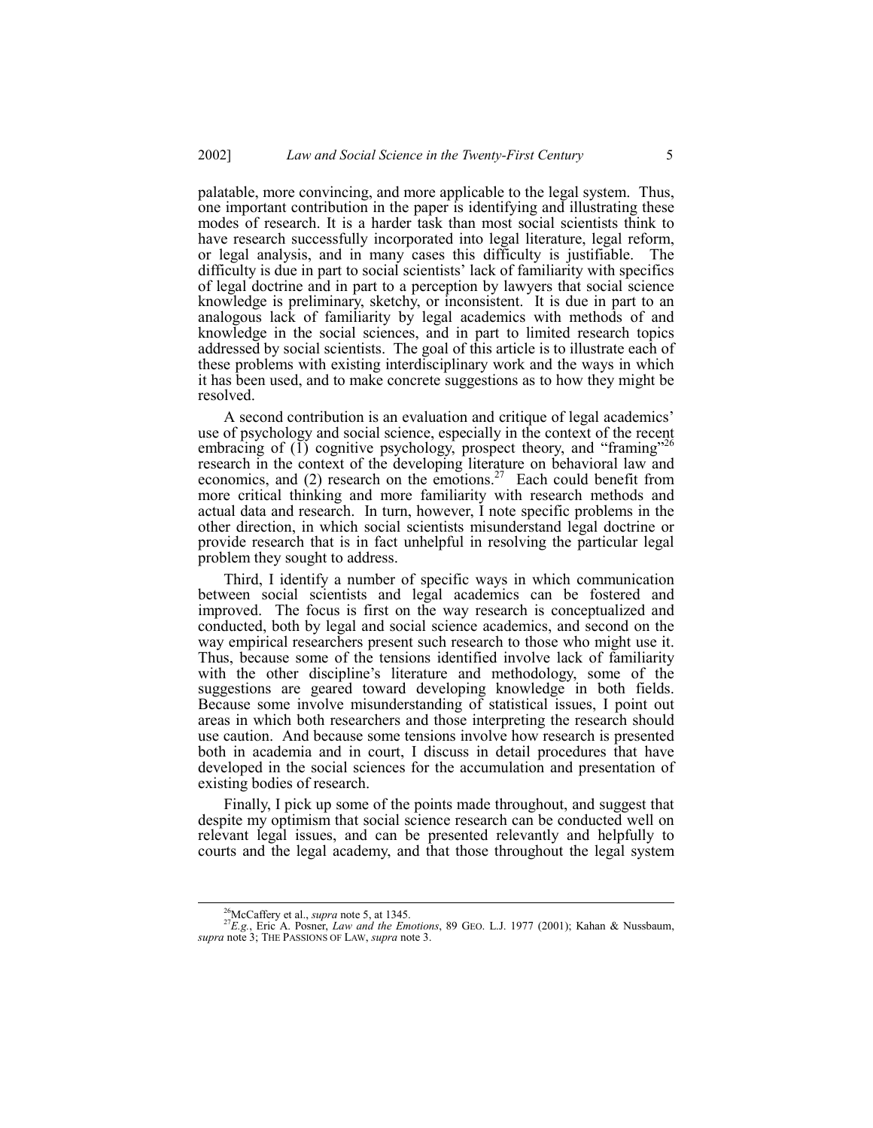palatable, more convincing, and more applicable to the legal system. Thus, one important contribution in the paper is identifying and illustrating these modes of research. It is a harder task than most social scientists think to have research successfully incorporated into legal literature, legal reform, or legal analysis, and in many cases this difficulty is justifiable. The difficulty is due in part to social scientists' lack of familiarity with specifics of legal doctrine and in part to a perception by lawyers that social science knowledge is preliminary, sketchy, or inconsistent. It is due in part to an analogous lack of familiarity by legal academics with methods of and knowledge in the social sciences, and in part to limited research topics addressed by social scientists. The goal of this article is to illustrate each of these problems with existing interdisciplinary work and the ways in which it has been used, and to make concrete suggestions as to how they might be resolved.

A second contribution is an evaluation and critique of legal academics<sup>7</sup> use of psychology and social science, especially in the context of the recent embracing of  $\overline{(1)}$  cognitive psychology, prospect theory, and "framing"<sup>26</sup> research in the context of the developing literature on behavioral law and economics, and  $(2)$  research on the emotions.<sup>27</sup> Each could benefit from more critical thinking and more familiarity with research methods and actual data and research. In turn, however, I note specific problems in the other direction, in which social scientists misunderstand legal doctrine or provide research that is in fact unhelpful in resolving the particular legal problem they sought to address.

Third, I identify a number of specific ways in which communication between social scientists and legal academics can be fostered and improved. The focus is first on the way research is conceptualized and conducted, both by legal and social science academics, and second on the way empirical researchers present such research to those who might use it. Thus, because some of the tensions identified involve lack of familiarity with the other discipline's literature and methodology, some of the suggestions are geared toward developing knowledge in both fields. Because some involve misunderstanding of statistical issues, I point out areas in which both researchers and those interpreting the research should use caution. And because some tensions involve how research is presented both in academia and in court, I discuss in detail procedures that have developed in the social sciences for the accumulation and presentation of existing bodies of research.

Finally, I pick up some of the points made throughout, and suggest that despite my optimism that social science research can be conducted well on relevant legal issues, and can be presented relevantly and helpfully to courts and the legal academy, and that those throughout the legal system

 <sup>26</sup>McCaffery et al., *supra* note 5, at 1345. <sup>27</sup>*E.g.*, Eric A. Posner, *Law and the Emotions*, 89 GEO. L.J. 1977 (2001); Kahan & Nussbaum, *supra* note 3; THE PASSIONS OF LAW, *supra* note 3.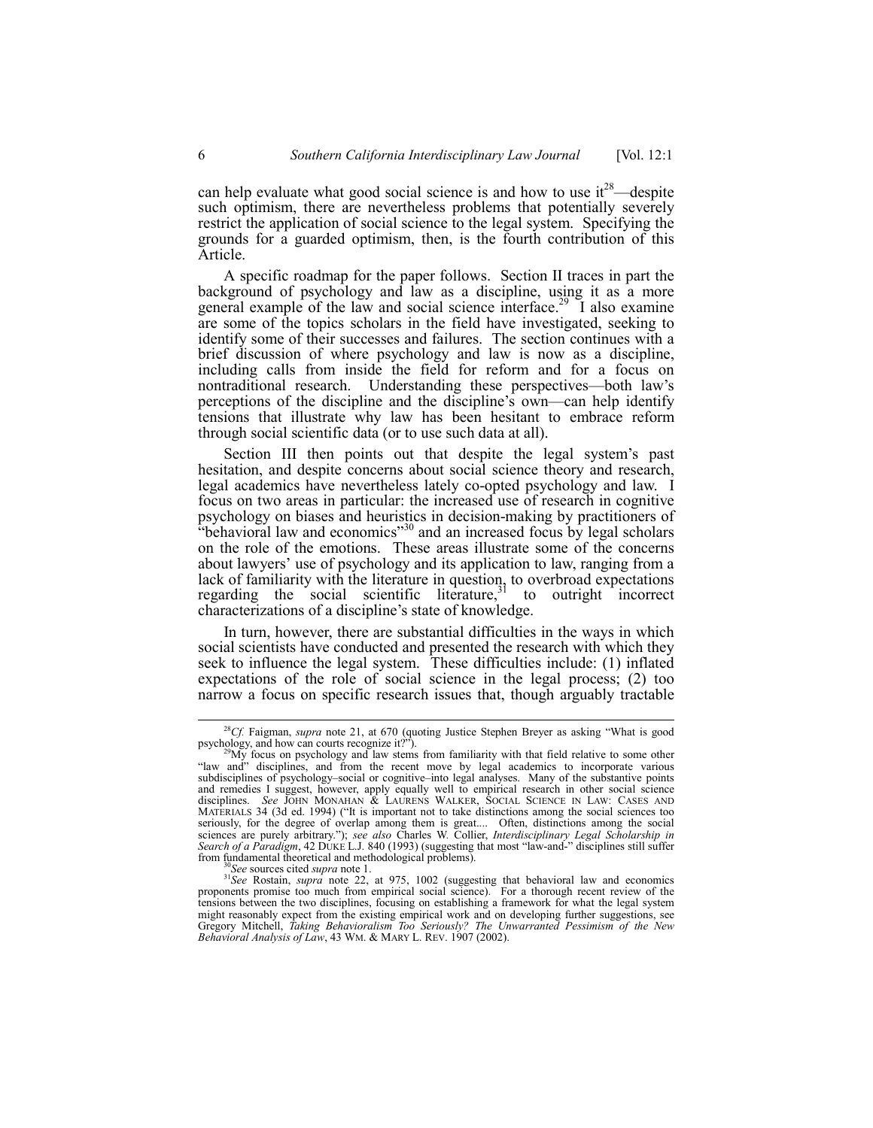can help evaluate what good social science is and how to use  $it^{28}$ —despite such optimism, there are nevertheless problems that potentially severely restrict the application of social science to the legal system. Specifying the grounds for a guarded optimism, then, is the fourth contribution of this Article.

A specific roadmap for the paper follows. Section II traces in part the background of psychology and law as a discipline, using it as a more general example of the law and social science interface.<sup>29</sup> I also examine are some of the topics scholars in the field have investigated, seeking to identify some of their successes and failures. The section continues with a brief discussion of where psychology and law is now as a discipline, including calls from inside the field for reform and for a focus on nontraditional research. Understanding these perspectives—both law's perceptions of the discipline and the discipline's own—can help identify tensions that illustrate why law has been hesitant to embrace reform through social scientific data (or to use such data at all).

Section III then points out that despite the legal system's past hesitation, and despite concerns about social science theory and research, legal academics have nevertheless lately co-opted psychology and law. I focus on two areas in particular: the increased use of research in cognitive psychology on biases and heuristics in decision-making by practitioners of  $\cdot$ <sup>1</sup>behavioral law and economics<sup> $30$ </sup> and an increased focus by legal scholars on the role of the emotions. These areas illustrate some of the concerns about lawyers' use of psychology and its application to law, ranging from a lack of familiarity with the literature in question, to overbroad expectations regarding the social scientific literature, $31$  to outright incorrect characterizations of a discipline's state of knowledge.

In turn, however, there are substantial difficulties in the ways in which social scientists have conducted and presented the research with which they seek to influence the legal system. These difficulties include: (1) inflated expectations of the role of social science in the legal process; (2) too narrow a focus on specific research issues that, though arguably tractable

<sup>&</sup>lt;sup>28</sup>Cf. Faigman, *supra* note 21, at 670 (quoting Justice Stephen Breyer as asking "What is good psychology, and how can courts recognize it?").

 $^{29}$ My focus on psychology and law stems from familiarity with that field relative to some other ìlaw andî disciplines, and from the recent move by legal academics to incorporate various subdisciplines of psychology–social or cognitive–into legal analyses. Many of the substantive points and remedies I suggest, however, apply equally well to empirical research in other social science disciplines. *See* JOHN MONAHAN & LAURENS WALKER, SOCIAL SCIENCE IN LAW: CASES AND MATERIALS 34 (3d ed. 1994) ("It is important not to take distinctions among the social sciences too seriously, for the degree of overlap among them is great.... Often, distinctions among the social sciences are purely arbitrary.î); *see also* Charles W. Collier, *Interdisciplinary Legal Scholarship in Search of a Paradigm*, 42 DUKE L.J. 840 (1993) (suggesting that most "law-and-" disciplines still suffer

from fundamental theoretical and methodological problems).<br><sup>30</sup>See sources cited *supra* note 1.<br><sup>31</sup>See Rostain, *supra* note 22, at 975, 1002 (suggesting that behavioral law and economics<br>proponents promise too much fro tensions between the two disciplines, focusing on establishing a framework for what the legal system might reasonably expect from the existing empirical work and on developing further suggestions, see Gregory Mitchell, *Taking Behavioralism Too Seriously? The Unwarranted Pessimism of the New Behavioral Analysis of Law*, 43 WM. & MARY L. REV. 1907 (2002).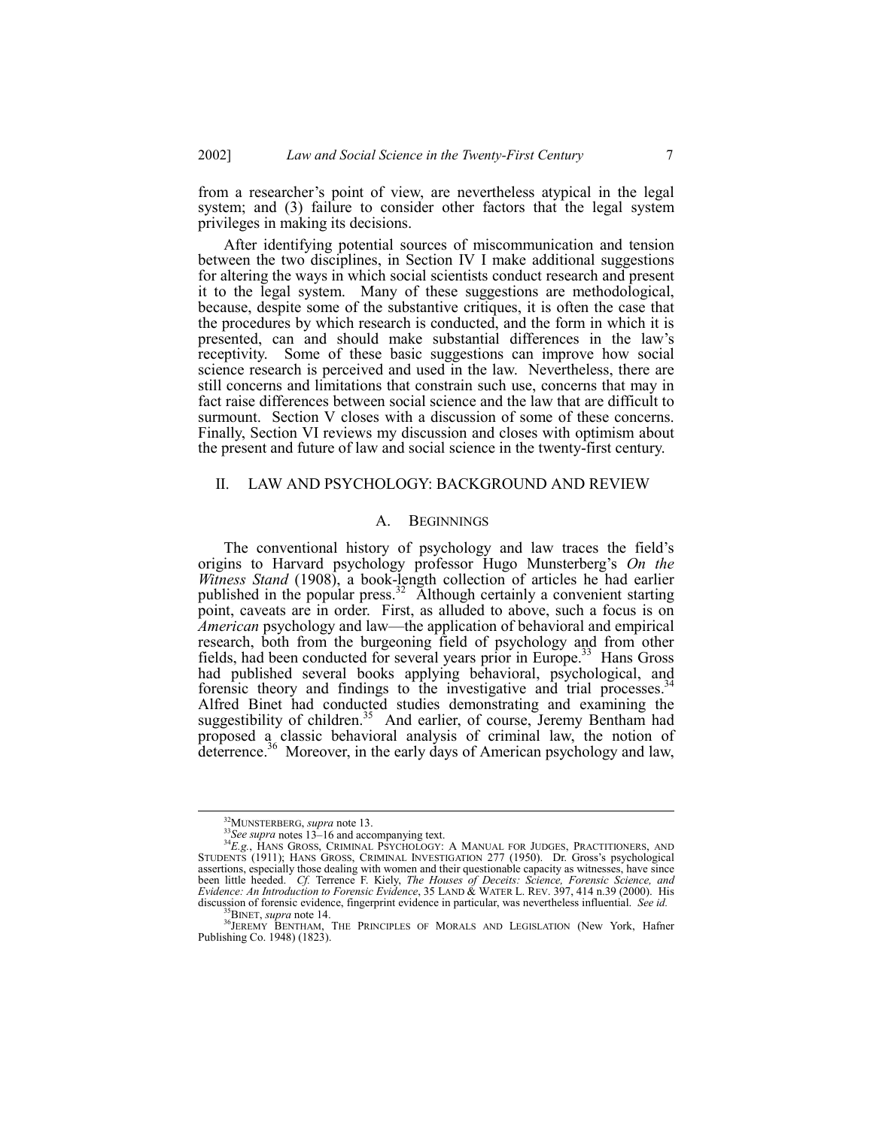from a researcher's point of view, are nevertheless atypical in the legal system; and (3) failure to consider other factors that the legal system privileges in making its decisions.

After identifying potential sources of miscommunication and tension between the two disciplines, in Section IV I make additional suggestions for altering the ways in which social scientists conduct research and present it to the legal system. Many of these suggestions are methodological, because, despite some of the substantive critiques, it is often the case that the procedures by which research is conducted, and the form in which it is presented, can and should make substantial differences in the law's receptivity. Some of these basic suggestions can improve how social science research is perceived and used in the law. Nevertheless, there are still concerns and limitations that constrain such use, concerns that may in fact raise differences between social science and the law that are difficult to surmount. Section V closes with a discussion of some of these concerns. Finally, Section VI reviews my discussion and closes with optimism about the present and future of law and social science in the twenty-first century.

## II. LAW AND PSYCHOLOGY: BACKGROUND AND REVIEW

#### A. BEGINNINGS

The conventional history of psychology and law traces the field's origins to Harvard psychology professor Hugo Munsterbergís *On the Witness Stand* (1908), a book-length collection of articles he had earlier published in the popular press.<sup>32</sup> Although certainly a convenient starting point, caveats are in order. First, as alluded to above, such a focus is on *American* psychology and law—the application of behavioral and empirical research, both from the burgeoning field of psychology and from other fields, had been conducted for several years prior in Europe.<sup>33</sup> Hans Gross had published several books applying behavioral, psychological, and forensic theory and findings to the investigative and trial processes.<sup>34</sup> Alfred Binet had conducted studies demonstrating and examining the suggestibility of children.<sup>35</sup> And earlier, of course, Jeremy Bentham had proposed a classic behavioral analysis of criminal law, the notion of deterrence.<sup>36</sup> Moreover, in the early days of American psychology and law,

<sup>&</sup>lt;sup>32</sup>MUNSTERBERG, *supra* note 13.<br><sup>33</sup>*See supra* notes 13–16 and accompanying text.<br><sup>34</sup>*E.g.*, HANS GROSS, CRIMINAL PSYCHOLOGY: A MANUAL FOR JUDGES, PRACTITIONERS, AND<br>STUDENTS (1911); HANS GROSS, CRIMINAL INVESTIGATION assertions, especially those dealing with women and their questionable capacity as witnesses, have since been little heeded. *Cf.* Terrence F. Kiely, *The Houses of Deceits: Science, Forensic Science, and Evidence: An Introduction to Forensic Evidence*, 35 LAND & WATER L. REV. 397, 414 n.39 (2000). His discussion of forensic evidence, fingerprint evidence in particular, was nevertheless influential. *See id.* <sup>35</sup>BINET, *supra* note 14. <br><sup>36</sup>JEREMY BENTHAM, THE PRINCIPLES OF MORALS AND LEGISLATION (New York, Hafner

Publishing Co. 1948) (1823).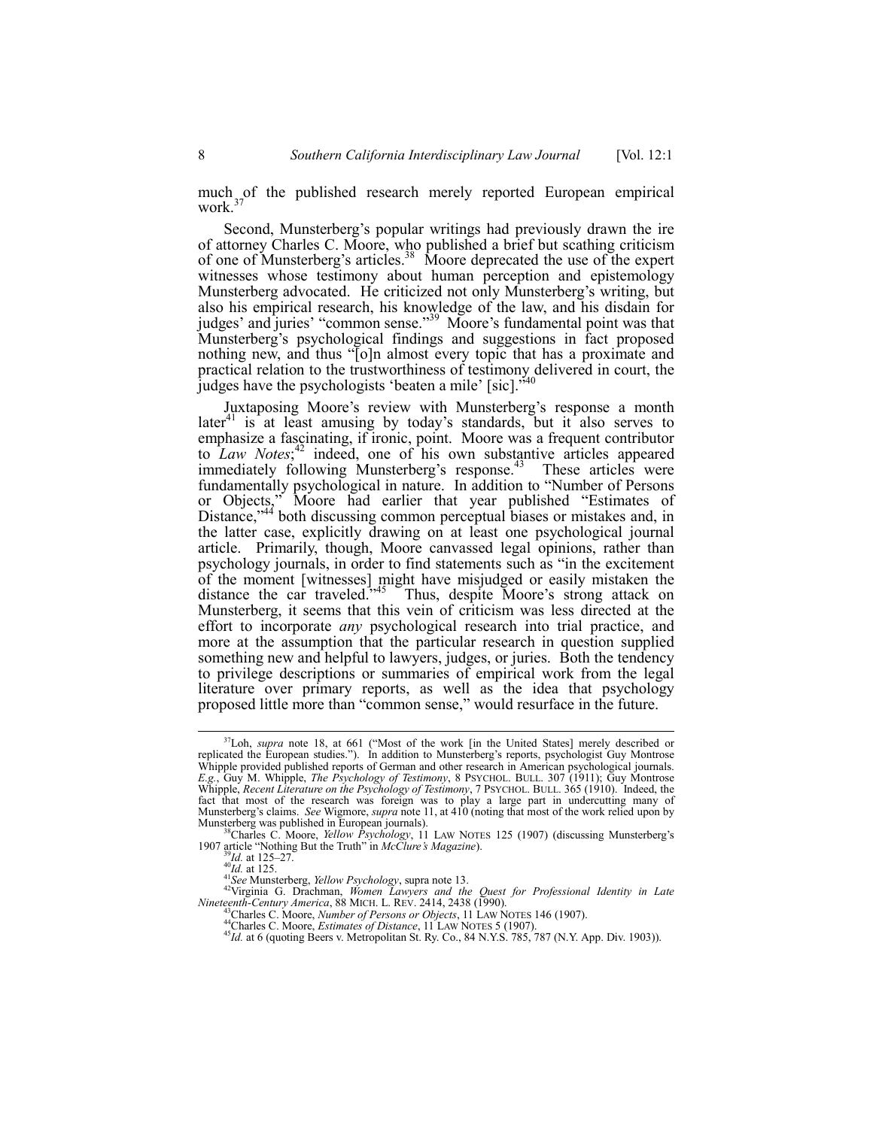much of the published research merely reported European empirical work<sup>3</sup>

Second, Munsterberg's popular writings had previously drawn the ire of attorney Charles C. Moore, who published a brief but scathing criticism of one of Munsterberg's articles.<sup>38</sup> Moore deprecated the use of the expert witnesses whose testimony about human perception and epistemology Munsterberg advocated. He criticized not only Munsterberg's writing, but also his empirical research, his knowledge of the law, and his disdain for judges' and juries' "common sense."<sup>39</sup> Moore's fundamental point was that Munsterberg's psychological findings and suggestions in fact proposed nothing new, and thus "[o]n almost every topic that has a proximate and practical relation to the trustworthiness of testimony delivered in court, the judges have the psychologists 'beaten a mile' [sic].<sup> $\ddot{\text{ }}$ </sup>

Juxtaposing Moore's review with Munsterberg's response a month later $41$  is at least amusing by today's standards, but it also serves to emphasize a fascinating, if ironic, point. Moore was a frequent contributor to *Law Notes*; 42 indeed, one of his own substantive articles appeared immediately following Munsterberg's response.<sup>43</sup> These articles were fundamentally psychological in nature. In addition to "Number of Persons or Objects," Moore had earlier that year published "Estimates of Distance,<sup>744</sup> both discussing common perceptual biases or mistakes and, in the latter case, explicitly drawing on at least one psychological journal article. Primarily, though, Moore canvassed legal opinions, rather than psychology journals, in order to find statements such as "in the excitement of the moment [witnesses] might have misjudged or easily mistaken the distance the car traveled.<sup> $345$ </sup> Thus, despite Moore's strong attack on Munsterberg, it seems that this vein of criticism was less directed at the effort to incorporate *any* psychological research into trial practice, and more at the assumption that the particular research in question supplied something new and helpful to lawyers, judges, or juries. Both the tendency to privilege descriptions or summaries of empirical work from the legal literature over primary reports, as well as the idea that psychology proposed little more than "common sense," would resurface in the future.

<sup>&</sup>lt;sup>37</sup>Loh, *supra* note 18, at 661 ("Most of the work [in the United States] merely described or replicated the European studies."). In addition to Munsterberg's reports, psychologist Guy Montrose Whipple provided published reports of German and other research in American psychological journals. *E.g.*, Guy M. Whipple, *The Psychology of Testimony*, 8 PSYCHOL. BULL. 307 (1911); Guy Montrose Whipple, *Recent Literature on the Psychology of Testimony*, 7 PSYCHOL. BULL. 365 (1910). Indeed, the fact that most of the research was foreign was to play a large part in undercutting many of Munsterbergís claims. *See* Wigmore, *supra* note 11, at 410 (noting that most of the work relied upon by

Munsterberg was published in European journals).<br>
<sup>38</sup>Charles C. Moore, *Yellow Psychology*, 11 LAW NOTES 125 (1907) (discussing Munsterberg's 1907 article "Nothing But the Truth" in *McClure's Magazine*).

<sup>&</sup>lt;sup>39</sup>Id. at 125–27.<br><sup>40</sup>Id. at 125.<br><sup>41</sup>See Munsterberg, *Yellow Psychology*, supra note 13.<br><sup>42</sup>Virginia G. Drachman, *Women Lawyers and the Quest for Professional Identity in Late*<br><sup>42</sup>Virginia G. Drachman, *Momen Lawyer* Vingthia G. Diachinian, *women Lawyers and the Quest 1990*).<br>
Nineteenth-Century America, 88 MICH. L. REV. 2414, 2438 (1990).<br>
<sup>45</sup>Charles C. Moore, *Number of Persons or Objects*, 11 LAW NOTES 146 (1907).<br>
<sup>44</sup>Charles C.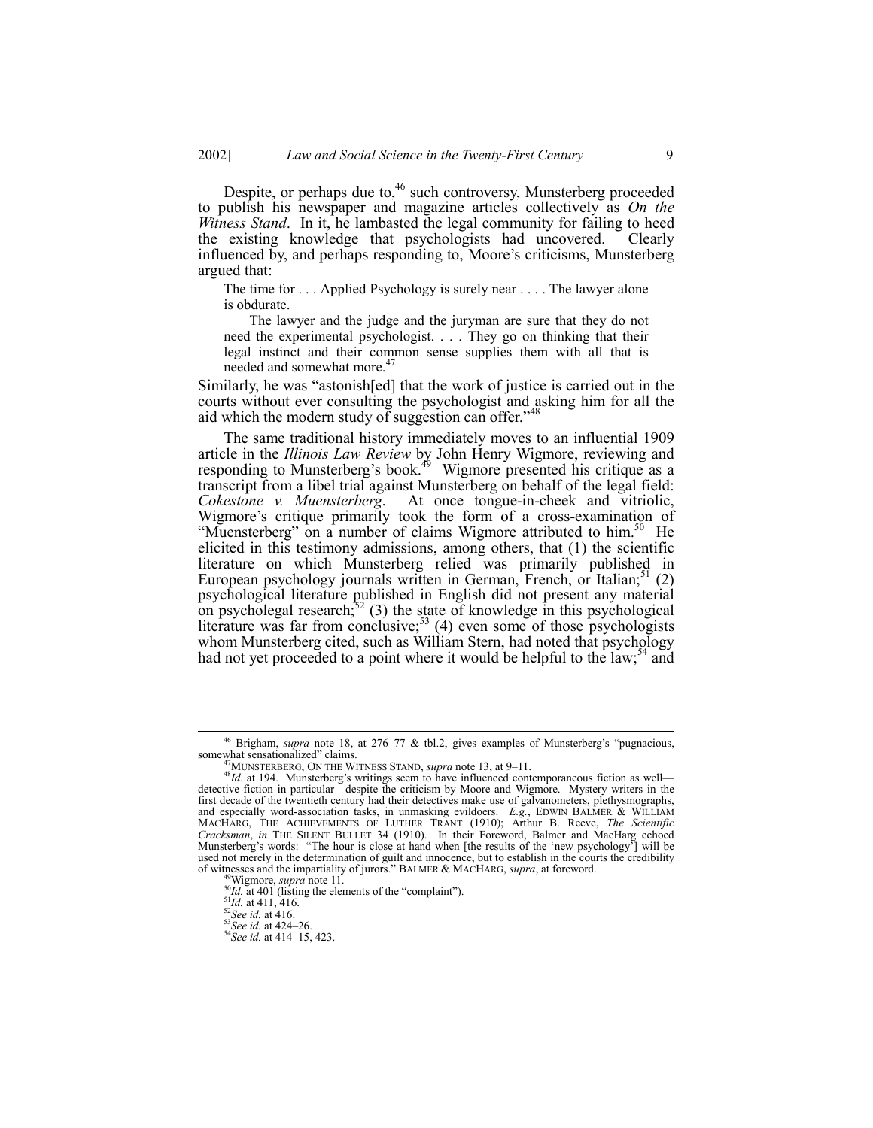Despite, or perhaps due to,<sup>46</sup> such controversy, Munsterberg proceeded to publish his newspaper and magazine articles collectively as *On the Witness Stand*. In it, he lambasted the legal community for failing to heed the existing knowledge that psychologists had uncovered. Clearly influenced by, and perhaps responding to, Moore's criticisms, Munsterberg argued that:

The time for . . . Applied Psychology is surely near . . . . The lawyer alone is obdurate.

The lawyer and the judge and the juryman are sure that they do not need the experimental psychologist. . . . They go on thinking that their legal instinct and their common sense supplies them with all that is needed and somewhat more.<sup>47</sup>

Similarly, he was "astonish[ed] that the work of justice is carried out in the courts without ever consulting the psychologist and asking him for all the aid which the modern study of suggestion can offer.<sup> $34$ </sup>

The same traditional history immediately moves to an influential 1909 article in the *Illinois Law Review* by John Henry Wigmore, reviewing and responding to Munsterberg's book.<sup>49</sup> Wigmore presented his critique as a transcript from a libel trial against Munsterberg on behalf of the legal field: *Cokestone v. Muensterberg*. At once tongue-in-cheek and vitriolic, Wigmore's critique primarily took the form of a cross-examination of "Muensterberg" on a number of claims Wigmore attributed to him.<sup>50</sup> He elicited in this testimony admissions, among others, that (1) the scientific literature on which Munsterberg relied was primarily published in European psychology journals written in German, French, or Italian;<sup>51</sup> (2) psychological literature published in English did not present any material on psycholegal research;<sup>52</sup> (3) the state of knowledge in this psychological literature was far from conclusive;  $53$  (4) even some of those psychologists whom Munsterberg cited, such as William Stern, had noted that psychology had not yet proceeded to a point where it would be helpful to the law;<sup>54</sup> and

<sup>&</sup>lt;sup>46</sup> Brigham, *supra* note 18, at 276–77 & tbl.2, gives examples of Munsterberg's "pugnacious, some what sensationalized" claims.

somewhat sensationalized" claims.<br>
<sup>47</sup>MUNSTERBERG, ON THE WITNESS STAND, *supra* note 13, at 9–11.<br>
<sup>48</sup>*Id.* at 194. Munsterberg's writings seem to have influenced contemporaneous fiction as well—<br>
detective fiction in first decade of the twentieth century had their detectives make use of galvanometers, plethysmographs, and especially word-association tasks, in unmasking evildoers. *E.g.*, EDWIN BALMER & WILLIAM MACHARG, THE ACHIEVEMENTS OF LUTHER TRANT (1910); Arthur B. Reeve, *The Scientific Cracksman*, *in* THE SILENT BULLET 34 (1910). In their Foreword, Balmer and MacHarg echoed Munsterberg's words: "The hour is close at hand when [the results of the 'new psychology'] will be used not merely in the determination of guilt and innocence, but to establish in the courts the credibility of witnesses and the impartiality of jurors." BALMER & MACHARG, *supra*, at foreword.

<sup>49</sup> Wigmore, *supra* note 11.<br>
<sup>49</sup> Wigmore, *supra* note 11.<br>
<sup>50</sup>*Id.* at 401 (listing the elements of the "complaint").<br>
<sup>51</sup>*Id.* at 411, 416.<br>
<sup>52</sup> See id. at 416.<br>
<sup>55</sup> See id. at 414–15, 423.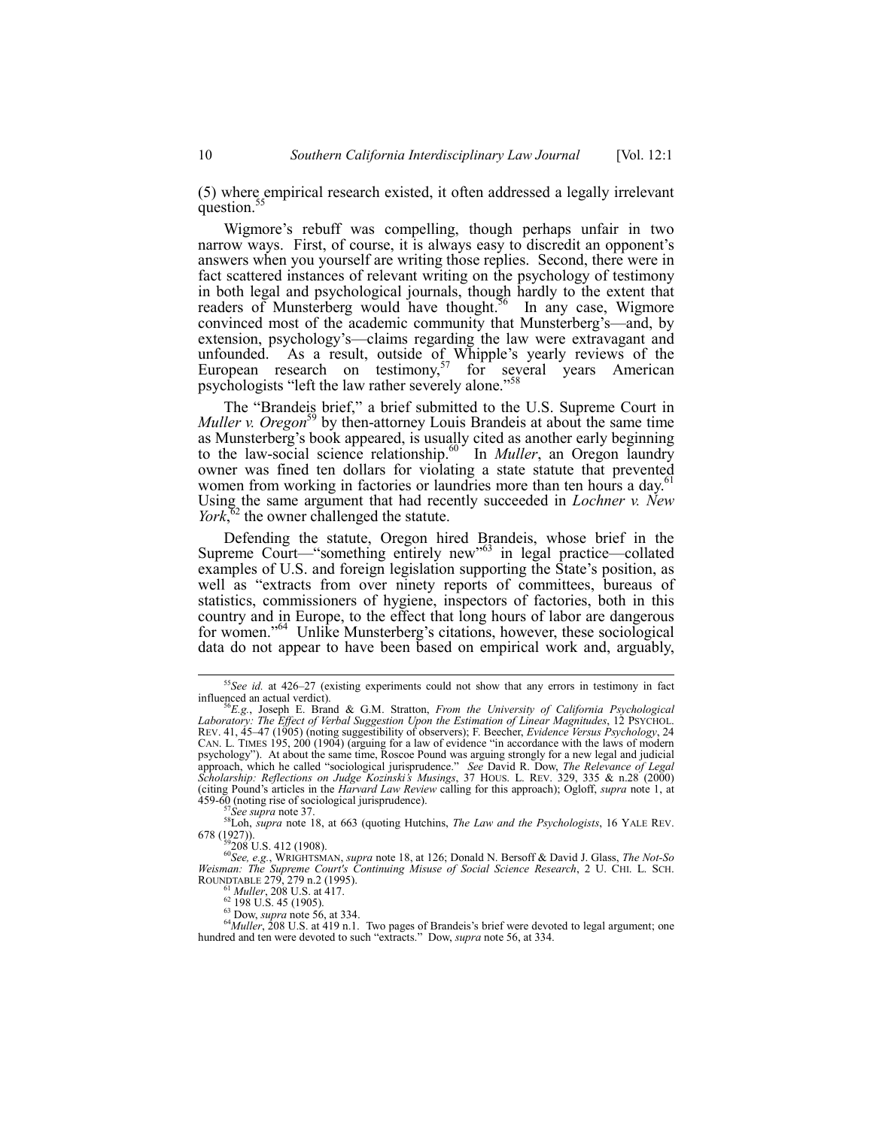(5) where empirical research existed, it often addressed a legally irrelevant question.<sup>5</sup>

Wigmore's rebuff was compelling, though perhaps unfair in two narrow ways. First, of course, it is always easy to discredit an opponent's answers when you yourself are writing those replies. Second, there were in fact scattered instances of relevant writing on the psychology of testimony in both legal and psychological journals, though hardly to the extent that readers of Munsterberg would have thought.<sup>56</sup> In any case, Wigmore convinced most of the academic community that Munsterberg's—and, by extension, psychology's—claims regarding the law were extravagant and unfounded. As a result, outside of Whipple's yearly reviews of the European research on testimony,<sup>57</sup> for several years American psychologists "left the law rather severely alone."<sup>58</sup>

The "Brandeis brief," a brief submitted to the U.S. Supreme Court in *Muller v. Oregon*<sup>59</sup> by then-attorney Louis Brandeis at about the same time as Munsterberg's book appeared, is usually cited as another early beginning to the law-social science relationship.<sup>60</sup> In *Muller*, an Oregon laundry owner was fined ten dollars for violating a state statute that prevented women from working in factories or laundries more than ten hours a day.<sup>61</sup> Using the same argument that had recently succeeded in *Lochner v. New York*, 62 the owner challenged the statute.

Defending the statute, Oregon hired Brandeis, whose brief in the Supreme Court—"something entirely new"<sup>63</sup> in legal practice—collated examples of U.S. and foreign legislation supporting the State's position, as well as "extracts from over ninety reports of committees, bureaus of statistics, commissioners of hygiene, inspectors of factories, both in this country and in Europe, to the effect that long hours of labor are dangerous for women.<sup>764</sup> Unlike Munsterberg's citations, however, these sociological data do not appear to have been based on empirical work and, arguably,

 $55$ *See id.* at 426–27 (existing experiments could not show that any errors in testimony in fact influenced an actual verdict).

influenced an actual verdict).<br><sup>56</sup>E.g., Joseph E. Brand & G.M. Stratton, *From the University of California Psychological*<br>Laboratory: *The Effect of Verbal Suggestion Upon the Estimation of Linear Magnitudes*, 12 PsycHoL REV. 41, 45–47 (1905) (noting suggestibility of observers); F. Beecher, *Evidence Versus Psychology*, 24 CAN. L. TIMES 195, 200 (1904) (arguing for a law of evidence "in accordance with the laws of modern psychology"). At about the same time, Roscoe Pound was arguing strongly for a new legal and judicial approach, which he called "sociological jurisprudence." *See* David R. Dow, *The Relevance of Legal Scholarship: Reflections on Judge Kozinskiís Musings*, 37 HOUS. L. REV. 329, 335 & n.28 (2000) (citing Pound's articles in the *Harvard Law Review* calling for this approach); Ogloff, *supra* note 1, at 459-60 (noting rise of sociological jurisprudence).

<sup>&</sup>lt;sup>57</sup>See supra note 37.<br>
<sup>58</sup>Loh, *supra* note 18, at 663 (quoting Hutchins, *The Law and the Psychologists*, 16 YALE REV.<br>
678 (1927)).<br>
<sup>69</sup>208 U.S. 412 (1908).<br>
<sup>69</sup>See, e.g., WRIGHTSMAN, *supra* note 18, at 126; Donald

ROUNDTABLE 279, 279 n.2 (1995).<br>
<sup>61</sup> Muller, 208 U.S. at 417.<br>
<sup>62</sup> 198 U.S. 45 (1905).<br>
<sup>63</sup> Dow, supra note 56, st 334.<br>
<sup>64</sup> Muller, 208 U.S. at 419 n.1. Two pages of Brandeis's brief were devoted to legal argument; o hundred and ten were devoted to such "extracts." Dow, *supra* note 56, at 334.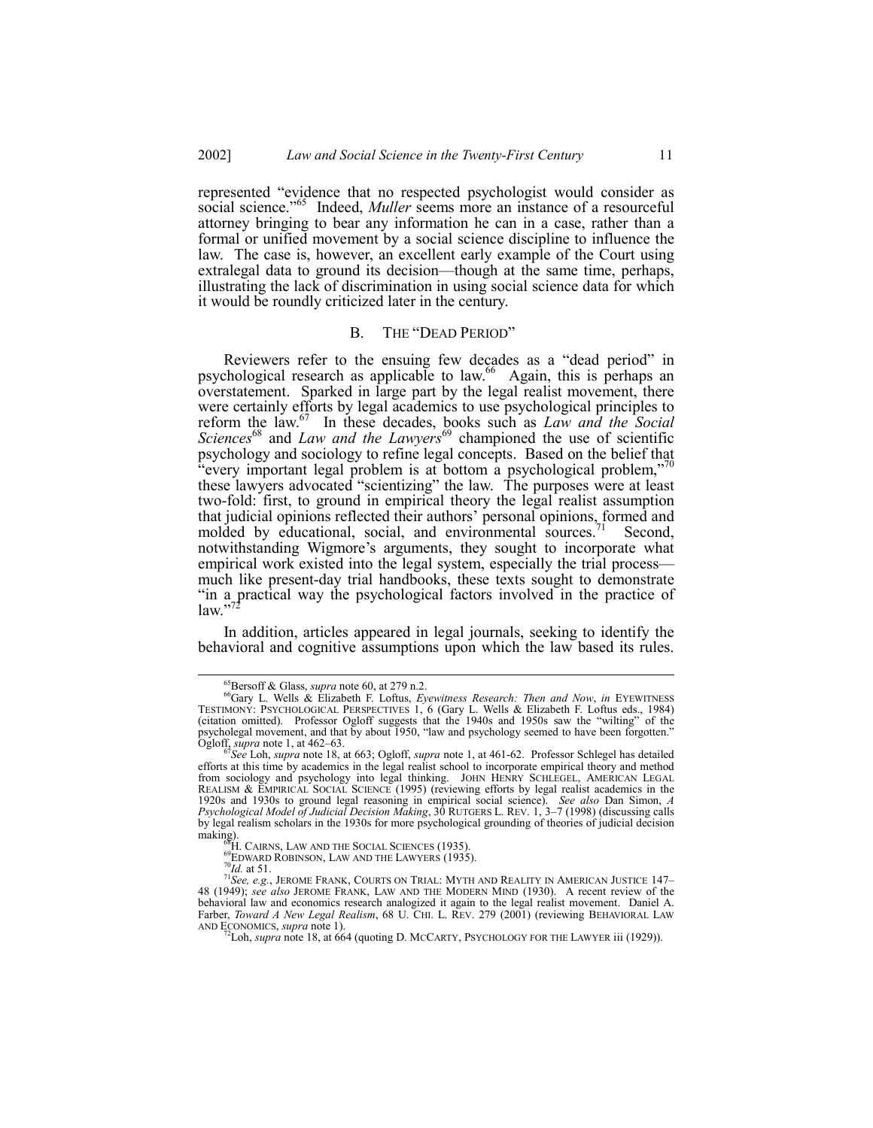represented "evidence that no respected psychologist would consider as social science.<sup>765</sup> Indeed, *Muller* seems more an instance of a resourceful attorney bringing to bear any information he can in a case, rather than a formal or unified movement by a social science discipline to influence the law. The case is, however, an excellent early example of the Court using extralegal data to ground its decision—though at the same time, perhaps, illustrating the lack of discrimination in using social science data for which it would be roundly criticized later in the century.

#### B. THE "DEAD PERIOD"

Reviewers refer to the ensuing few decades as a "dead period" in psychological research as applicable to law.<sup>66</sup> Again, this is perhaps an overstatement. Sparked in large part by the legal realist movement, there were certainly efforts by legal academics to use psychological principles to reform the law.67 In these decades, books such as *Law and the Social Sciences*<sup>68</sup> and *Law and the Lawyers*<sup>69</sup> championed the use of scientific psychology and sociology to refine legal concepts. Based on the belief that  $\alpha$ <sup>2</sup> every important legal problem is at bottom a psychological problem,<sup> $\alpha$ 70</sup> these lawyers advocated "scientizing" the law. The purposes were at least two-fold: first, to ground in empirical theory the legal realist assumption that judicial opinions reflected their authors' personal opinions, formed and molded by educational, social, and environmental sources.<sup>71</sup> Second, notwithstanding Wigmore's arguments, they sought to incorporate what empirical work existed into the legal system, especially the trial processmuch like present-day trial handbooks, these texts sought to demonstrate "in a practical way the psychological factors involved in the practice of  $law.$ "

In addition, articles appeared in legal journals, seeking to identify the behavioral and cognitive assumptions upon which the law based its rules.

 <sup>65</sup>Bersoff & Glass, *supra* note 60, at 279 n.2. 66Gary L. Wells & Elizabeth F. Loftus, *Eyewitness Research: Then and Now*, *in* EYEWITNESS TESTIMONY: PSYCHOLOGICAL PERSPECTIVES 1, 6 (Gary L. Wells & Elizabeth F. Loftus eds., 1984)<br>(citation omitted). Professor Ogloff suggests that the 1940s and 1950s saw the "wilting" of the psycholegal movement, and that by about 1950, "law and psychology seemed to have been forgotten." Ogloff, *supra* note 1, at 462–63. **67**See Loh, *supra* note 18, at 663; Ogloff, *supra* note 1, at 461-62. Professor Schlegel has detailed

efforts at this time by academics in the legal realist school to incorporate empirical theory and method from sociology and psychology into legal thinking. JOHN HENRY SCHLEGEL, AMERICAN LEGAL REALISM & EMPIRICAL SOCIAL SCIENCE (1995) (reviewing efforts by legal realist academics in the 1920s and 1930s to ground legal reasoning in empirical social science). *See also* Dan Simon, *A Psychological Model of Judicial Decision Making*, 30 RUTGERS L. REV. 1, 3–7 (1998) (discussing calls by legal realism scholars in the 1930s for more psychological grounding of theories of judicial decision

making).<br>
68H. CAIRNS, LAW AND THE SOCIAL SCIENCES (1935).<br>
<sup>69</sup>EDWARD ROBINSON, LAW AND THE LAWYERS (1935).<br>
<sup>71</sup>*See, e.g., JEROME FRANK, COURTS ON TRIAL: MYTH AND REALITY IN AMERICAN JUSTICE 147<sup>-1</sup><br>
<sup>19</sup> <sup>19</sup> <sup>19</sup> <sup>19</sup>* 48 (1949); *see also* JEROME FRANK, LAW AND THE MODERN MIND (1930). A recent review of the behavioral law and economics research analogized it again to the legal realist movement. Daniel A. Farber, *Toward A New Legal Realism*, 68 U. CHI. L. REV. 279 (2001) (reviewing BEHAVIORAL LAW AND ECONOMICS, *supra* note 1). 72Loh, *supra* note 18, at 664 (quoting D. MCCARTY, PSYCHOLOGY FOR THE LAWYER iii (1929)).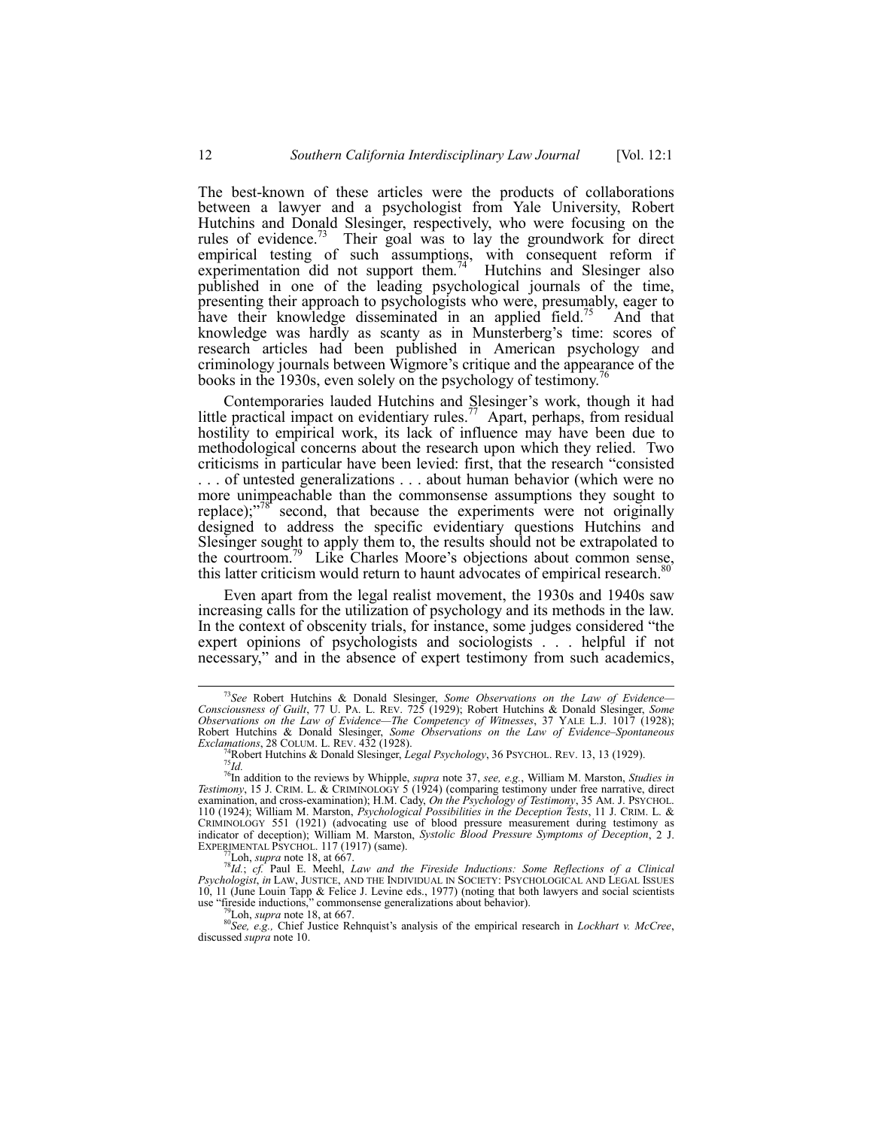The best-known of these articles were the products of collaborations between a lawyer and a psychologist from Yale University, Robert Hutchins and Donald Slesinger, respectively, who were focusing on the rules of evidence.73 Their goal was to lay the groundwork for direct empirical testing of such assumptions, with consequent reform if experimentation did not support them.<sup>74</sup> Hutchins and Slesinger also published in one of the leading psychological journals of the time, presenting their approach to psychologists who were, presumably, eager to have their knowledge disseminated in an applied field.<sup>75</sup> And that knowledge was hardly as scanty as in Munsterberg's time: scores of research articles had been published in American psychology and criminology journals between Wigmore's critique and the appearance of the books in the 1930s, even solely on the psychology of testimony.<sup>76</sup>

Contemporaries lauded Hutchins and Slesinger's work, though it had little practical impact on evidentiary rules.<sup>77</sup> Apart, perhaps, from residual hostility to empirical work, its lack of influence may have been due to methodological concerns about the research upon which they relied. Two criticisms in particular have been levied: first, that the research "consisted . . . of untested generalizations . . . about human behavior (which were no more unimpeachable than the commonsense assumptions they sought to replace); $\frac{1}{2}$ <sup>78</sup> second, that because the experiments were not originally designed to address the specific evidentiary questions Hutchins and Slesinger sought to apply them to, the results should not be extrapolated to the courtroom.<sup>79</sup> Like Charles Moore's objections about common sense, this latter criticism would return to haunt advocates of empirical research.<sup>8</sup>

Even apart from the legal realist movement, the 1930s and 1940s saw increasing calls for the utilization of psychology and its methods in the law. In the context of obscenity trials, for instance, some judges considered "the expert opinions of psychologists and sociologists . . . helpful if not necessary," and in the absence of expert testimony from such academics,

<sup>&</sup>lt;sup>73</sup>See Robert Hutchins & Donald Slesinger, *Some Observations on the Law of Evidence*— *Consciousness of Guilt*, 77 U. PA. L. REV. 725 (1929); Robert Hutchins & Donald Slesinger, *Some Observations on the Law of Evidence—The Competency of Witnesses*, 37 YALE L.J. 1017 (1928); Robert Hutchins & Donald Slesinger, *Some Observations on the Law of Evidence-Spontaneous* 

Exclamations, 28 COLUM. L. REV. 432 (1928).<br>  $\frac{74}{15}$ Robert Hutchins & Donald Slesinger, *Legal Psychology*, 36 Psychol. REV. 13, 13 (1929).

<sup>&</sup>lt;sup>76</sup>In addition to the reviews by Whipple, *supra* note 37, *see*, *e.g.*, William M. Marston, *Studies in Testimony*, 15 J. CRIM. L. & CRIMINOLOGY 5 (1924) (comparing testimony under free narrative, direct examination, examination, and cross-examination); H.M. Cady, *On the Psychology of Testimony*, 35 AM. J. Psychol.<br>110 (1924); William M. Marston, *Psychological Possibilities in the Deception Tests*, 11 J. CRIM. L. &<br>CRIMINOLOGY 551 (1 indicator of deception); William M. Marston, *Systolic Blood Pressure Symptoms of Deception*, 2 J. EXPERIMENTAL PSYCHOL. 117 (1917) (same).<br><sup>77</sup>Loh, *supra* note 18, at 667.<br><sup>78</sup>*Id.*; *cf.* Paul E. Meehl, *Law and the Fireside Inductions: Some Reflections of a Clinical* 

*Psychologist*, *in* LAW, JUSTICE, AND THE INDIVIDUAL IN SOCIETY: PSYCHOLOGICAL AND LEGAL ISSUES 10, 11 (June Louin Tapp & Felice J. Levine eds., 1977) (noting that both lawyers and social scientists

the "firest<br>de inductions," commonsense generalizations about behavior).<br>
<sup>79</sup>Loh, *supra* note 18, at 667.<br>
<sup>80</sup>See, e.g., Chief Justice Rehnquist's analysis of the empirical research in *Lockhart v. McCree*,<br>
discussed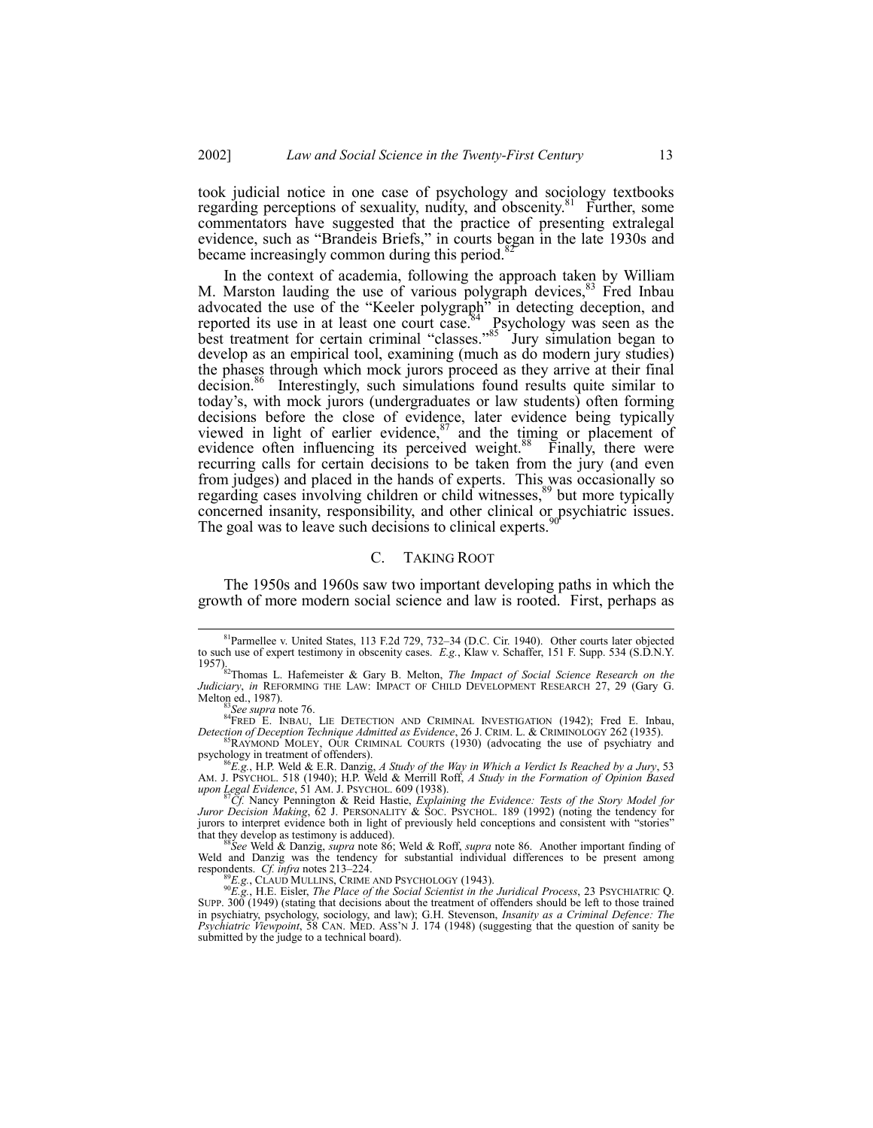took judicial notice in one case of psychology and sociology textbooks regarding perceptions of sexuality, nudity, and obscenity.<sup>81</sup> Further, some commentators have suggested that the practice of presenting extralegal evidence, such as "Brandeis Briefs," in courts began in the late 1930s and became increasingly common during this period.

In the context of academia, following the approach taken by William M. Marston lauding the use of various polygraph devices,  $83$  Fred Inbau advocated the use of the "Keeler polygraph" in detecting deception, and reported its use in at least one court case. $84$  Psychology was seen as the best treatment for certain criminal "classes."<sup>85</sup> Jury simulation began to develop as an empirical tool, examining (much as do modern jury studies) the phases through which mock jurors proceed as they arrive at their final decision.<sup>86</sup> Interestingly, such simulations found results quite similar to todayís, with mock jurors (undergraduates or law students) often forming decisions before the close of evidence, later evidence being typically viewed in light of earlier evidence, $87$  and the timing or placement of evidence often influencing its perceived weight.<sup>88</sup> Finally, there were recurring calls for certain decisions to be taken from the jury (and even from judges) and placed in the hands of experts. This was occasionally so regarding cases involving children or child witnesses,<sup>89</sup> but more typically concerned insanity, responsibility, and other clinical or psychiatric issues. The goal was to leave such decisions to clinical experts.<sup>9</sup>

## C. TAKING ROOT

The 1950s and 1960s saw two important developing paths in which the growth of more modern social science and law is rooted. First, perhaps as

*Detection of Deception Technique Admitted as Evidence*, 26 J. CRIM. L. & CRIMINOLOGY 262 (1935). <sup>85</sup>RAYMOND MOLEY, OUR CRIMINAL COURTS (1930) (advocating the use of psychiatry and

AM. J. PSYCHOL. 518 (1940); H.P. Weld & Merrill Roff, *A Study in the Formation of Opinion Based*<br>upon Legal Evidence, 51 AM. J. PSYCHOL. 609 (1938).<br><sup>87</sup>Cf. Nancy Pennington & Poid Hestin, Funksians d. F. C. J. C. C. C. C

*UP*. Nancy Pennington & Reid Hastie, *Explaining the Evidence: Tests of the Story Model for Juror Decision Making*, 62 J. PERSONALITY & Soc. PSYCHOL. 189 (1992) (noting the tendency for jurors to interpret evidence both in light of previously held conceptions and consistent with "stories"

that they develop as testimony is adduced).<br><sup>88</sup>See Weld & Danzig, *supra* note 86; Weld & Roff, *supra* note 86. Another important finding of<br>Weld and Danzig was the tendency for substantial individual differences to be p respondents. *Cf. infra* notes 213–224. 89<br><sup>90</sup>*E.g.*, CLAUD MULLINS, CRIME AND PSYCHOLOGY (1943). <sup>90</sup>*E.g.*, H.E. Eisler, *The Place of the Social Scientist in the Juridical Process*, 23 PSYCHIATRIC Q.

<sup>&</sup>lt;sup>81</sup> Parmellee v. United States, 113 F.2d 729, 732–34 (D.C. Cir. 1940). Other courts later objected to such use of expert testimony in obscenity cases. *E.g.*, Klaw v. Schaffer, 151 F. Supp. 534 (S.D.N.Y.

<sup>1957).&</sup>lt;br><sup>82</sup>Thomas L. Hafemeister & Gary B. Melton, *The Impact of Social Science Research on the*<br>*Judiciary*, *in* REFORMING THE LAW: IMPACT OF CHILD DEVELOPMENT RESEARCH 27, 29 (Gary G. *Judiciary*, *in* REFORMING THE LAW: IMPACT OF CHILD DEVELOPMENT RESEARCH 27, 29 (Gary G. Melton ed., 1987).<br>Melton ed., 1987).<br><sup>83</sup>*See supra* note 76.<br>*B*<sup>*s*</sup>ERED E. INBAU, LIE DETECTION AND CRIMINAL INVESTIGATION (1942

psychology in treatment of offenders). <sup>86</sup>*E.g.*, H.P. Weld & E.R. Danzig, *A Study of the Way in Which a Verdict Is Reached by a Jury*, 53

SUPP. 300 (1949) (stating that decisions about the treatment of offenders should be left to those trained in psychiatry, psychology, sociology, and law); G.H. Stevenson, *Insanity as a Criminal Defence: The Psychiatric Viewpoint*, 58 CAN. MED. ASSíN J. 174 (1948) (suggesting that the question of sanity be submitted by the judge to a technical board).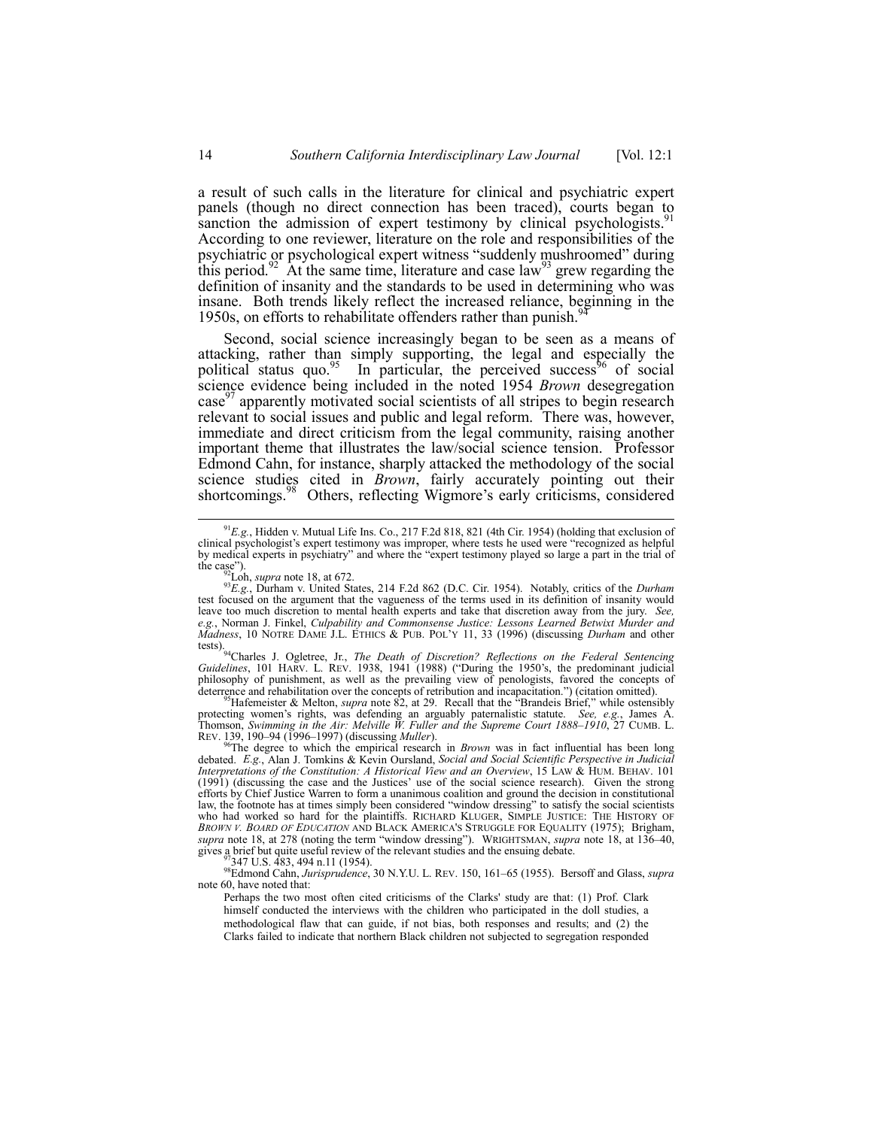a result of such calls in the literature for clinical and psychiatric expert panels (though no direct connection has been traced), courts began to sanction the admission of expert testimony by clinical psychologists.<sup>5</sup> According to one reviewer, literature on the role and responsibilities of the psychiatric or psychological expert witness "suddenly mushroomed" during this period.<sup>92</sup> At the same time, literature and case law<sup>93</sup> grew regarding the definition of insanity and the standards to be used in determining who was insane. Both trends likely reflect the increased reliance, beginning in the 1950s, on efforts to rehabilitate offenders rather than punish.<sup>94</sup>

Second, social science increasingly began to be seen as a means of attacking, rather than simply supporting, the legal and especially the political status quo.<sup>95</sup> In particular, the perceived success<sup>96</sup> of social science evidence being included in the noted 1954 *Brown* desegregation case<sup>97</sup> apparently motivated social scientists of all stripes to begin research relevant to social issues and public and legal reform. There was, however, immediate and direct criticism from the legal community, raising another important theme that illustrates the law/social science tension. Professor Edmond Cahn, for instance, sharply attacked the methodology of the social science studies cited in *Brown*, fairly accurately pointing out their shortcomings.<sup>98</sup> Others, reflecting Wigmore's early criticisms, considered

*Guidelines*, 101 HARV. L. REV. 1938, 1941 (1988) ("During the 1950's, the predominant judicial philosophy of punishment, as well as the prevailing view of penologists, favored the concepts of deterrence and rehabilitation over the concepts of retribution and incapacitation.<sup>?</sup>) (citation omitted). <sup>95</sup>Hafemeister & Melton, *supra* note 82, at 29. Recall that the "Brandeis Brief," while ostensibly

protecting womenís rights, was defending an arguably paternalistic statute. *See, e.g.*, James A. Thomson, *Swimming in the Air: Melville W. Fuller and the Supreme Court 1888*ñ*1910*, 27 CUMB. L. REV. 139, 190–94 (1996–1997) (discussing *Muller*). **96The degree to which the empirical research in** *Brown* was in fact influential has been long

debated. *E.g.*, Alan J. Tomkins & Kevin Oursland, *Social and Social Scientific Perspective in Judicial Interpretations of the Constitution: A Historical View and an Overview*, 15 LAW & HUM. BEHAV. 101 (1991) (discussing the case and the Justices' use of the social science research). Given the strong efforts by Chief Justice Warren to form a unanimous coalition and ground the decision in constitutional law, the footnote has at times simply been considered "window dressing" to satisfy the social scientists who had worked so hard for the plaintiffs. RICHARD KLUGER, SIMPLE JUSTICE: THE HISTORY OF *BROWN V. BOARD OF EDUCATION* AND BLACK AMERICA'S STRUGGLE FOR EQUALITY (1975); Brigham, *supra* note 18, at 278 (noting the term "window dressing"). WRIGHTSMAN, *supra* note 18, at 136–40, gives a brief but quite useful review of the relevant studies and the ensuing debate.

97347 U.S. 483, 494 n.11 (1954).<br><sup>97</sup>347 U.S. 483, 494 n.11 (1954).<br><sup>98</sup>Edmond Cahn, *Jurisprudence*, 30 N.Y.U. L. REV. 150, 161–65 (1955). Bersoff and Glass, *supra* note 60, have noted that:

Perhaps the two most often cited criticisms of the Clarks' study are that: (1) Prof. Clark himself conducted the interviews with the children who participated in the doll studies, a methodological flaw that can guide, if not bias, both responses and results; and (2) the Clarks failed to indicate that northern Black children not subjected to segregation responded

 <sup>91</sup>*E.g.*, Hidden v. Mutual Life Ins. Co., 217 F.2d 818, 821 (4th Cir. 1954) (holding that exclusion of clinical psychologist's expert testimony was improper, where tests he used were "recognized as helpful by medical experts in psychiatry" and where the "expert testimony played so large a part in the trial of the case<sup>3</sup>).<br>
<sup>92</sup>Loh, *supra* note 18, at 672.<br>
<sup>93</sup>*E.g.*, Durham v. United States, 214 F.2d 862 (D.C. Cir. 1954). Notably, critics of the *Durham* 

test focused on the argument that the vagueness of the terms used in its definition of insanity would leave too much discretion to mental health experts and take that discretion away from the jury. *See, e.g.*, Norman J. Finkel, *Culpability and Commonsense Justice: Lessons Learned Betwixt Murder and Madness*, 10 NOTRE DAME J.L. ETHICS & PUB. POLíY 11, 33 (1996) (discussing *Durham* and other tests).94Charles J. Ogletree, Jr., *The Death of Discretion? Reflections on the Federal Sentencing*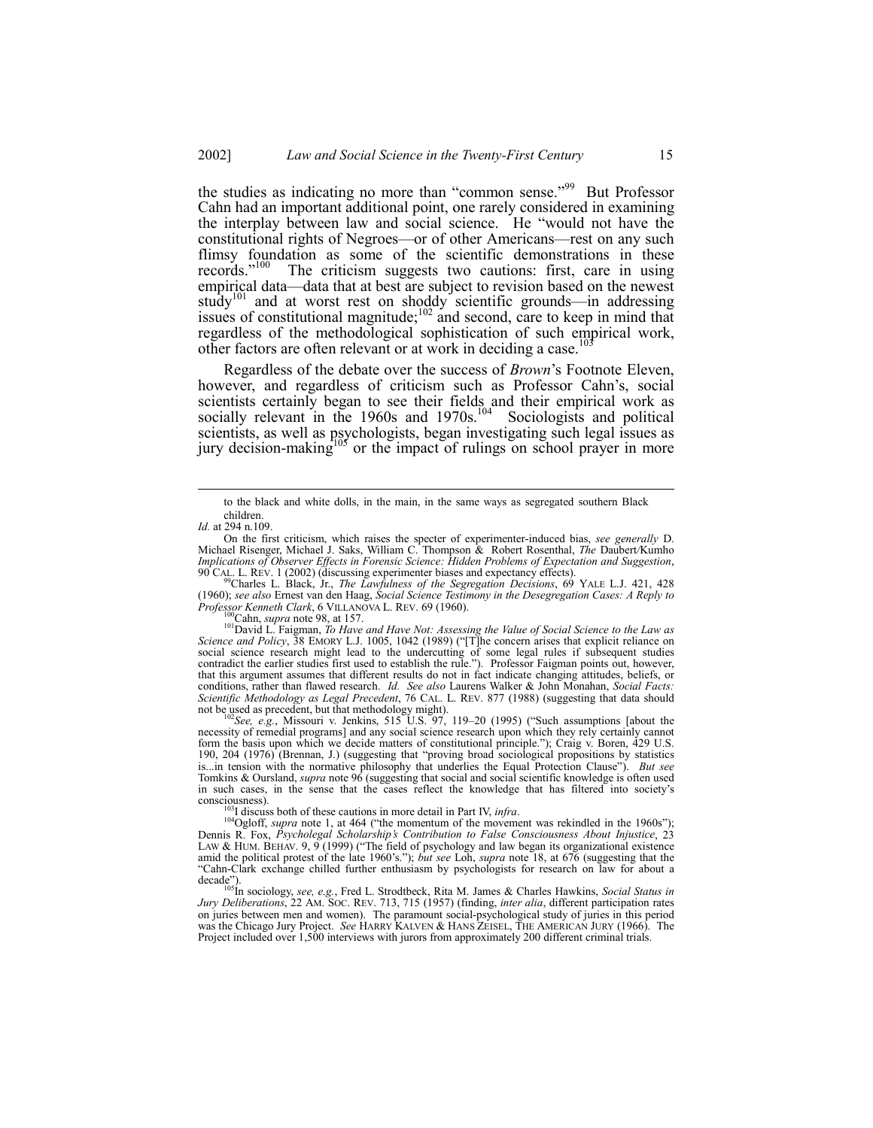the studies as indicating no more than "common sense. $\frac{1000}{9}$  But Professor Cahn had an important additional point, one rarely considered in examining the interplay between law and social science. He "would not have the constitutional rights of Negroes—or of other Americans—rest on any such flimsy foundation as some of the scientific demonstrations in these records."<sup>100</sup> The criticism suggests two cautions: first care in using The criticism suggests two cautions: first, care in using empirical data—data that at best are subject to revision based on the newest study<sup>101</sup> and at worst rest on shoddy scientific grounds—in addressing issues of constitutional magnitude; $102$  and second, care to keep in mind that regardless of the methodological sophistication of such empirical work, other factors are often relevant or at work in deciding a case.<sup>1</sup>

Regardless of the debate over the success of *Brown*ís Footnote Eleven, however, and regardless of criticism such as Professor Cahn's, social scientists certainly began to see their fields and their empirical work as socially relevant in the 1960s and 1970s.<sup>104</sup> Sociologists and political scientists, as well as psychologists, began investigating such legal issues as jury decision-making $105$  or the impact of rulings on school prayer in more

(1960); *see also* Ernest van den Haag, *Social Science Testimony in the Desegregation Cases: A Reply to Professor Kenneth Clark*, 6 VILLANOVA L. REV. 69 (1960). <sup>100</sup>Cahn, *supra* note 98, at 157. <sup>101</sup>David L. Faigman, *To Have and Have Not: Assessing the Value of Social Science to the Law as* 

*Science and Policy*, 38 EMORY L.J. 1005, 1042 (1989) ("[T]he concern arises that explicit reliance on social science research might lead to the undercutting of some legal rules if subsequent studies contradict the earlier studies first used to establish the rule."). Professor Faigman points out, however, that this argument assumes that different results do not in fact indicate changing attitudes, beliefs, or conditions, rather than flawed research. *Id. See also* Laurens Walker & John Monahan, *Social Facts: Scientific Methodology as Legal Precedent*, 76 CAL. L. REV. 877 (1988) (suggesting that data should not be used as precedent, but that methodology might). 119–20 (1995) ("Such assumptions [about the <sup>102</sup>*See, e.g.*, Missouri v. Jenkins, 515 U.S. 97, 119–20 (1995) ("Such assumptions [about the

necessity of remedial programs] and any social science research upon which they rely certainly cannot form the basis upon which we decide matters of constitutional principle."); Craig v. Boren, 429 U.S. 190, 204 (1976) (Brennan, J.) (suggesting that "proving broad sociological propositions by statistics is...in tension with the normative philosophy that underlies the Equal Protection Clause"). *But see* Tomkins & Oursland, *supra* note 96 (suggesting that social and social scientific knowledge is often used in such cases, in the sense that the cases reflect the knowledge that has filtered into society's consciousness).

<sup>103</sup>I discuss both of these cautions in more detail in Part IV, *infra*. <sup>104</sup>Ogloff, *supra* note 1, at 464 ("the momentum of the movement was rekindled in the 1960s"); Dennis R. Fox, *Psycholegal Scholarshipís Contribution to False Consciousness About Injustice*, 23 LAW & HUM. BEHAV. 9, 9 (1999) ("The field of psychology and law began its organizational existence amid the political protest of the late 1960's."); *but see* Loh, *supra* note 18, at 676 (suggesting that the ìCahn-Clark exchange chilled further enthusiasm by psychologists for research on law for about a decadeî). 105In sociology, *see, e.g.*, Fred L. Strodtbeck, Rita M. James & Charles Hawkins, *Social Status in*

*Jury Deliberations*, 22 AM. SOC. REV. 713, 715 (1957) (finding, *inter alia*, different participation rates on juries between men and women). The paramount social-psychological study of juries in this period was the Chicago Jury Project. *See* HARRY KALVEN & HANS ZEISEL, THE AMERICAN JURY (1966). The Project included over 1,500 interviews with jurors from approximately 200 different criminal trials.

to the black and white dolls, in the main, in the same ways as segregated southern Black children.

*Id.* at 294 n.109.

On the first criticism, which raises the specter of experimenter-induced bias, *see generally* D. Michael Risenger, Michael J. Saks, William C. Thompson & Robert Rosenthal, *The* Daubert*/*Kumho *Implications of Observer Effects in Forensic Science: Hidden Problems of Expectation and Suggestion*, 90 CAL. L. REV. 1 (2002) (discussing experimenter biases and expectancy effects). 99Charles L. Black, Jr., *The Lawfulness of the Segregation Decisions*, 69 YALE L.J. 421, 428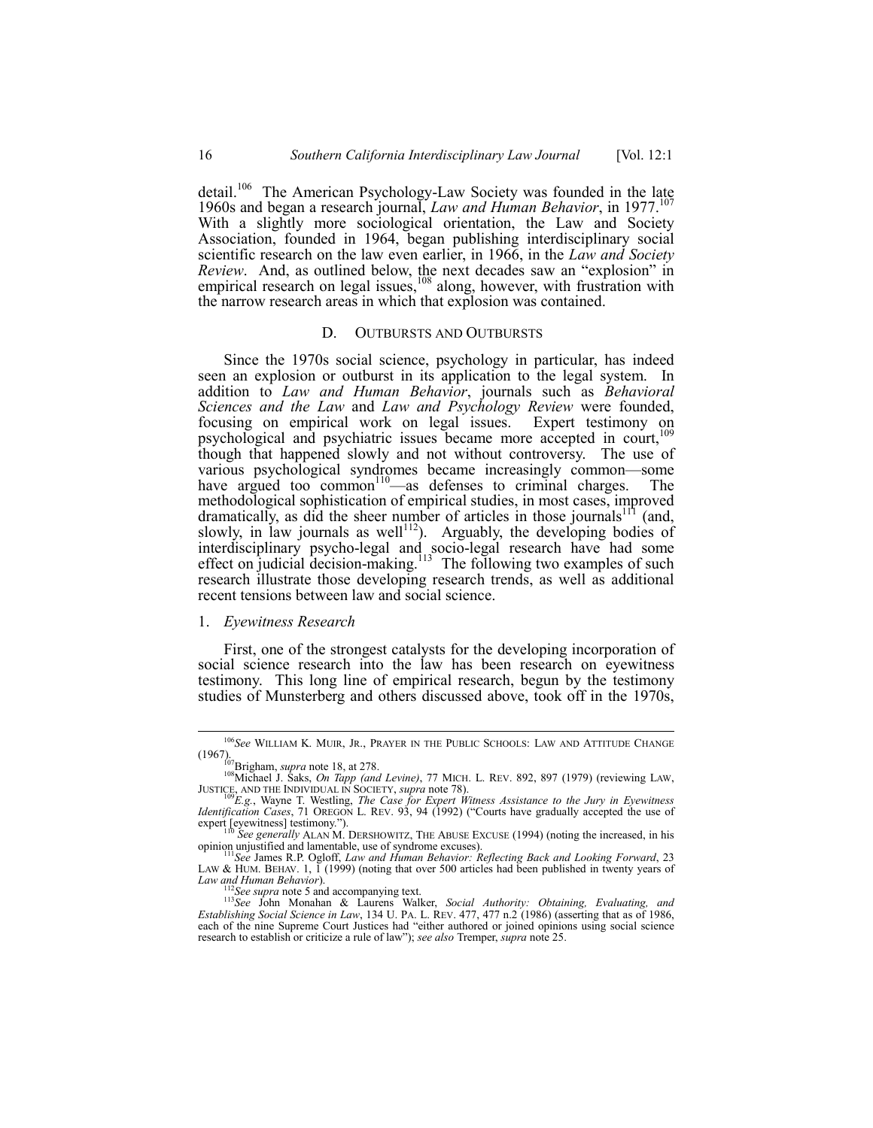detail.<sup>106</sup> The American Psychology-Law Society was founded in the late 1960s and began a research journal, *Law and Human Behavior*, in 1977.<sup>107</sup> With a slightly more sociological orientation, the Law and Society Association, founded in 1964, began publishing interdisciplinary social scientific research on the law even earlier, in 1966, in the *Law and Society Review.* And, as outlined below, the next decades saw an "explosion" in empirical research on legal issues, $108$  along, however, with frustration with the narrow research areas in which that explosion was contained.

#### D. OUTBURSTS AND OUTBURSTS

Since the 1970s social science, psychology in particular, has indeed seen an explosion or outburst in its application to the legal system. In addition to *Law and Human Behavior*, journals such as *Behavioral Sciences and the Law* and *Law and Psychology Review* were founded, focusing on empirical work on legal issues. Expert testimony on psychological and psychiatric issues became more accepted in court,<sup>1</sup> though that happened slowly and not without controversy. The use of various psychological syndromes became increasingly common—some have argued too common<sup>110</sup> $\text{--}$ as defenses to criminal charges. The methodological sophistication of empirical studies, in most cases, improved dramatically, as did the sheer number of articles in those journals<sup>111</sup> (and, slowly, in law journals as well<sup>112</sup>). Arguably, the developing bodies of interdisciplinary psycho-legal and socio-legal research have had some effect on judicial decision-making.<sup>113</sup> The following two examples of such research illustrate those developing research trends, as well as additional recent tensions between law and social science.

#### 1. *Eyewitness Research*

First, one of the strongest catalysts for the developing incorporation of social science research into the law has been research on eyewitness testimony. This long line of empirical research, begun by the testimony studies of Munsterberg and others discussed above, took off in the 1970s,

<sup>&</sup>lt;sup>106</sup>See WILLIAM K. MUIR, JR., PRAYER IN THE PUBLIC SCHOOLS: LAW AND ATTITUDE CHANGE (1967).<br>
<sup>107</sup>Brigham, *supra* note 18, at 278.

Engham, *supra* note 18, at 276.<br>
<sup>108</sup>Michael J. Saks, *On Tapp (and Levine)*, 77 MICH. L. REV. 892, 897 (1979) (reviewing LAW,<br>
JUSTICE, AND THE INDIVIDUAL IN SOCIETY, *supra* note 78).<br>
<sup>109</sup>E.g., Wayne T. Westling, *T* 

*Identification Cases*, 71 OREGON L. REV. 93, 94 (1992) ("Courts have gradually accepted the use of expert  $[$   $]$   $]$   $\alpha$   $]$   $\alpha$   $]$   $\alpha$   $]$   $\alpha$   $]$   $\alpha$   $]$   $\alpha$   $]$   $\alpha$   $]$   $\alpha$   $]$   $\alpha$   $]$   $\alpha$   $]$   $\alpha$   $]$   $\alpha$ 

See generally ALAN M. DERSHOWITZ, THE ABUSE EXCUSE (1994) (noting the increased, in his opinion unjustified and lamentable, use of syndrome excuses). <sup>111</sup>*See* James R.P. Ogloff, *Law and Human Behavior: Reflecting Back and Looking Forward*, 23

LAW & HUM. BEHAV. 1, 1 (1999) (noting that over 500 articles had been published in twenty years of Law and Human Behavior). *Law and Human Behavior*). <sup>112</sup>*See supra* note 5 and accompanying text. <sup>113</sup>*See* John Monahan & Laurens Walker, *Social Authority: Obtaining, Evaluating, and*

*Establishing Social Science in Law*, 134 U. PA. L. REV. 477, 477 n.2 (1986) (asserting that as of 1986, each of the nine Supreme Court Justices had "either authored or joined opinions using social science research to establish or criticize a rule of lawî); *see also* Tremper, *supra* note 25.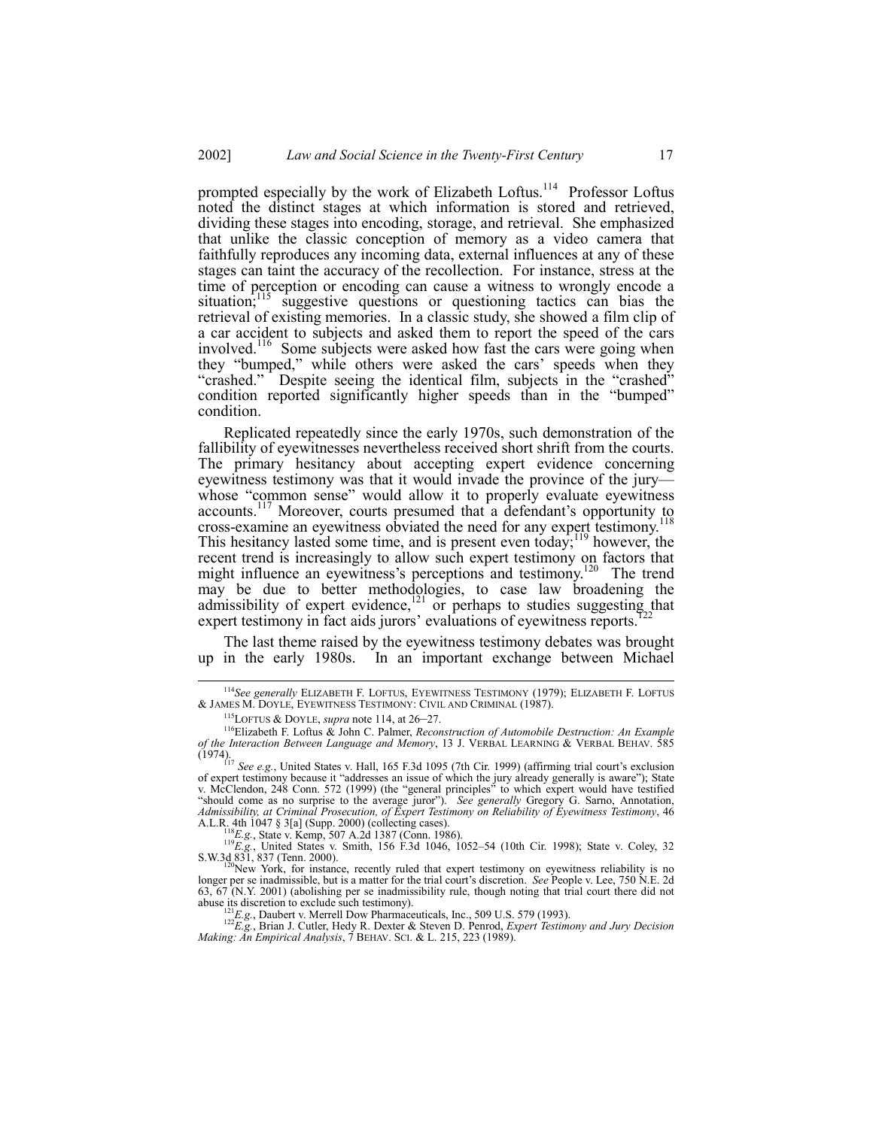prompted especially by the work of Elizabeth Loftus.<sup>114</sup> Professor Loftus noted the distinct stages at which information is stored and retrieved, dividing these stages into encoding, storage, and retrieval. She emphasized that unlike the classic conception of memory as a video camera that faithfully reproduces any incoming data, external influences at any of these stages can taint the accuracy of the recollection. For instance, stress at the time of perception or encoding can cause a witness to wrongly encode a situation;<sup>115</sup> suggestive questions or questioning tactics can bias the retrieval of existing memories. In a classic study, she showed a film clip of a car accident to subjects and asked them to report the speed of the cars involved.<sup>116</sup> Some subjects were asked how fast the cars were going when they "bumped," while others were asked the cars' speeds when they "crashed." Despite seeing the identical film, subjects in the "crashed" condition reported significantly higher speeds than in the "bumped" condition.

Replicated repeatedly since the early 1970s, such demonstration of the fallibility of eyewitnesses nevertheless received short shrift from the courts. The primary hesitancy about accepting expert evidence concerning eyewitness testimony was that it would invade the province of the jury whose "common sense" would allow it to properly evaluate eyewitness accounts.<sup>117</sup> Moreover, courts presumed that a defendant's opportunity to cross-examine an eyewitness obviated the need for any expert testimony.<sup>118</sup> This hesitancy lasted some time, and is present even today;<sup>119</sup> however, the recent trend is increasingly to allow such expert testimony on factors that might influence an eyewitness's perceptions and testimony.<sup>120</sup> The trend may be due to better methodologies, to case law broadening the admissibility of expert evidence, $121$  or perhaps to studies suggesting that expert testimony in fact aids jurors' evaluations of eyewitness reports.<sup>1</sup>

The last theme raised by the eyewitness testimony debates was brought up in the early 1980s. In an important exchange between Michael

S.W.3d 831, 837 (Tenn. 2000).<br><sup>120</sup>New York, for instance, recently ruled that expert testimony on eyewitness reliability is no

 <sup>114</sup>*See generally* ELIZABETH F. LOFTUS, EYEWITNESS TESTIMONY (1979); ELIZABETH F. LOFTUS & JAMES M. DOYLE, EYEWITNESS TESTIMONY: CIVIL AND CRIMINAL (1987).

<sup>&</sup>lt;sup>115</sup>LOFTUS & DOYLE, *supra* note 114, at 26–27.<br><sup>116</sup>Elizabeth F. Loftus & John C. Palmer, *Reconstruction of Automobile Destruction: An Example of the Interaction Between Language and Memory*, 13 J. VERBAL LEARNING & VERBAL BEHAV. 585 (1974). <sup>117</sup> *See e.g.*, United States v. Hall, 165 F.3d 1095 (7th Cir. 1999) (affirming trial courtís exclusion

of expert testimony because it "addresses an issue of which the jury already generally is aware"); State of expert testimony because it "addresses an issue of which the *jury* already generally is aware"); State<br>v. McClendon, 248 Conn. 572 (1999) (the "general principles" to which expert would have testified ìshould come as no surprise to the average jurorî). *See generally* Gregory G. Sarno, Annotation, *Admissibility, at Criminal Prosecution, of Expert Testimony on Reliability of Eyewitness Testimony*, 46 A.L.R. 4th 1047 § 3[a] (Supp. 2000) (collecting cases).<br><sup>118</sup>*E.g.*, State v. Kemp, 507 A.2d 1387 (Conn. 1986). <sup>119</sup>*E.g.*, United States v. Smith, 156 F.3d 1046, 1052–54 (10th Cir. 1998); State v. Coley, 32

longer per se inadmissible, but is a matter for the trial court's discretion. *See* People v. Lee, 750 N.E. 2d 63, 67 (N.Y. 2001) (abolishing per se inadmissibility rule, though noting that trial court there did not abuse its discretion to exclude such testimony).<br> $^{121}$ E a. Daubert y Marcall Dau Dhamman.

 $^{121}E$ g., Daubert v. Merrell Dow Pharmaceuticals, Inc., 509 U.S. 579 (1993).<br><sup>122</sup>E.g., Daubert v. Merrell Dow Pharmaceuticals, Inc., 509 U.S. 579 (1993). *Making: An Empirical Analysis*, 7 BEHAV. SCI. & L. 215, 223 (1989).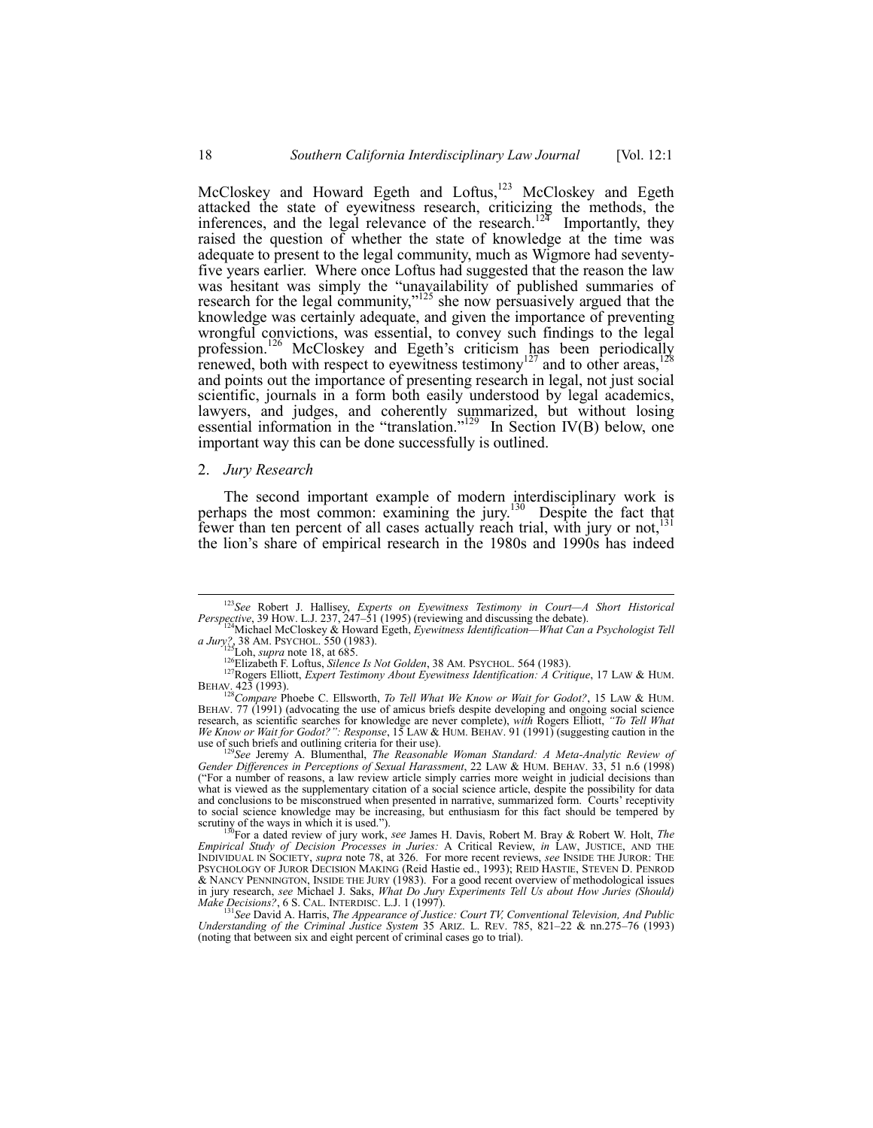McCloskey and Howard Egeth and Loftus,<sup>123</sup> McCloskey and Egeth attacked the state of eyewitness research, criticizing the methods, the inferences, and the legal relevance of the research.<sup>124</sup> Importantly, they raised the question of whether the state of knowledge at the time was adequate to present to the legal community, much as Wigmore had seventyfive years earlier. Where once Loftus had suggested that the reason the law was hesitant was simply the "unavailability of published summaries of research for the legal community," $125$  she now persuasively argued that the knowledge was certainly adequate, and given the importance of preventing wrongful convictions, was essential, to convey such findings to the legal profession.<sup>126</sup> McCloskey and Egeth's criticism has been periodically renewed, both with respect to eyewitness testimony<sup>127</sup> and to other areas,<sup>128</sup> and points out the importance of presenting research in legal, not just social scientific, journals in a form both easily understood by legal academics, lawyers, and judges, and coherently summarized, but without losing essential information in the "translation."<sup>129</sup> In Section IV(B) below, one important way this can be done successfully is outlined.

#### 2. *Jury Research*

The second important example of modern interdisciplinary work is perhaps the most common: examining the jury.<sup>130</sup> Despite the fact that fewer than ten percent of all cases actually reach trial, with jury or not,<sup>1</sup> the lionís share of empirical research in the 1980s and 1990s has indeed

<sup>&</sup>lt;sup>123</sup>See Robert J. Hallisey, *Experts on Eyewitness Testimony in Court*—A Short Historical *Perspective*, 39 HOW. L.J. 237, 247–51 (1995) (reviewing and discussing the debate). <sup>124</sup>Michael McCloskey & Howard Egeth, *Eyewitness Identification—What Can a Psychologist Tell* 

a Jury? 38 AM. PSYCHOL. 550 (1983).<br>
<sup>125</sup>Loh, *supra* note 18, at 685.<br>
<sup>126</sup>Elizabeth F. Loftus, *Silence Is Not Golden*, 38 AM. PSYCHOL. 564 (1983).<br>
<sup>127</sup>Rogers Elliott, *Expert Testimony About Eyewitness Identificati* 

<sup>128</sup>*Compare* Phoebe C. Ellsworth, *To Tell What We Know or Wait for Godot?*, 15 LAW & HUM.

BEHAV. 77 (1991) (advocating the use of amicus briefs despite developing and ongoing social science research, as scientific searches for knowledge are never complete), *with* Rogers Elliott, *ìTo Tell What We Know or Wait for Godot?î: Response*, 15 LAW & HUM. BEHAV. 91 (1991) (suggesting caution in the use of such briefs and outlining criteria for their use). <sup>129</sup>*See* Jeremy A. Blumenthal, *The Reasonable Woman Standard: A Meta-Analytic Review of*

*Gender Differences in Perceptions of Sexual Harassment*, 22 LAW & HUM. BEHAV. 33, 51 n.6 (1998) (ìFor a number of reasons, a law review article simply carries more weight in judicial decisions than what is viewed as the supplementary citation of a social science article, despite the possibility for data and conclusions to be misconstrued when presented in narrative, summarized form. Courts' receptivity to social science knowledge may be increasing, but enthusiasm for this fact should be tempered by scrutting of the ways in which it is used.").

scrutiny of the ways in which it is used.î). 130For a dated review of jury work, *see* James H. Davis, Robert M. Bray & Robert W. Holt, *The Empirical Study of Decision Processes in Juries:* A Critical Review, *in* LAW, JUSTICE, AND THE INDIVIDUAL IN SOCIETY, *supra* note 78, at 326. For more recent reviews, *see* INSIDE THE JUROR: THE PSYCHOLOGY OF JUROR DECISION MAKING (Reid Hastie ed., 1993); REID HASTIE, STEVEN D. PENROD & NANCY PENNINGTON, INSIDE THE JURY (1983). For a good recent overview of methodological issues in jury research, *see* Michael J. Saks, *What Do Jury Experiments Tell Us about How Juries (Should)*

Make Decisions?, 6 S. CAL. INTERDISC. L.J. 1 (1997).<br><sup>131</sup>See David A. Harris, *The Appearance of Justice: Court TV, Conventional Television, And Public*<br>Understanding of the Criminal Justice System 35 ARIZ. L. REV. 785, 8 (noting that between six and eight percent of criminal cases go to trial).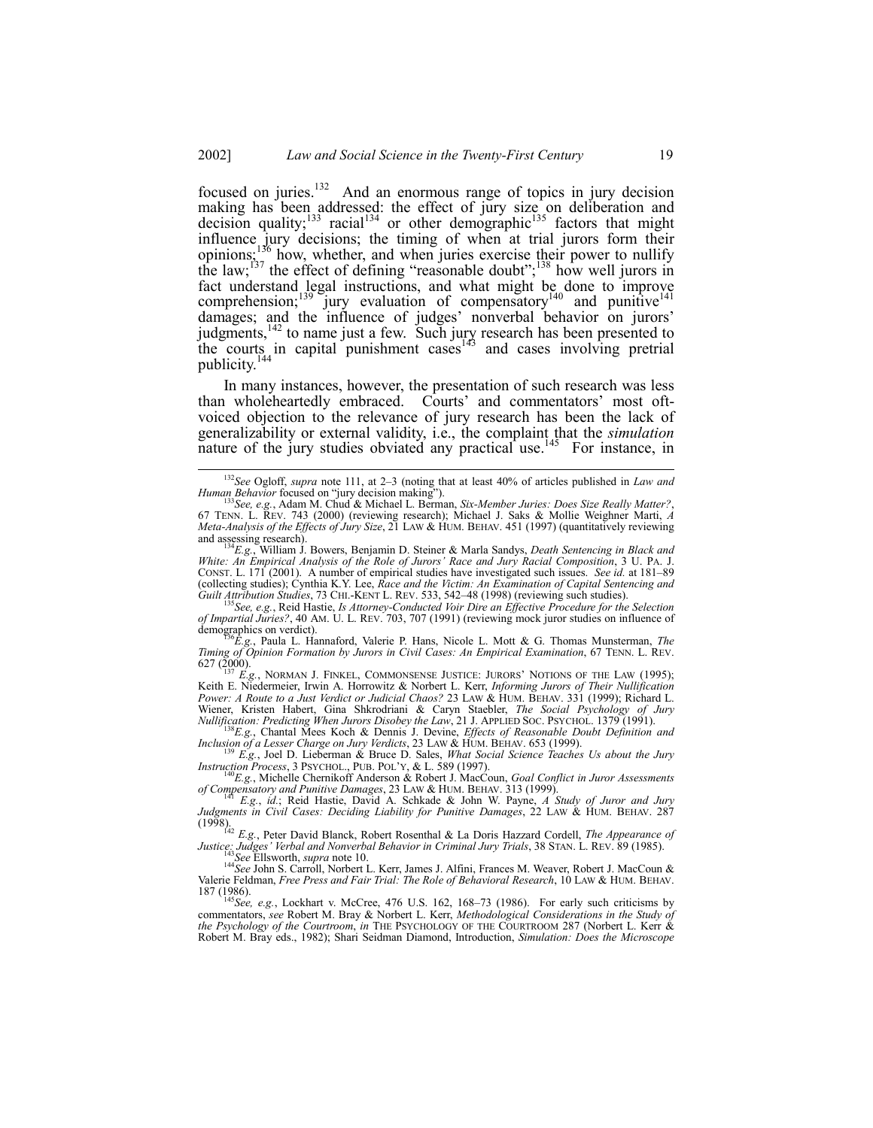focused on juries.<sup>132</sup> And an enormous range of topics in jury decision making has been addressed: the effect of jury size on deliberation and decision quality;<sup>133</sup> racial<sup>134</sup> or other demographic<sup>135</sup> factors that might influence jury decisions; the timing of when at trial jurors form their opinions;<sup>136</sup> how, whether, and when juries exercise their power to nullify the law;<sup>137</sup> the effect of defining "reasonable doubt";<sup>138</sup> how well jurors in fact understand legal instructions, and what might be done to improve comprehension;<sup>139</sup> jury evaluation of compensatory<sup>140</sup> and punitive<sup>141</sup> damages; and the influence of judges' nonverbal behavior on jurors' judgments,<sup>142</sup> to name just a few. Such jury research has been presented to the courts in capital punishment cases<sup>143</sup> and cases involving pretrial publicity.<sup>144</sup>

In many instances, however, the presentation of such research was less than wholeheartedly embraced. Courts' and commentators' most oftvoiced objection to the relevance of jury research has been the lack of generalizability or external validity, i.e., the complaint that the *simulation* nature of the jury studies obviated any practical use.<sup>145</sup> For instance, in

Guilt Attribution Studies, 73 CHL-KENT L. REV. 533, 542–48 (1998) (reviewing such studies).<br><sup>135</sup>See, e.g., Reid Hastie, *Is Attorney-Conducted Voir Dire an Effective Procedure for the Selection*<br>of Impartial Juries?, 40 A

demographics on verdict).<br><sup>156</sup>E.g., Paula L. Hannaford, Valerie P. Hans, Nicole L. Mott & G. Thomas Munsterman, *The*<br>*Timing of Opinion Formation by Jurors in Civil Cases: An Empirical Examination*, 67 TENN. L. REV. 627 (2000).<br><sup>137</sup> *E.g.*, Norman J. Finkel, Commonsense Justice: Jurors' Notions of the Law (1995);

Keith E. Niedermeier, Irwin A. Horrowitz & Norbert L. Kerr, *Informing Jurors of Their Nullification Power: A Route to a Just Verdict or Judicial Chaos?* 23 LAW & HUM. BEHAV. 331 (1999); Richard L. Wiener, Kristen Habert, Gina Shkrodriani & Caryn Staebler, *The Social Psychology of Jury*<br>*Nullification: Predicting When Jurors Disobey the Law*, 21 J. APPLIED SOC. PSYCHOL. 1379 (1991).<br><sup>138</sup>E.g., Chantal Mees Koch & De

*Inclusion of a Lesser Charge on Jury Verdicts*, 23 LAW & HUM. BEHAV. 653 (1999). 139 *E.g.*, Joel D. Lieberman & Bruce D. Sales, *What Social Science Teaches Us about the Jury Instruction Process*, 3 PSYCHOL., PUB. POL' *Instruction Process*, 3 PSYCHOL., PUB. POLíY, & L. 589 (1997). <sup>140</sup>*E.g.*, Michelle Chernikoff Anderson & Robert J. MacCoun, *Goal Conflict in Juror Assessments*

*of Compensatory and Punitive Damages*, 23 LAW & HUM. BEHAV. 313 (1999). <sup>141</sup> *E.g.*, *id.*; Reid Hastie, David A. Schkade & John W. Payne, *A Study of Juror and Jury*

*Judgments in Civil Cases: Deciding Liability for Punitive Damages*, 22 LAW & HUM. BEHAV. 287

(1998). <sup>142</sup> *E.g.*, Peter David Blanck, Robert Rosenthal & La Doris Hazzard Cordell, *The Appearance of* Justice: Judges' Verbal and Nonverbal Behavior in Criminal Jury Trials, 38 STAN. L. REV. 89 (1985).<br><sup>143</sup>See Ellsworth, *supra* note 10.<br><sup>144</sup>See Ellsworth, *supra* note 10.<br><sup>144</sup>See John S. Carroll, Norbert L. Kerr, James

Valerie Feldman, *Free Press and Fair Trial: The Role of Behavioral Research*, 10 LAW & HUM. BEHAV.<br>187 (1986). <sup>145</sup>*See, e.g.*, Lockhart v. McCree, 476 U.S. 162, 168–73 (1986). For early such criticisms by commentators, *see* Robert M. Bray & Norbert L. Kerr, *Methodological Considerations in the Study of the Psychology of the Courtroom, in* The Psychological Considerations in the Study of the Psychology of the Courtroom, in The Psychology of The COURTROOM 287 (Norbert L. Kerr & Robert M. Bray eds., 1982); Shari Seidman Diamond, Introduction, *Simulation: Does the Microscope*

<sup>&</sup>lt;sup>132</sup>See Ogloff, *supra* note 111, at 2–3 (noting that at least 40% of articles published in *Law and Human, Behavior* focused on "jury decision making").

<sup>133</sup>See, e.g., Adam M. Chud & Michael L. Berman, Six-Member Juries: Does Size Really Matter?,<br>67 TENN. L. REV. 743 (2000) (reviewing research); Michael J. Saks & Mollie Weighner Marti, A *Meta-Analysis of the Effects of Jury Size*, 21 LAW & HUM. BEHAV. 451 (1997) (quantitatively reviewing and assessing research). <sup>134</sup>*E.g.*, William J. Bowers, Benjamin D. Steiner & Marla Sandys, *Death Sentencing in Black and*

*White: An Empirical Analysis of the Role of Jurors' Race and Jury Racial Composition*, 3 U. PA. J. CONST. L. 171 (2001). A number of empirical studies have investigated such issues. *See id.* at 181–89 (collecting studies); Cynthia K.Y. Lee, *Race and the Victim: An Examination of Capital Sentencing and*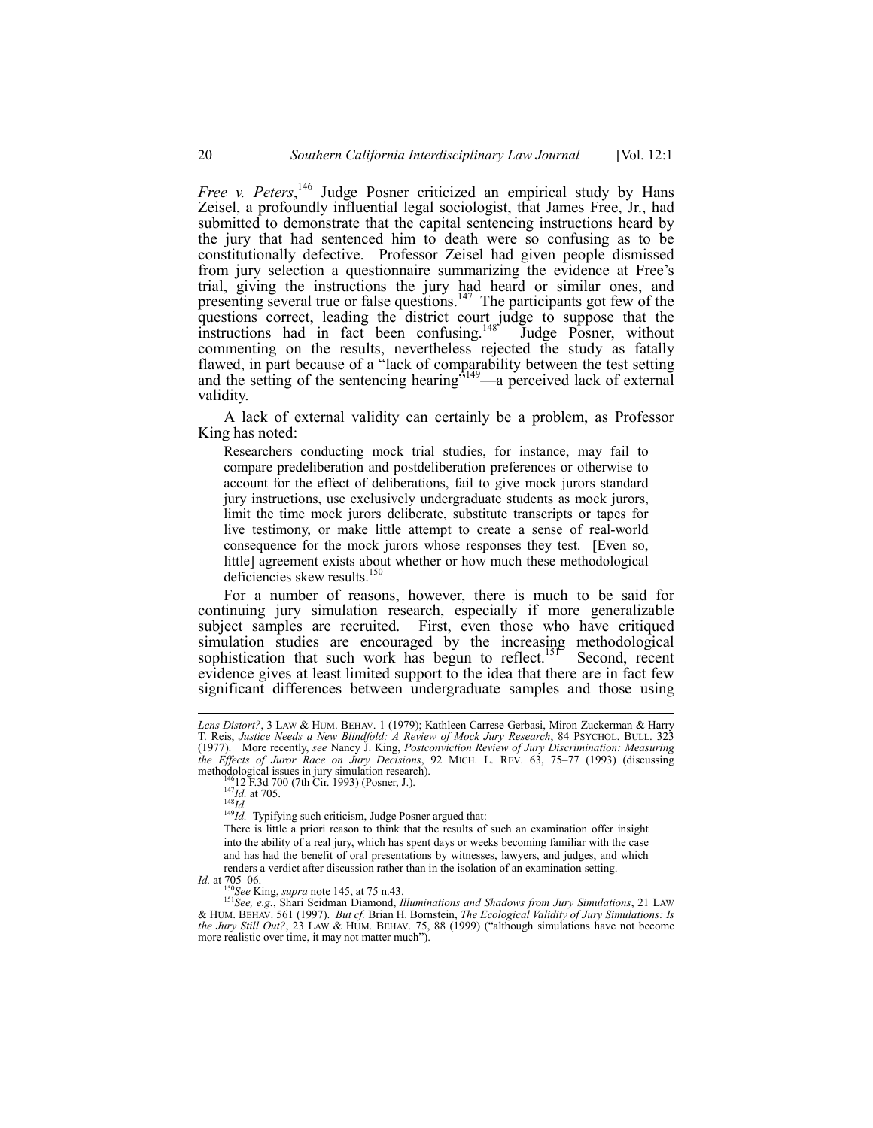*Free v. Peters*, 146 Judge Posner criticized an empirical study by Hans Zeisel, a profoundly influential legal sociologist, that James Free, Jr., had submitted to demonstrate that the capital sentencing instructions heard by the jury that had sentenced him to death were so confusing as to be constitutionally defective. Professor Zeisel had given people dismissed from jury selection a questionnaire summarizing the evidence at Free's trial, giving the instructions the jury had heard or similar ones, and presenting several true or false questions.<sup>147</sup> The participants got few of the questions correct, leading the district court judge to suppose that the instructions had in fact been confusing.<sup>148</sup> Judge Posner, without commenting on the results, nevertheless rejected the study as fatally flawed, in part because of a "lack of comparability between the test setting and the setting of the sentencing hearing<sup> $5149$ </sup>—a perceived lack of external validity.

A lack of external validity can certainly be a problem, as Professor King has noted:

Researchers conducting mock trial studies, for instance, may fail to compare predeliberation and postdeliberation preferences or otherwise to account for the effect of deliberations, fail to give mock jurors standard jury instructions, use exclusively undergraduate students as mock jurors, limit the time mock jurors deliberate, substitute transcripts or tapes for live testimony, or make little attempt to create a sense of real-world consequence for the mock jurors whose responses they test. [Even so, little] agreement exists about whether or how much these methodological deficiencies skew results.<sup>150</sup>

For a number of reasons, however, there is much to be said for continuing jury simulation research, especially if more generalizable subject samples are recruited. First, even those who have critiqued simulation studies are encouraged by the increasing methodological sophistication that such work has begun to reflect.<sup>151°</sup> Second, recent evidence gives at least limited support to the idea that there are in fact few significant differences between undergraduate samples and those using

l

methodological issues in jury simulation research).<br>
1461 2 F.3d 700 (7th Cir. 1993) (Posner, J.).<br>
<sup>148</sup>*Id.* 149*Id.* Typifying such criticism, Judge Posner argued that:

There is little a priori reason to think that the results of such an examination offer insight into the ability of a real jury, which has spent days or weeks becoming familiar with the case and has had the benefit of oral presentations by witnesses, lawyers, and judges, and which renders a verdict after discussion rather than in the isolation of an examination setting.<br>Id. at 705–06.

*Id.* at 705–06.<br><sup>150</sup>*See King, supra* note 145, at 75 n.43.<br><sup>151</sup>*See, e.g.*, Shari Seidman Diamond, *Illuminations and Shadows from Jury Simulations*, 21 LAW & HUM. BEHAV. 561 (1997). *But cf.* Brian H. Bornstein, *The Ecological Validity of Jury Simulations: Is the Jury Still Out?*, 23 LAW & HUM. BEHAV. 75, 88 (1999) (ìalthough simulations have not become more realistic over time, it may not matter much").

*Lens Distort?*, 3 LAW & HUM. BEHAV. 1 (1979); Kathleen Carrese Gerbasi, Miron Zuckerman & Harry T. Reis, *Justice Needs a New Blindfold: A Review of Mock Jury Research*, 84 PSYCHOL. BULL. 323 (1977). More recently, *see* Nancy J. King, *Postconviction Review of Jury Discrimination: Measuring the Effects of Juror Race on Jury Decisions*, 92 MICH. L. REV. 63, 75–77 (1993) (discussing<br>methodological issues in jury simulation research).<br> $\frac{146}{140 \text{ N}}$  and  $\frac{24}{140 \text{ N}}$  minutes in jury simulation research).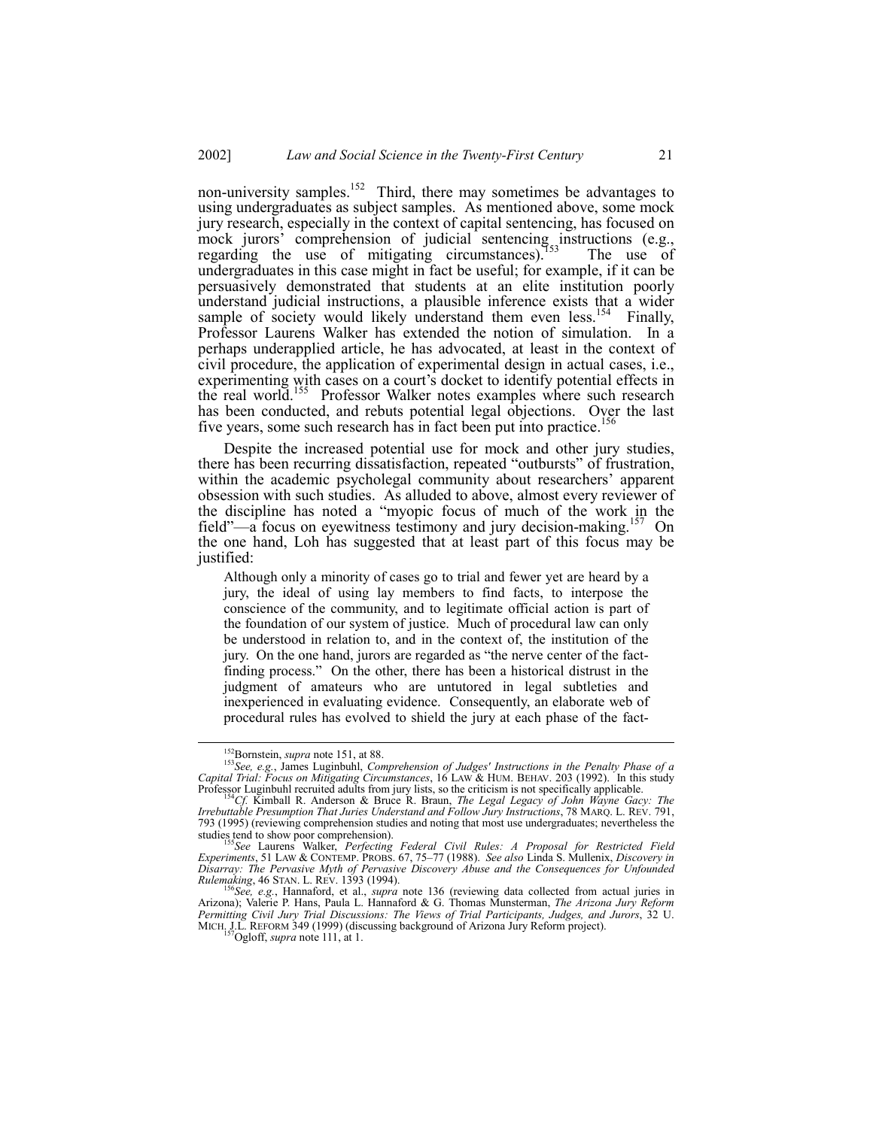non-university samples.<sup>152</sup> Third, there may sometimes be advantages to using undergraduates as subject samples. As mentioned above, some mock jury research, especially in the context of capital sentencing, has focused on mock jurors' comprehension of judicial sentencing instructions (e.g., regarding the use of mitigating circumstances). The use of regarding the use of mitigating circumstances).<sup>1</sup> undergraduates in this case might in fact be useful; for example, if it can be persuasively demonstrated that students at an elite institution poorly understand judicial instructions, a plausible inference exists that a wider sample of society would likely understand them even less.<sup>154</sup> Finally, Professor Laurens Walker has extended the notion of simulation. In a perhaps underapplied article, he has advocated, at least in the context of civil procedure, the application of experimental design in actual cases, i.e., experimenting with cases on a court's docket to identify potential effects in the real world.<sup>155</sup> Professor Walker notes examples where such research has been conducted, and rebuts potential legal objections. Over the last five years, some such research has in fact been put into practice.<sup>156</sup>

Despite the increased potential use for mock and other jury studies, there has been recurring dissatisfaction, repeated "outbursts" of frustration, within the academic psycholegal community about researchers' apparent obsession with such studies. As alluded to above, almost every reviewer of the discipline has noted a "myopic focus of much of the work in the field"—a focus on eyewitness testimony and jury decision-making.<sup>157</sup> On the one hand, Loh has suggested that at least part of this focus may be justified:

Although only a minority of cases go to trial and fewer yet are heard by a jury, the ideal of using lay members to find facts, to interpose the conscience of the community, and to legitimate official action is part of the foundation of our system of justice. Much of procedural law can only be understood in relation to, and in the context of, the institution of the jury. On the one hand, jurors are regarded as "the nerve center of the factfinding process." On the other, there has been a historical distrust in the judgment of amateurs who are untutored in legal subtleties and inexperienced in evaluating evidence. Consequently, an elaborate web of procedural rules has evolved to shield the jury at each phase of the fact-

<sup>&</sup>lt;sup>152</sup>Bornstein, *supra* note 151, at 88.<br><sup>153</sup>*See, e.g.*, James Luginbuhl, *Comprehension of Judges' Instructions in the Penalty Phase of a Capital Trial: Focus on Mitigating Circumstances*, 16 LAW & HUM. BEHAV. 203 (1992). In this study Professor Luginbuhl recruited adults from jury lists, so the criticism is not specifically applicable. <sup>154</sup>*Cf.* Kimball R. Anderson & Bruce R. Braun, *The Legal Legacy of John Wayne Gacy: The*

*Irrebuttable Presumption That Juries Understand and Follow Jury Instructions*, 78 MARQ. L. REV. 791, 793 (1995) (reviewing comprehension studies and noting that most use undergraduates; nevertheless the studies tend to show poor comprehension).

studies tend to show poor comprehension).<br><sup>155</sup>See Laurens Walker, *Perfecting Federal Civil Rules: A Proposal for Restricted Field*<br>Experiments, 51 LAW & CONTEMP. PROBS. 67, 75–77 (1988). *See also* Linda S. Mullenix, *Di Disarray: The Pervasive Myth of Pervasive Discovery Abuse and the Consequences for Unfounded Rulemaking*, 46 STAN. L. REV. 1393 (1994). <sup>156</sup>*See, e.g.*, Hannaford, et al., *supra* note 136 (reviewing data collected from actual juries in

Arizona); Valerie P. Hans, Paula L. Hannaford & G. Thomas Munsterman, *The Arizona Jury Reform* Permitting Civil Jury Trial Discussions: The Views of Trial Participants, Judges, and Jurors, 32 U.<br>MICH. J.L. REFORM 349 (1999) (discussing background of Arizona Jury Reform project).<br><sup>157</sup>Ogloff, supra note 111, at 1.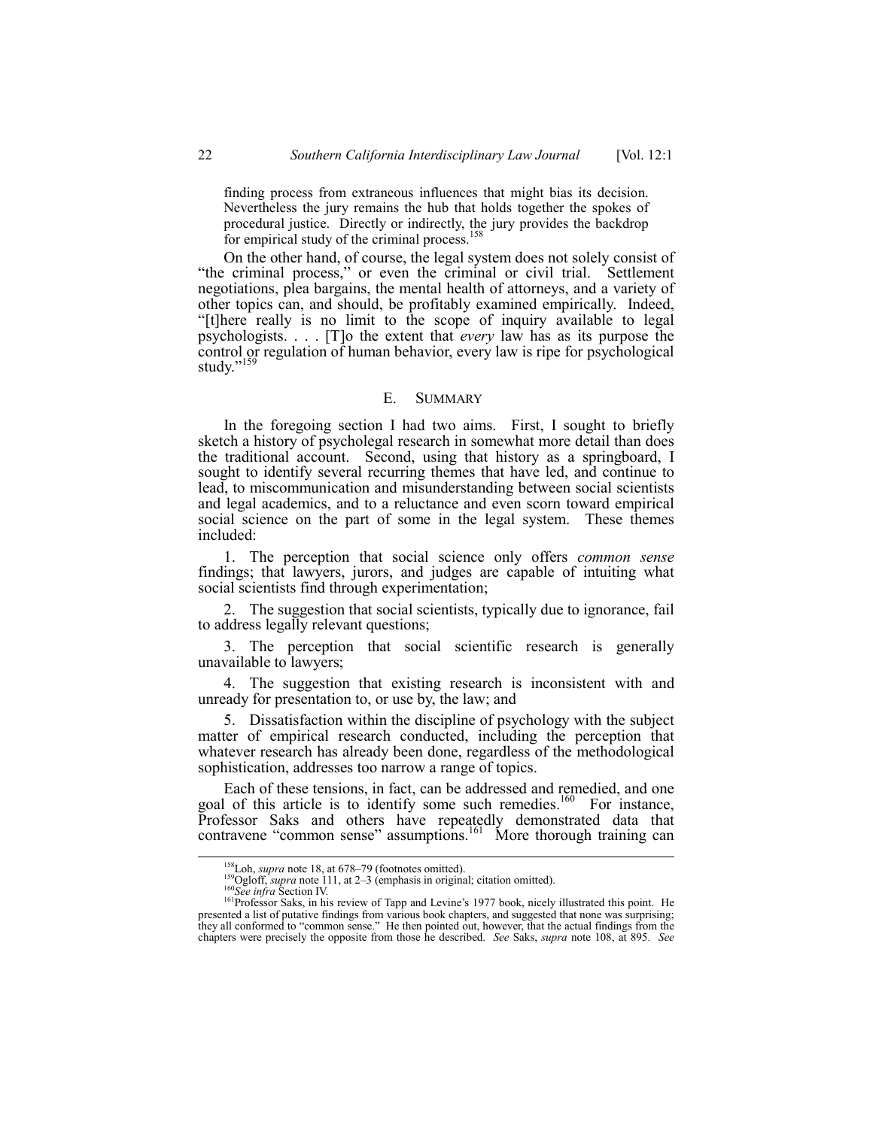finding process from extraneous influences that might bias its decision. Nevertheless the jury remains the hub that holds together the spokes of procedural justice. Directly or indirectly, the jury provides the backdrop for empirical study of the criminal process.<sup>158</sup>

On the other hand, of course, the legal system does not solely consist of "the criminal process," or even the criminal or civil trial. Settlement negotiations, plea bargains, the mental health of attorneys, and a variety of other topics can, and should, be profitably examined empirically. Indeed, "[t]here really is no limit to the scope of inquiry available to legal psychologists. . . . [T]o the extent that *every* law has as its purpose the control or regulation of human behavior, every law is ripe for psychological study."<sup>159</sup>

## E. SUMMARY

In the foregoing section I had two aims. First, I sought to briefly sketch a history of psycholegal research in somewhat more detail than does the traditional account. Second, using that history as a springboard, I sought to identify several recurring themes that have led, and continue to lead, to miscommunication and misunderstanding between social scientists and legal academics, and to a reluctance and even scorn toward empirical social science on the part of some in the legal system. These themes included:

1. The perception that social science only offers *common sense* findings; that lawyers, jurors, and judges are capable of intuiting what social scientists find through experimentation;

2. The suggestion that social scientists, typically due to ignorance, fail to address legally relevant questions;

3. The perception that social scientific research is generally unavailable to lawyers;

4. The suggestion that existing research is inconsistent with and unready for presentation to, or use by, the law; and

5. Dissatisfaction within the discipline of psychology with the subject matter of empirical research conducted, including the perception that whatever research has already been done, regardless of the methodological sophistication, addresses too narrow a range of topics.

Each of these tensions, in fact, can be addressed and remedied, and one goal of this article is to identify some such remedies.<sup>160</sup> For instance, Professor Saks and others have repeatedly demonstrated data that contravene "common sense" assumptions.<sup>161</sup> More thorough training can

<sup>&</sup>lt;sup>158</sup>Loh, *supra* note 18, at 678–79 (footnotes omitted).<br><sup>159</sup>Ogloff, *supra* note 111, at 2–3 (emphasis in original; citation omitted).<br><sup>160</sup>See infra Section IV.<br><sup>161</sup>Professor Saks, in his review of Tapp and Levine's presented a list of putative findings from various book chapters, and suggested that none was surprising; they all conformed to "common sense." He then pointed out, however, that the actual findings from the chapters were precisely the opposite from those he described. *See* Saks, *supra* note 108, at 895. *See*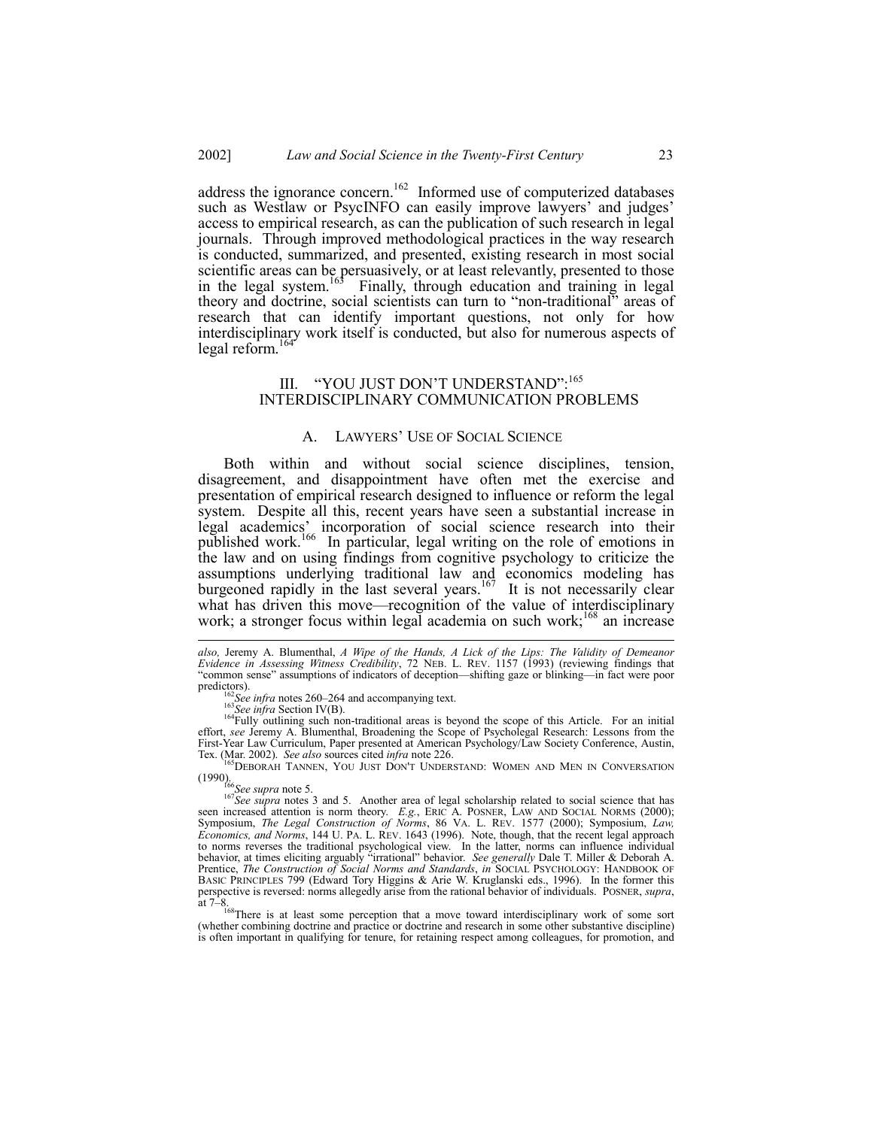address the ignorance concern.<sup>162</sup> Informed use of computerized databases such as Westlaw or PsycINFO can easily improve lawyers' and judges' access to empirical research, as can the publication of such research in legal journals. Through improved methodological practices in the way research is conducted, summarized, and presented, existing research in most social scientific areas can be persuasively, or at least relevantly, presented to those in the legal system.<sup>163</sup> Finally, through education and training in legal theory and doctrine, social scientists can turn to "non-traditional" areas of research that can identify important questions, not only for how interdisciplinary work itself is conducted, but also for numerous aspects of legal reform. $164$ 

## III. "YOU JUST DON'T UNDERSTAND": 165 INTERDISCIPLINARY COMMUNICATION PROBLEMS

## A. LAWYERS' USE OF SOCIAL SCIENCE

Both within and without social science disciplines, tension, disagreement, and disappointment have often met the exercise and presentation of empirical research designed to influence or reform the legal system. Despite all this, recent years have seen a substantial increase in legal academics' incorporation of social science research into their published work.166 In particular, legal writing on the role of emotions in the law and on using findings from cognitive psychology to criticize the assumptions underlying traditional law and economics modeling has burgeoned rapidly in the last several years.<sup>167</sup> It is not necessarily clear what has driven this move—recognition of the value of interdisciplinary work; a stronger focus within legal academia on such work;<sup>168</sup> an increase

<sup>162</sup>*See infra* notes 260–264 and accompanying text.<br><sup>163</sup>*See infra* Section IV(B).<br><sup>164</sup>Fully outlining such non-traditional areas is beyond the scope of this Article. For an initial effort, *see* Jeremy A. Blumenthal, Broadening the Scope of Psycholegal Research: Lessons from the First-Year Law Curriculum, Paper presented at American Psychology/Law Society Conference, Austin,

Tex. (Mar. 2002). *See also* sources cited *infra* note 226.<br><sup>165</sup>DEBORAH TANNEN, YOU JUST DON'T UNDERSTAND: WOMEN AND MEN IN CONVERSATION<br>(1990).<br><sup>166</sup><sub>See sunra note 5.</sub>

l

<sup>167</sup>See *supra* notes 3 and 5. Another area of legal scholarship related to social science that has seen increased attention is norm theory. *E.g.*, ERIC A. POSNER, LAW AND SOCIAL NORMS (2000); Symposium, *The Legal Construction of Norms*, 86 VA. L. REV. 1577 (2000); Symposium, *Law, Economics, and Norms*, 144 U. PA. L. REV. 1643 (1996). Note, though, that the recent legal approach to norms reverses the traditional psychological view. In the latter, norms can influence individual<br>behavior, at times eliciting arguably "irrational" behavior. *See generally* Dale T. Miller & Deborah A. Prentice, *The Construction of Social Norms and Standards*, *in* SOCIAL PSYCHOLOGY: HANDBOOK OF BASIC PRINCIPLES 799 (Edward Tory Higgins & Arie W. Kruglanski eds., 1996). In the former this perspective is reversed: norms allegedly arise from the rational behavior of individuals. POSNER, *supra*, perspective is reversed: norms allegedly arise from the rational behavior of individuals. POSNER, *supra*, at 7–8.<br>at 7–8.<br>(whether combining doctrine and practice or doctrine and research in some other substantive discipl

(whether combining doctrine and practice or doctrine and research in some other substantive discipline) is often important in qualifying for tenure, for retaining respect among colleagues, for promotion, and

*also,* Jeremy A. Blumenthal, *A Wipe of the Hands, A Lick of the Lips: The Validity of Demeanor Evidence in Assessing Witness Credibility*, 72 NEB. L. REV. 1157 (1993) (reviewing findings that "common sense" assumptions of indicators of deception—shifting gaze or blinking—in fact were poor predictors).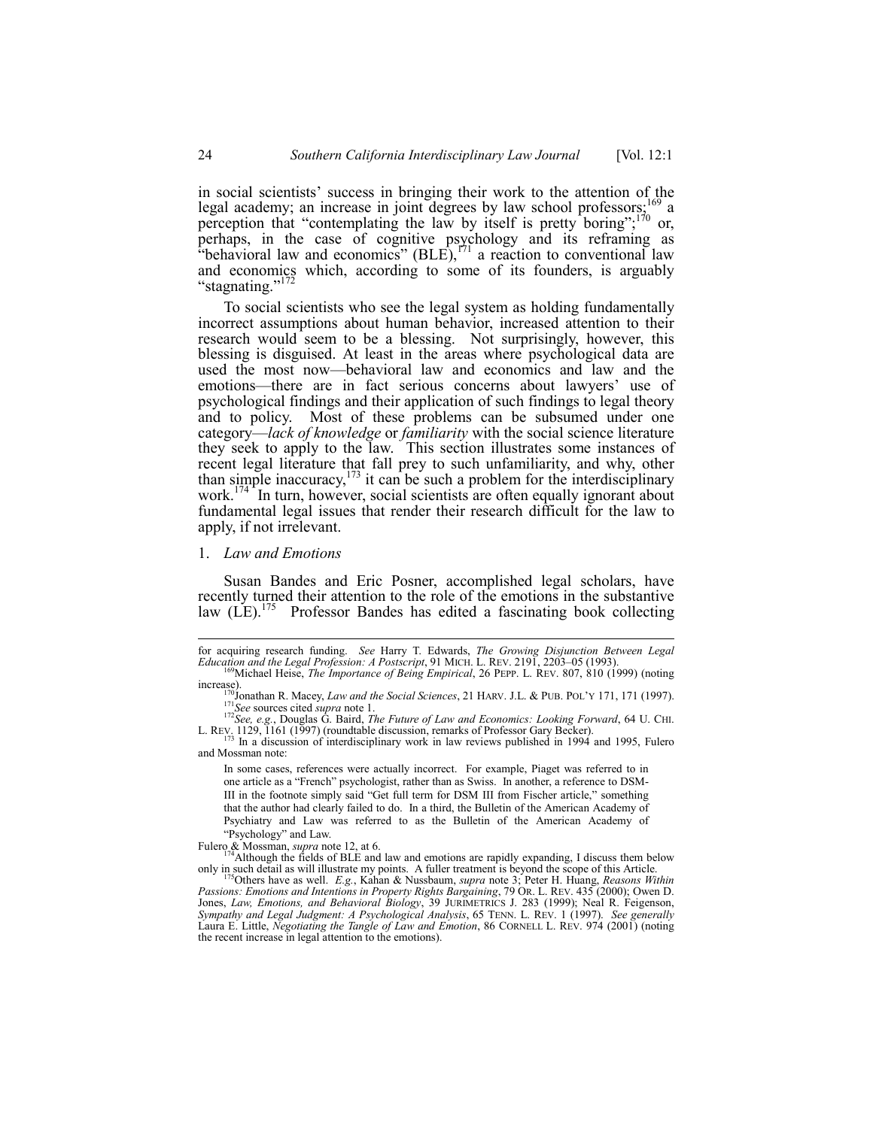in social scientists' success in bringing their work to the attention of the legal academy; an increase in joint degrees by law school professors;<sup>169</sup> a perception that "contemplating the law by itself is pretty boring";<sup>170</sup> or, perhaps, in the case of cognitive psychology and its reframing as "behavioral law and economics"  $(BLE)$ ,  $^{171}$  a reaction to conventional law and economics which, according to some of its founders, is arguably "stagnating."<sup>172</sup>

To social scientists who see the legal system as holding fundamentally incorrect assumptions about human behavior, increased attention to their research would seem to be a blessing. Not surprisingly, however, this blessing is disguised. At least in the areas where psychological data are used the most now—behavioral law and economics and law and the emotions—there are in fact serious concerns about lawyers' use of psychological findings and their application of such findings to legal theory and to policy. Most of these problems can be subsumed under one category—lack of knowledge or *familiarity* with the social science literature they seek to apply to the law. This section illustrates some instances of recent legal literature that fall prey to such unfamiliarity, and why, other than simple inaccuracy, $1^{73}$  it can be such a problem for the interdisciplinary work.<sup>174</sup> In turn, however, social scientists are often equally ignorant about fundamental legal issues that render their research difficult for the law to apply, if not irrelevant.

#### 1. *Law and Emotions*

Susan Bandes and Eric Posner, accomplished legal scholars, have recently turned their attention to the role of the emotions in the substantive law (LE).<sup>175</sup> Professor Bandes has edited a fascinating book collecting

for acquiring research funding. *See* Harry T. Edwards, *The Growing Disjunction Between Legal* <sup>169</sup>Michael Heise, *The Importance of Being Empirical*, 26 PEPP. L. REV. 807, 810 (1999) (noting

increase).<br><sup>170</sup>Jonathan R. Macey, *Law and the Social Sciences*, 21 HARV. J.L. & PUB. POL'Y 171, 171 (1997).<br><sup>171</sup>See sources cited *supra* note 1.

EV. See sources cited *supra* note 1.<br>
172See, e.g., Douglas G. Baird, *The Future of Law and Economics: Looking Forward*, 64 U. CHI.<br>
173 In a discussion of interdisciplinary work in law reviews published in 1994 and 199

and Mossman note:

In some cases, references were actually incorrect. For example, Piaget was referred to in one article as a "French" psychologist, rather than as Swiss. In another, a reference to DSM-III in the footnote simply said "Get full term for DSM III from Fischer article," something that the author had clearly failed to do. In a third, the Bulletin of the American Academy of Psychiatry and Law was referred to as the Bulletin of the American Academy of "Psychology" and Law.

Fulero & Mossman, *supra* note 12, at 6. <sup>174</sup>Although the fields of BLE and law and emotions are rapidly expanding, I discuss them below only in such detail as will illustrate my points. A fuller treatment is beyond the s

only in such detail as will illustrate my points. A fuller treatment is beyond the scope of this Article.<br><sup>175</sup>Others have as well. *E.g.*, Kahan & Nussbaum, *supra* note 3; Peter H. Huang, *Reasons Within*<br>*Passions: Emot* Jones, *Law, Emotions, and Behavioral Biology*, 39 JURIMETRICS J. 283 (1999); Neal R. Feigenson, *Sympathy and Legal Judgment: A Psychological Analysis*, 65 TENN. L. REV. 1 (1997). *See generally* Laura E. Little, *Negotiating the Tangle of Law and Emotion*, 86 CORNELL L. REV. 974 (2001) (noting the recent increase in legal attention to the emotions).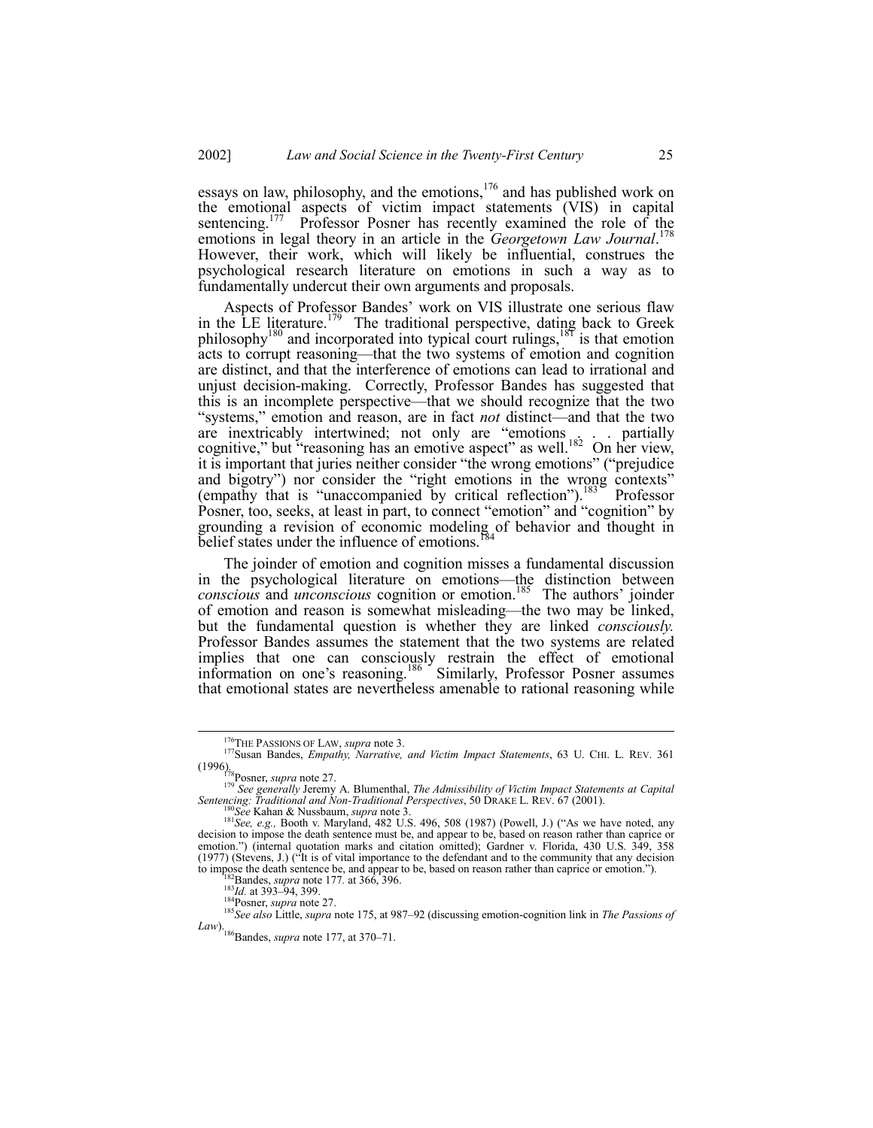essays on law, philosophy, and the emotions,<sup>176</sup> and has published work on the emotional aspects of victim impact statements (VIS) in capital sentencing.<sup>177</sup> Professor Posner has recently examined the role of the emotions in legal theory in an article in the *Georgetown Law Journal*. 178 However, their work, which will likely be influential, construes the psychological research literature on emotions in such a way as to fundamentally undercut their own arguments and proposals.

Aspects of Professor Bandes' work on VIS illustrate one serious flaw in the LE literature.<sup>179</sup> The traditional perspective, dating back to Greek philosophy<sup>180</sup> and incorporated into typical court rulings,<sup>187</sup> is that emotion acts to corrupt reasoning—that the two systems of emotion and cognition are distinct, and that the interference of emotions can lead to irrational and unjust decision-making. Correctly, Professor Bandes has suggested that this is an incomplete perspective—that we should recognize that the two "systems," emotion and reason, are in fact *not* distinct—and that the two are inextricably intertwined; not only are "emotions . . . . partially cognitive," but "reasoning has an emotive aspect" as well.<sup>182</sup> On her view, it is important that juries neither consider "the wrong emotions" ("prejudice") and bigotry") nor consider the "right emotions in the wrong contexts" (empathy that is "unaccompanied by critical reflection").<sup>183</sup> Professor Posner, too, seeks, at least in part, to connect "emotion" and "cognition" by grounding a revision of economic modeling of behavior and thought in belief states under the influence of emotions.

The joinder of emotion and cognition misses a fundamental discussion in the psychological literature on emotions—the distinction between *conscious* and *unconscious* cognition or emotion.<sup>185</sup> The authors' joinder of emotion and reason is somewhat misleading—the two may be linked, but the fundamental question is whether they are linked *consciously.* Professor Bandes assumes the statement that the two systems are related implies that one can consciously restrain the effect of emotional information on one's reasoning.<sup>186</sup> Similarly, Professor Posner assumes that emotional states are nevertheless amenable to rational reasoning while

<sup>&</sup>lt;sup>176</sup>THE PASSIONS OF LAW, *supra* note 3.<br><sup>177</sup>Susan Bandes, *Empathy, Narrative, and Victim Impact Statements*, 63 U. CHI. L. REV. 361

<sup>(1996).</sup> 178Posner, *supra* note 27. <sup>179</sup> *See generally* Jeremy A. Blumenthal, *The Admissibility of Victim Impact Statements at Capital*

 $\frac{180}{362}$  Kahan & Nussbaum, *supra* note 3.<br><sup>181</sup>See, e.g., Booth v. Maryland, 482 U.S. 496, 508 (1987) (Powell, J.) ("As we have noted, any decision to impose the death sentence must be, and appear to be, based on reason rather than caprice or emotion.") (internal quotation marks and citation omitted); Gardner v. Florida, 430 U.S. 349, 358 (1977) (Stevens, J.) ( $\cdot$ It is of vital importance to the defendant and to the community that any decision to impose the death sentence be, and appear to be, based on reason rather than caprice or emotion.").

<sup>&</sup>lt;sup>182</sup>Bandes, *supra* note 177. at 366, 396.<br><sup>183</sup>Id. at 393–94, 399.<br><sup>183</sup>Id. at 393–94, 399.<br><sup>184</sup>Posner, *supra* note 27.<br><sup>185</sup>See also Little, *supra* note 175, at 987–92 (discussing emotion-cognition link in *The Pass Law*). <sup>186</sup>Bandes, *supra* note 177, at 370–71.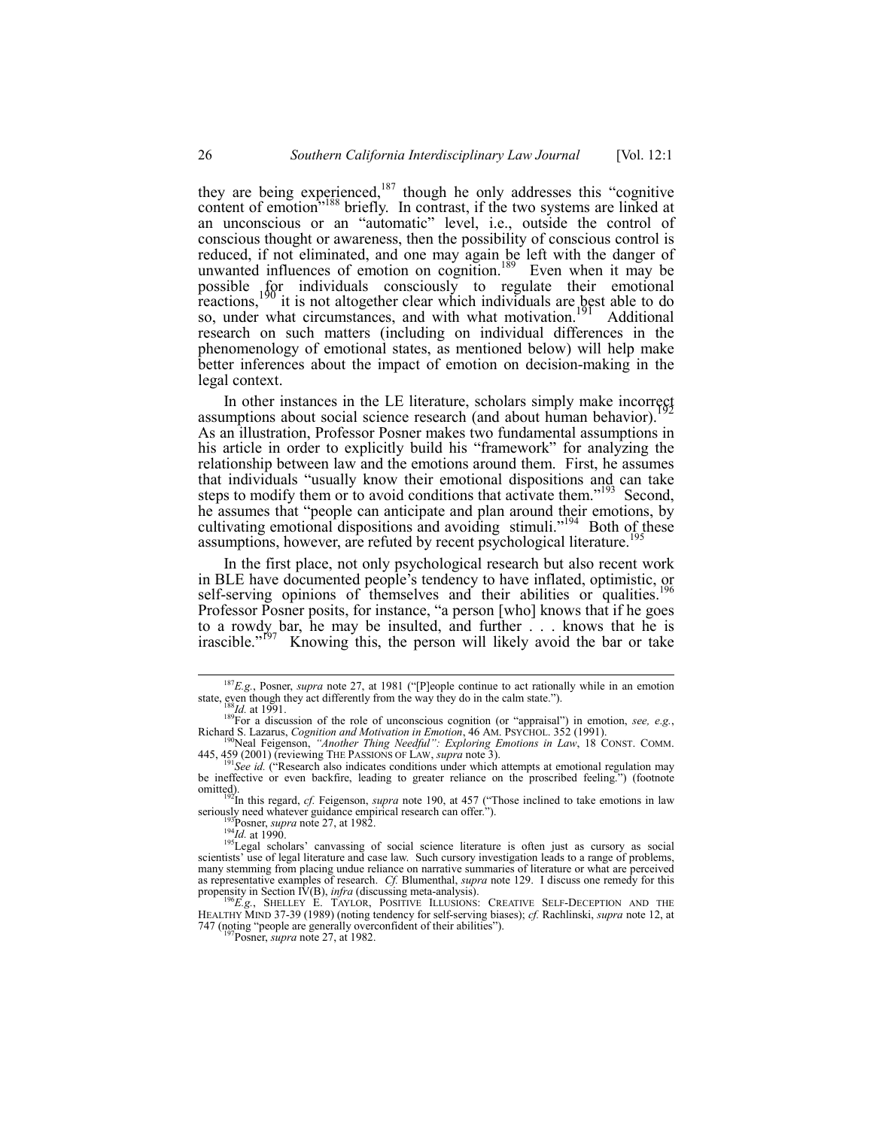they are being experienced,<sup>187</sup> though he only addresses this "cognitive content of emotion<sup>5,188</sup> briefly. In contrast, if the two systems are linked at an unconscious or an "automatic" level, i.e., outside the control of conscious thought or awareness, then the possibility of conscious control is reduced, if not eliminated, and one may again be left with the danger of unwanted influences of emotion on cognition.<sup>189</sup> Even when it may be possible for individuals consciously to regulate their emotional reactions,<sup>190</sup> it is not altogether clear which individuals are best able to do so, under what circumstances, and with what motivation.<sup>191</sup> Additional research on such matters (including on individual differences in the phenomenology of emotional states, as mentioned below) will help make better inferences about the impact of emotion on decision-making in the legal context.

In other instances in the LE literature, scholars simply make incorrect assumptions about social science research (and about human behavior). As an illustration, Professor Posner makes two fundamental assumptions in his article in order to explicitly build his "framework" for analyzing the relationship between law and the emotions around them. First, he assumes that individuals "usually know their emotional dispositions and can take steps to modify them or to avoid conditions that activate them."<sup>193</sup> Second, he assumes that "people can anticipate and plan around their emotions, by cultivating emotional dispositions and avoiding stimuli.<sup>7194</sup> Both of these assumptions, however, are refuted by recent psychological literature.<sup>1</sup>

In the first place, not only psychological research but also recent work in BLE have documented people's tendency to have inflated, optimistic, or self-serving opinions of themselves and their abilities or qualities.<sup>196</sup> Professor Posner posits, for instance, "a person [who] knows that if he goes to a rowdy bar, he may be insulted, and further . . . knows that he is irascible.<sup> $197$ </sup> Knowing this, the person will likely avoid the bar or take

<sup>&</sup>lt;sup>187</sup>*E.g.*, Posner, *supra* note 27, at 1981 ("[P]eople continue to act rationally while in an emotion state, even though they act differently from the way they do in the calm state.").

<sup>&</sup>lt;sup>188</sup>*Id.* at 1991.<br><sup>189</sup>For a discussion of the role of unconscious cognition (or "appraisal") in emotion, *see, e.g.*,<br>Richard S. Lazarus, *Cognition and Motivation in Emotion*, 46 AM. PSYCHOL. 352 (1991).

<sup>&</sup>lt;sup>190</sup>Neal Feigenson, *"Another Thing Needful": Exploring Emotions in Law*, 18 CONST. COMM.<br>445, 459 (2001) (reviewing THE PASSIONS OF LAW, *supra* note 3).<br><sup>191</sup>*See id.* ("Research also indicates conditions under which a

be ineffective or even backfire, leading to greater reliance on the proscribed feeling.") (footnote

omitted).<br><sup>192</sup>In this regard, *cf.* Feigenson, *supra* note 190, at 457 ("Those inclined to take emotions in law<br>seriously need whatever guidance empirical research can offer.").<br><sup>193</sup>Posner, *supra* note 27, at 1982.

seriously need whatever guidance empirical research can offer.").<br>  $^{193}$ Posner, *supra* note 27, at 1982.<br>  $^{194}$ *d.* at 1990.<br>  $^{194}$ *d.* at 1990.<br>
<sup>194</sup>*Legal* scholars' canvassing of social science literature is of many stemming from placing undue reliance on narrative summaries of literature or what are perceived as representative examples of research. *Cf.* Blumenthal, *supra* note 129. I discuss one remedy for this propensity in Section IV(B), *infra* (discussing meta-analysis).<br><sup>196</sup>*E.g.*, SHELLEY E. TAYLOR, POSITIVE ILLUSIONS

HEALTHY MIND 37-39 (1989) (noting tendency for self-serving biases); *cf.* Rachlinski, *supra* note 12, at 747 (noting "people are generally overconfident of their abilities").<br><sup>197</sup>Posner, *supra* note 27, at 1982.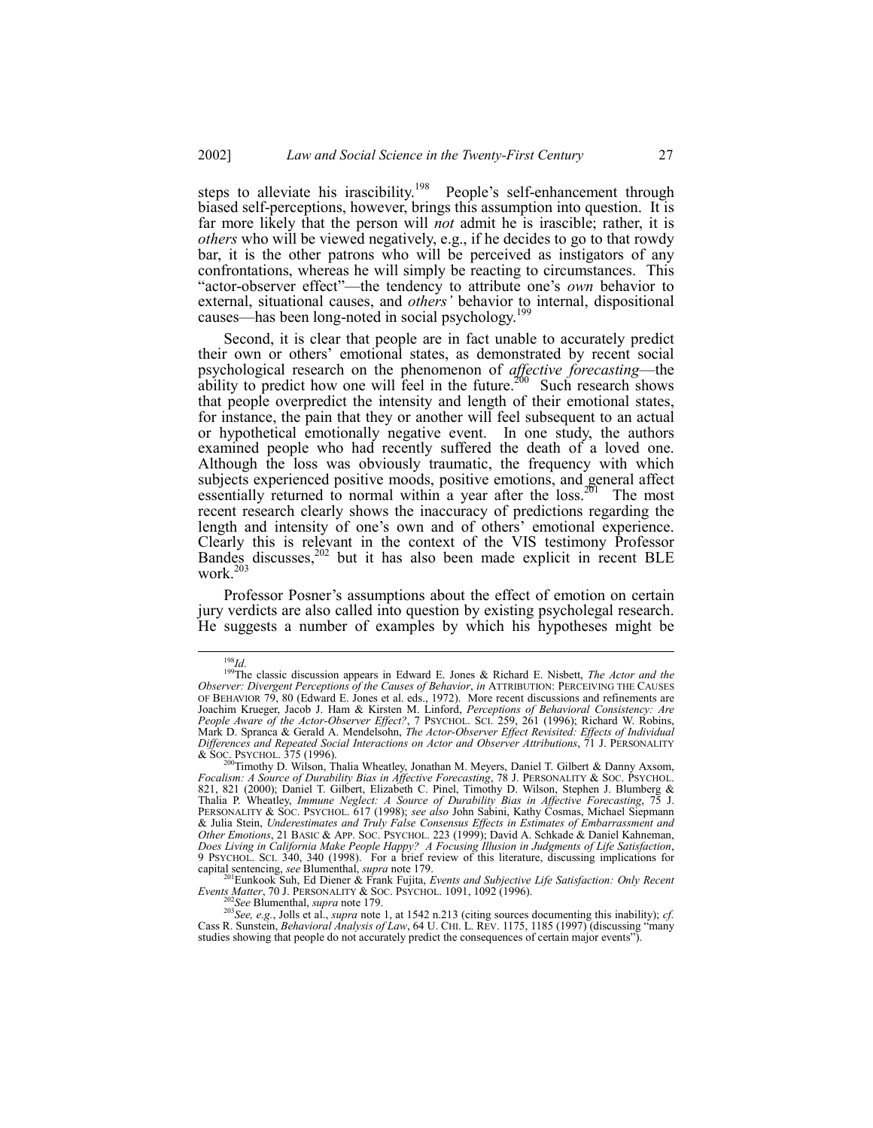steps to alleviate his irascibility.<sup>198</sup> People's self-enhancement through biased self-perceptions, however, brings this assumption into question. It is far more likely that the person will *not* admit he is irascible; rather, it is *others* who will be viewed negatively, e.g., if he decides to go to that rowdy bar, it is the other patrons who will be perceived as instigators of any confrontations, whereas he will simply be reacting to circumstances. This "actor-observer effect"—the tendency to attribute one's *own* behavior to external, situational causes, and *others'* behavior to internal, dispositional causes—has been long-noted in social psychology.<sup>1</sup>

Second, it is clear that people are in fact unable to accurately predict their own or others' emotional states, as demonstrated by recent social psychological research on the phenomenon of *affective forecasting*—the ability to predict how one will feel in the future.<sup>200</sup> Such research shows that people overpredict the intensity and length of their emotional states, for instance, the pain that they or another will feel subsequent to an actual or hypothetical emotionally negative event. In one study, the authors examined people who had recently suffered the death of a loved one. Although the loss was obviously traumatic, the frequency with which subjects experienced positive moods, positive emotions, and general affect essentially returned to normal within a year after the loss.<sup>201</sup> The most recent research clearly shows the inaccuracy of predictions regarding the length and intensity of one's own and of others' emotional experience. Clearly this is relevant in the context of the VIS testimony Professor Bandes discusses,<sup>202</sup> but it has also been made explicit in recent BLE work.<sup>2</sup>

Professor Posner's assumptions about the effect of emotion on certain jury verdicts are also called into question by existing psycholegal research. He suggests a number of examples by which his hypotheses might be

Events Matter, 70 J. PERSONALITY & SOC. PSYCHOL. 1091, 1092 (1996).<br><sup>202</sup>See Blumenthal, *supra* note 179.<br><sup>203</sup>See, e.g., Jolls et al., *supra* note 1, at 1542 n.213 (citing sources documenting this inability); *cf.*<br>Cas studies showing that people do not accurately predict the consequences of certain major events").

<sup>&</sup>lt;sup>198</sup>*Id.* <sup>198</sup>The classic discussion appears in Edward E. Jones & Richard E. Nisbett, *The Actor and the* <sup>199</sup>The classic discussion appears of the Causes of Behavior. in ATTRIBUTION: PERCEIVING THE CAUSES *Observer: Divergent Perceptions of the Causes of Behavior*, *in* ATTRIBUTION: PERCEIVING THE CAUSES OF BEHAVIOR 79, 80 (Edward E. Jones et al. eds., 1972). More recent discussions and refinements are Joachim Krueger, Jacob J. Ham & Kirsten M. Linford, *Perceptions of Behavioral Consistency: Are People Aware of the Actor-Observer Effect?*, 7 PSYCHOL. SCI. 259, 261 (1996); Richard W. Robins, Mark D. Spranca & Gerald A. Mendelsohn, *The Actor-Observer Effect Revisited: Effects of Individual Differences and Repeated Social Interactions on Actor and Observer Attributions*, 71 J. PERSONALITY & SOC. PSYCHOL. 375 (1996). 200Timothy D. Wilson, Thalia Wheatley, Jonathan M. Meyers, Daniel T. Gilbert & Danny Axsom,

*Focalism: A Source of Durability Bias in Affective Forecasting*, 78 J. PERSONALITY & SOC. PSYCHOL. 821, 821 (2000); Daniel T. Gilbert, Elizabeth C. Pinel, Timothy D. Wilson, Stephen J. Blumberg & Thalia P. Wheatley, *Immune Neglect: A Source of Durability Bias in Affective Forecasting*, 75 J. PERSONALITY & SOC. PSYCHOL. 617 (1998); see also John Sabini, Kathy Cosmas, Michael Siepmann & Julia Stein, *Underestimates and Truly False Consensus Effects in Estimates of Embarrassment and Other Emotions*, 21 BASIC & APP. SOC. PSYCHOL. 223 (1999); David A. Schkade & Daniel Kahneman, *Does Living in California Make People Happy? A Focusing Illusion in Judgments of Life Satisfaction*, 9 PSYCHOL. SCI. 340, 340 (1998). For a brief review of this literature, discussing implications for capital sentencing, *see* Blumenthal, *supra* note 179. 201Eunkook Suh, Ed Diener & Frank Fujita, *Events and Subjective Life Satisfaction: Only Recent*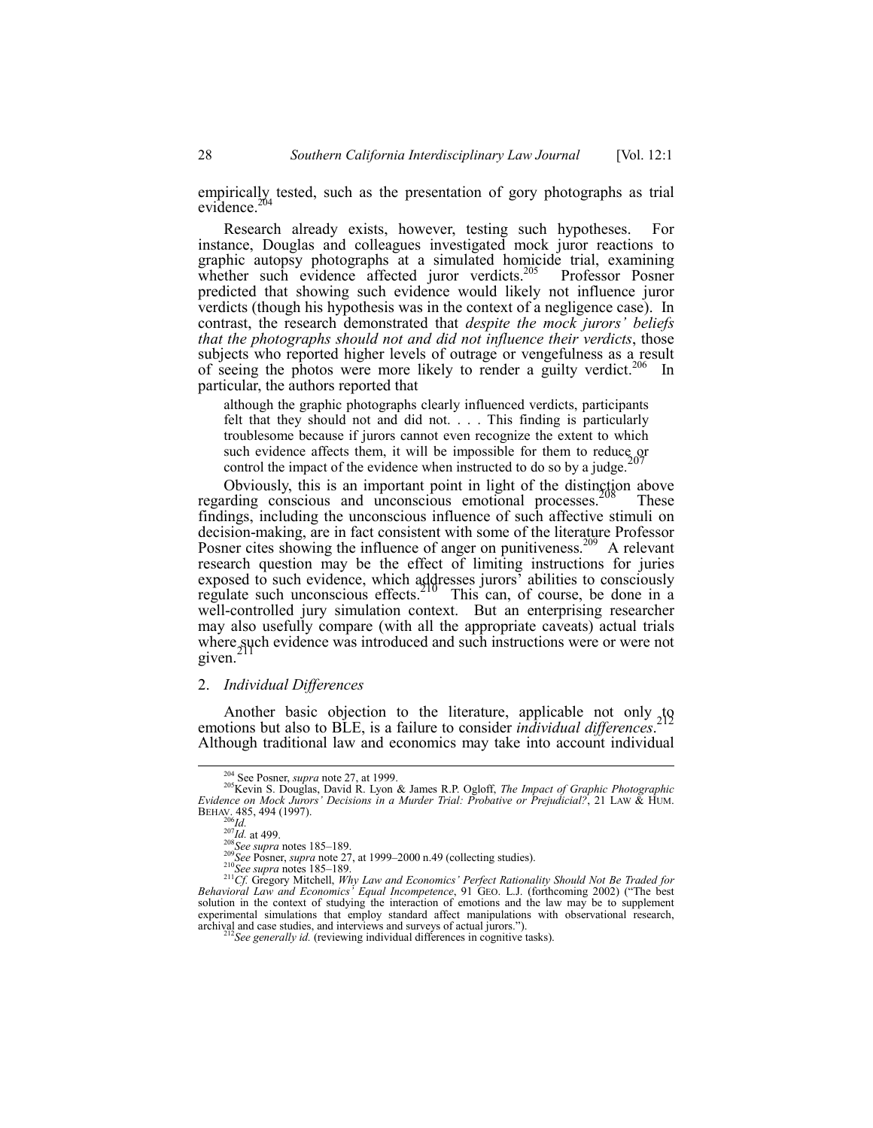empirically tested, such as the presentation of gory photographs as trial evidence. $^{20}$ 

Research already exists, however, testing such hypotheses. For instance, Douglas and colleagues investigated mock juror reactions to graphic autopsy photographs at a simulated homicide trial, examining whether such evidence affected juror verdicts.<sup>205</sup> Professor Posner predicted that showing such evidence would likely not influence juror verdicts (though his hypothesis was in the context of a negligence case). In contrast, the research demonstrated that *despite the mock jurors' beliefs that the photographs should not and did not influence their verdicts*, those subjects who reported higher levels of outrage or vengefulness as a result of seeing the photos were more likely to render a guilty verdict.<sup>206</sup> In particular, the authors reported that

although the graphic photographs clearly influenced verdicts, participants felt that they should not and did not. . . . This finding is particularly troublesome because if jurors cannot even recognize the extent to which such evidence affects them, it will be impossible for them to reduce or control the impact of the evidence when instructed to do so by a judge.<sup>2</sup>

Obviously, this is an important point in light of the distinction above regarding conscious and unconscious emotional processes.<sup>208</sup> These findings, including the unconscious influence of such affective stimuli on decision-making, are in fact consistent with some of the literature Professor Posner cites showing the influence of anger on punitiveness.<sup>209</sup> A relevant research question may be the effect of limiting instructions for juries exposed to such evidence, which addresses jurors<sup>3</sup> abilities to consciously regulate such unconscious effects.<sup>210</sup> This can, of course, be done in a well-controlled jury simulation context. But an enterprising researcher may also usefully compare (with all the appropriate caveats) actual trials where such evidence was introduced and such instructions were or were not given.

#### 2. *Individual Differences*

Another basic objection to the literature, applicable not only to the literature of the state of  $\frac{1}{2}$ emotions but also to BLE, is a failure to consider *individual differences*. Although traditional law and economics may take into account individual

<sup>&</sup>lt;sup>204</sup> See Posner, *supra* note 27, at 1999.<br><sup>205</sup>Kevin S. Douglas, David R. Lyon & James R.P. Ogloff, *The Impact of Graphic Photographic Evidence on Mock Jurors' Decisions in a Murder Trial: Probative or Prejudicial?, 21* Evaluate on Note 3 and Sections in a marter Trial. Trobative or 1<br>BEHAV, 485, 494 (1997).<br> $\frac{206}{1d}$ <br> $\frac{207}{1d}$ , at 499.<br> $\frac{208}{5e}$  supra notes 185-189.<br> $\frac{209}{5e}$  Posner, *supra* note 27, at 1999-2000 n.49 (colle

*Bee supra notes 165–167.*<br><sup>Beg</sup>avioral Law and Economics*' Equal Incompetence*, 91 GEO. L.J. (forthcoming 2002) ("The best<br>Behavioral Law and Economics*' Equal Incompetence*, 91 GEO. L.J. (forthcoming 2002) ("The best solution in the context of studying the interaction of emotions and the law may be to supplement experimental simulations that employ standard affect manipulations with observational research, archival and case studies, and interviews and surveys of actual jurors.î). <sup>212</sup>*See generally id.* (reviewing individual differences in cognitive tasks).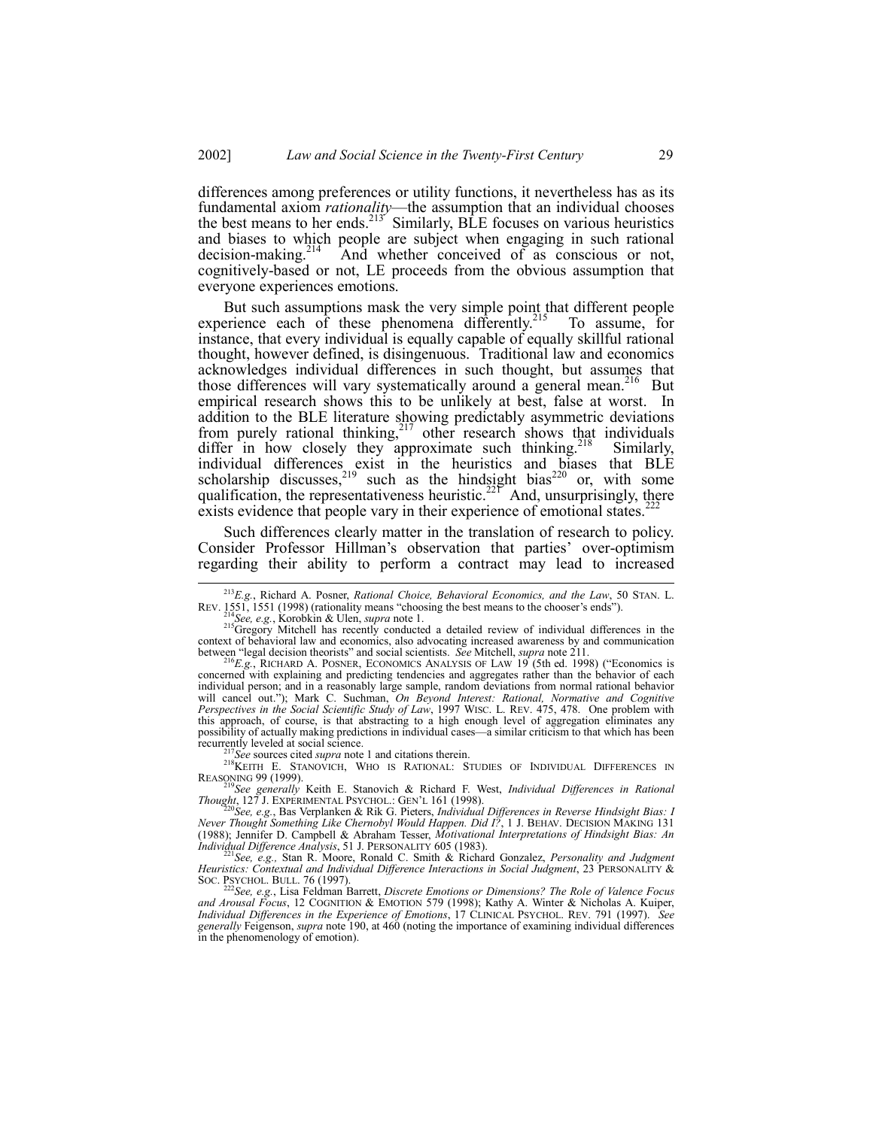differences among preferences or utility functions, it nevertheless has as its fundamental axiom *rationality*—the assumption that an individual chooses the best means to her ends.<sup>213</sup> Similarly, BLE focuses on various heuristics and biases to which people are subject when engaging in such rational decision-making.<sup>214</sup> And whether conceived of as conscious or not, cognitively-based or not, LE proceeds from the obvious assumption that everyone experiences emotions.

But such assumptions mask the very simple point that different people experience each of these phenomena differently.<sup>215</sup> To assume, for instance, that every individual is equally capable of equally skillful rational thought, however defined, is disingenuous. Traditional law and economics acknowledges individual differences in such thought, but assumes that those differences will vary systematically around a general mean.<sup>216</sup> But empirical research shows this to be unlikely at best, false at worst. In addition to the BLE literature showing predictably asymmetric deviations from purely rational thinking,  $217$  other research shows that individuals differ in how closely they approximate such thinking.<sup>218</sup> Similarly, individual differences exist in the heuristics and biases that BLE scholarship discusses,  $219$  such as the hindsight bias<sup>220</sup> or, with some qualification, the representativeness heuristic.<sup>221</sup> And, unsurprisingly, there exists evidence that people vary in their experience of emotional states.<sup>222</sup>

Such differences clearly matter in the translation of research to policy. Consider Professor Hillman's observation that parties' over-optimism regarding their ability to perform a contract may lead to increased

<sup>217</sup>See sources cited *supra* note 1 and citations therein.<br><sup>218</sup>KEITH E. STANOVICH, WHO IS RATIONAL: STUDIES OF INDIVIDUAL DIFFERENCES IN REASONING 99 (1999).<br><sup>219</sup>*See generally* Keith E. Stanovich & Richard F. West, *Individual Differences in Rational* 

Thought, 127 J. EXPERIMENTAL PSYCHOL.: GEN'L 161 (1998).<br><sup>220</sup>See, e.g., Bas Verplanken & Rik G. Pieters, Individual Differences in Reverse Hindsight Bias: 1<br>Never Thought Something Like Chernobyl Would Happen. Did 1?, 1 J (1988); Jennifer D. Campbell & Abraham Tesser, *Motivational Interpretations of Hindsight Bias: An Individual Difference Analysis*, 51 J. PERSONALITY 605 (1983). <sup>221</sup>*See, e.g.,* Stan R. Moore, Ronald C. Smith & Richard Gonzalez, *Personality and Judgment*

*Heuristics: Contextual and Individual Difference Interactions in Social Judgment*, 23 PERSONALITY & SOC. PSYCHOL. BULL. 76 (1997). <sup>222</sup>*See, e.g.*, Lisa Feldman Barrett, *Discrete Emotions or Dimensions? The Role of Valence Focus*

*and Arousal Focus*, 12 COGNITION & EMOTION 579 (1998); Kathy A. Winter & Nicholas A. Kuiper, *Individual Differences in the Experience of Emotions*, 17 CLINICAL PSYCHOL. REV. 791 (1997). *See*<br>generally Feigenson, *supra* note 190, at 460 (noting the importance of examining individual differences in the phenomenology of emotion).

 <sup>213</sup>*E.g.*, Richard A. Posner, *Rational Choice, Behavioral Economics, and the Law*, 50 STAN. L. REV. 1551, 1551 (1998) (rationality means "choosing the best means to the chooser's ends").<br>  $\sum_{11 \leq 2^{14} \leq 2^{14}}$ . Korobkin & Ulen, *supra* note 1.

<sup>&</sup>lt;sup>215</sup>Gregory Mitchell has recently conducted a detailed review of individual differences in the context of behavioral law and economics, also advocating increased awareness by and communication<br>between "legal decision theorists" and social scientists. *See* Mitchell, *supra* note 211.<br><sup>216</sup>E.g., RICHARD A. POSNER, EC

concerned with explaining and predicting tendencies and aggregates rather than the behavior of each individual person; and in a reasonably large sample, random deviations from normal rational behavior will cancel out."); Mark C. Suchman, *On Beyond Interest: Rational, Normative and Cognitive Perspectives in the Social Scientific Study of Law*, 1997 WISC. L. REV. 475, 478. One problem with this approach, of course, is that abstracting to a high enough level of aggregation eliminates any possibility of actually making predictions in individual cases—a similar criticism to that which has been recurrently leveled at social science.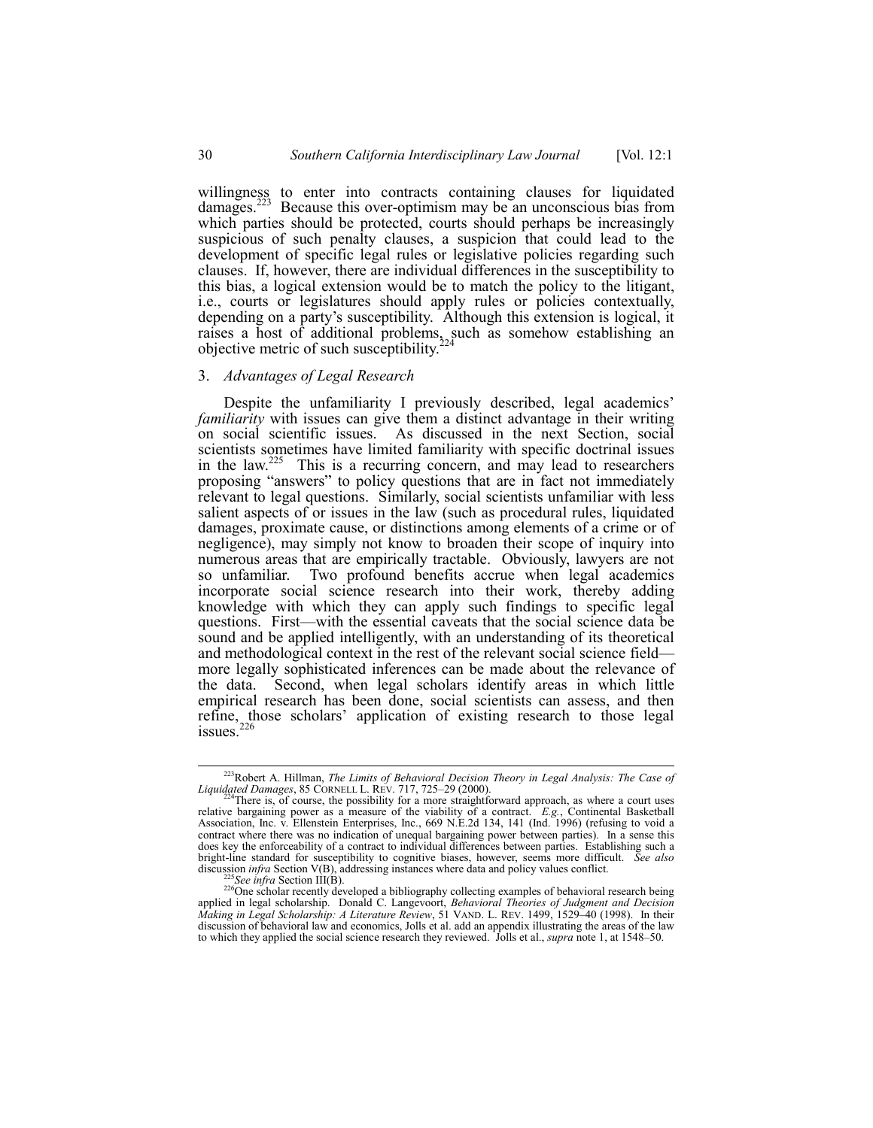willingness to enter into contracts containing clauses for liquidated damages.<sup>223</sup> Because this over-optimism may be an unconscious bias from which parties should be protected, courts should perhaps be increasingly suspicious of such penalty clauses, a suspicion that could lead to the development of specific legal rules or legislative policies regarding such clauses. If, however, there are individual differences in the susceptibility to this bias, a logical extension would be to match the policy to the litigant, i.e., courts or legislatures should apply rules or policies contextually, depending on a party's susceptibility. Although this extension is logical, it raises a host of additional problems, such as somehow establishing an objective metric of such susceptibility. $\frac{2}{3}$ 

#### 3. *Advantages of Legal Research*

Despite the unfamiliarity I previously described, legal academics' *familiarity* with issues can give them a distinct advantage in their writing on social scientific issues. As discussed in the next Section, social scientists sometimes have limited familiarity with specific doctrinal issues in the law.<sup>225</sup> This is a recurring concern, and may lead to researchers proposing "answers" to policy questions that are in fact not immediately relevant to legal questions. Similarly, social scientists unfamiliar with less salient aspects of or issues in the law (such as procedural rules, liquidated damages, proximate cause, or distinctions among elements of a crime or of negligence), may simply not know to broaden their scope of inquiry into numerous areas that are empirically tractable. Obviously, lawyers are not so unfamiliar. Two profound benefits accrue when legal academics incorporate social science research into their work, thereby adding knowledge with which they can apply such findings to specific legal questions. First—with the essential caveats that the social science data be sound and be applied intelligently, with an understanding of its theoretical and methodological context in the rest of the relevant social science field more legally sophisticated inferences can be made about the relevance of the data. Second, when legal scholars identify areas in which little empirical research has been done, social scientists can assess, and then refine, those scholars' application of existing research to those legal issues. $<sup>2</sup>$ </sup>

 <sup>223</sup>Robert A. Hillman, *The Limits of Behavioral Decision Theory in Legal Analysis: The Case of*

<sup>&</sup>lt;sup>4</sup>There is, of course, the possibility for a more straightforward approach, as where a court uses relative bargaining power as a measure of the viability of a contract. *E.g.*, Continental Basketball Association, Inc. v. Ellenstein Enterprises, Inc., 669 N.E.2d 134, 141 (Ind. 1996) (refusing to void a contract where there was no indication of unequal bargaining power between parties). In a sense this does key the enforceability of a contract to individual differences between parties. Establishing such a bright-line standard for susceptibility to cognitive biases, however, seems more difficult. *See also* discussion *infra* Section V(B), addressing instances where data and policy values conflict.

<sup>&</sup>lt;sup>225</sup>See infra Section III(B).<br><sup>226</sup>One scholar recently developed a bibliography collecting examples of behavioral research being applied in legal scholarship. Donald C. Langevoort, *Behavioral Theories of Judgment and Decision Making in Legal Scholarship: A Literature Review*, 51 VAND. L. REV. 1499, 1529–40 (1998). In their<br>discussion of behavioral law and economics, Jolls et al. add an appendix illustrating the areas of the law to which they applied the social science research they reviewed. Jolls et al., *supra* note 1, at 1548–50.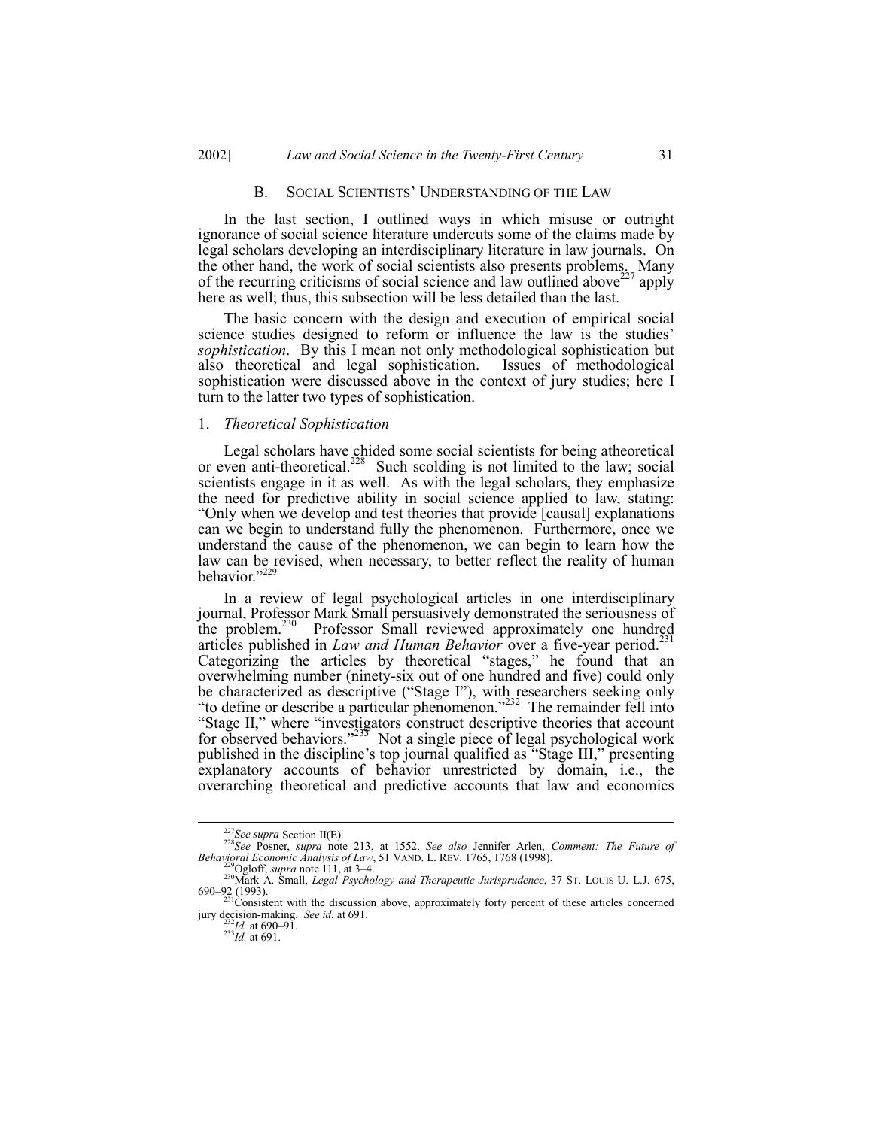#### B. SOCIAL SCIENTISTS' UNDERSTANDING OF THE LAW

In the last section, I outlined ways in which misuse or outright ignorance of social science literature undercuts some of the claims made by legal scholars developing an interdisciplinary literature in law journals. On the other hand, the work of social scientists also presents problems. Many of the recurring criticisms of social science and law outlined above<sup>227</sup> apply here as well; thus, this subsection will be less detailed than the last.

The basic concern with the design and execution of empirical social science studies designed to reform or influence the law is the studies<sup>?</sup> *sophistication*. By this I mean not only methodological sophistication but also theoretical and legal sophistication. Issues of methodological sophistication were discussed above in the context of jury studies; here I turn to the latter two types of sophistication.

#### 1. *Theoretical Sophistication*

Legal scholars have chided some social scientists for being atheoretical or even anti-theoretical.<sup>228</sup> Such scolding is not limited to the law; social scientists engage in it as well. As with the legal scholars, they emphasize the need for predictive ability in social science applied to law, stating: ìOnly when we develop and test theories that provide [causal] explanations can we begin to understand fully the phenomenon. Furthermore, once we understand the cause of the phenomenon, we can begin to learn how the law can be revised, when necessary, to better reflect the reality of human behavior."229

In a review of legal psychological articles in one interdisciplinary journal, Professor Mark Small persuasively demonstrated the seriousness of the problem.<sup>230</sup> Professor Small reviewed approximately one hundred articles published in *Law and Human Behavior* over a five-year period.<sup>231</sup> Categorizing the articles by theoretical "stages," he found that an overwhelming number (ninety-six out of one hundred and five) could only be characterized as descriptive ("Stage I"), with researchers seeking only "to define or describe a particular phenomenon."<sup>232</sup> The remainder fell into "Stage II," where "investigators construct descriptive theories that account for observed behaviors.<sup>233</sup> Not a single piece of legal psychological work published in the discipline's top journal qualified as "Stage III," presenting explanatory accounts of behavior unrestricted by domain, i.e., the overarching theoretical and predictive accounts that law and economics

<sup>227</sup>*See supra* Section II(E). <sup>228</sup>*See* Posner, *supra* note 213, at 1552. *See also* Jennifer Arlen, *Comment: The Future of*

<sup>&</sup>lt;sup>229</sup>Ogloff, *supra* note 111, at 3–4.<br><sup>230</sup>Mark A. Small, *Legal Psychology and Therapeutic Jurisprudence*, 37 ST. LOUIS U. L.J. 675, 690–92 (1993).<br><sup>231</sup>Consistent with the discussion above, approximately forty percent of these articles concerned

jury decision-making. *See id.* at 691.<br><sup>232</sup>*Id.* at 690–91.<br><sup>233</sup>*Id.* at 691.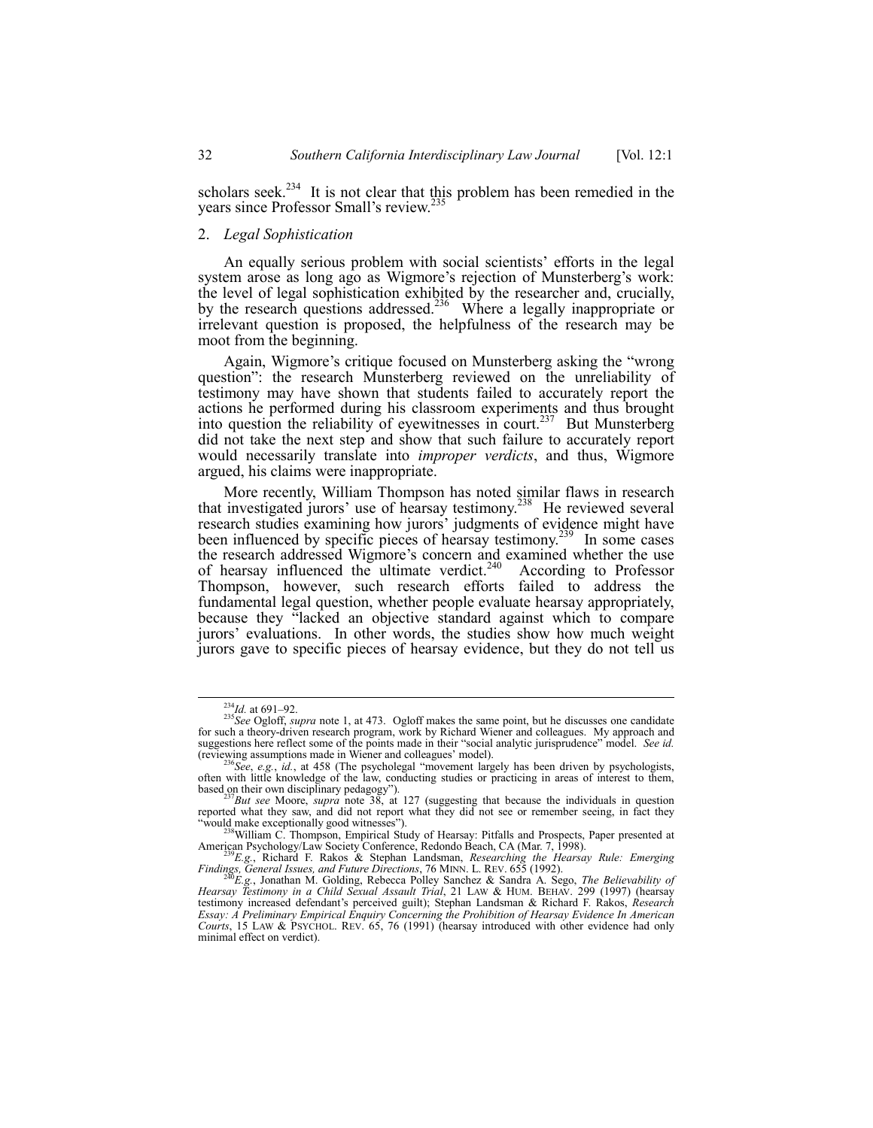scholars seek.<sup>234</sup> It is not clear that this problem has been remedied in the years since Professor Small's review.<sup>23</sup>

## 2. *Legal Sophistication*

An equally serious problem with social scientists' efforts in the legal system arose as long ago as Wigmore's rejection of Munsterberg's work: the level of legal sophistication exhibited by the researcher and, crucially, by the research questions addressed.<sup>236</sup> Where a legally inappropriate or irrelevant question is proposed, the helpfulness of the research may be moot from the beginning.

Again, Wigmore's critique focused on Munsterberg asking the "wrong question": the research Munsterberg reviewed on the unreliability of testimony may have shown that students failed to accurately report the actions he performed during his classroom experiments and thus brought into question the reliability of eyewitnesses in court.<sup>237</sup> But Munsterberg did not take the next step and show that such failure to accurately report would necessarily translate into *improper verdicts*, and thus, Wigmore argued, his claims were inappropriate.

More recently, William Thompson has noted similar flaws in research that investigated jurors' use of hearsay testimony.<sup>238</sup> He reviewed several research studies examining how jurors' judgments of evidence might have been influenced by specific pieces of hearsay testimony.<sup>239</sup> In some cases the research addressed Wigmore's concern and examined whether the use of hearsay influenced the ultimate verdict.<sup>240</sup> According to Professor Thompson, however, such research efforts failed to address the fundamental legal question, whether people evaluate hearsay appropriately, because they "lacked an objective standard against which to compare jurors' evaluations. In other words, the studies show how much weight jurors gave to specific pieces of hearsay evidence, but they do not tell us

<sup>&</sup>lt;sup>234</sup>*Id.* at 691–92. *as See* Ogloff, *supra* note 1, at 473. Ogloff makes the same point, but he discusses one candidate for such a theory-driven research program, work by Richard Wiener and colleagues. My approach and suggestions here reflect some of the points made in their "social analytic jurisprudence" model. *See id.* (reviewing assumptions made in Wiener and colleagues' model). (reviewing assumptions made in Wiener and colleagues' model).<br><sup>236</sup>*See*, *e.g.*, *id.*, at 458 (The psychologal "movement largely has been driven by psychologists,

often with little knowledge of the law, conducting studies or practicing in areas of interest to them, based on their own disciplinary pedagogy").<br><sup>237</sup>*But see* Moore, *supra* note 38, at 127 (suggesting that because the individuals in question

reported what they saw, and did not report what they did not see or remember seeing, in fact they<br>"would make exceptionally good witnesses").<br> $\frac{238 \text{Wzilism}}{2}$  contained the processes".

ìwould make exceptionally good witnessesî). 238William C. Thompson, Empirical Study of Hearsay: Pitfalls and Prospects, Paper presented at American Psychology/Law Society Conference, Redondo Beach, CA (Mar. 7, 1998). <sup>239</sup>*E.g.*, Richard F. Rakos & Stephan Landsman, *Researching the Hearsay Rule: Emerging*

*Findings, General Issues, and Future Directions*, 76 MINN. L. REV. 655 (1992).<br><sup>240</sup>*E.g.*, Jonathan M. Golding, Rebecca Polley Sanchez & Sandra A. Sego, *The Believability of* 

*Hearsay, Schemar Issues, and Taure Directions, Formalistic Sanchez & Sandra A. Sego, The Believability of Hearsay Testimony in a Child Sexual Assault Trial, 21 LAW & HUM. BEHAV. 299 (1997) (hearsay* testimony increased defendantís perceived guilt); Stephan Landsman & Richard F. Rakos, *Research Essay: A Preliminary Empirical Enquiry Concerning the Prohibition of Hearsay Evidence In American Courts*, 15 LAW & PSYCHOL. REV. 65, 76 (1991) (hearsay introduced with other evidence had only minimal effect on verdict).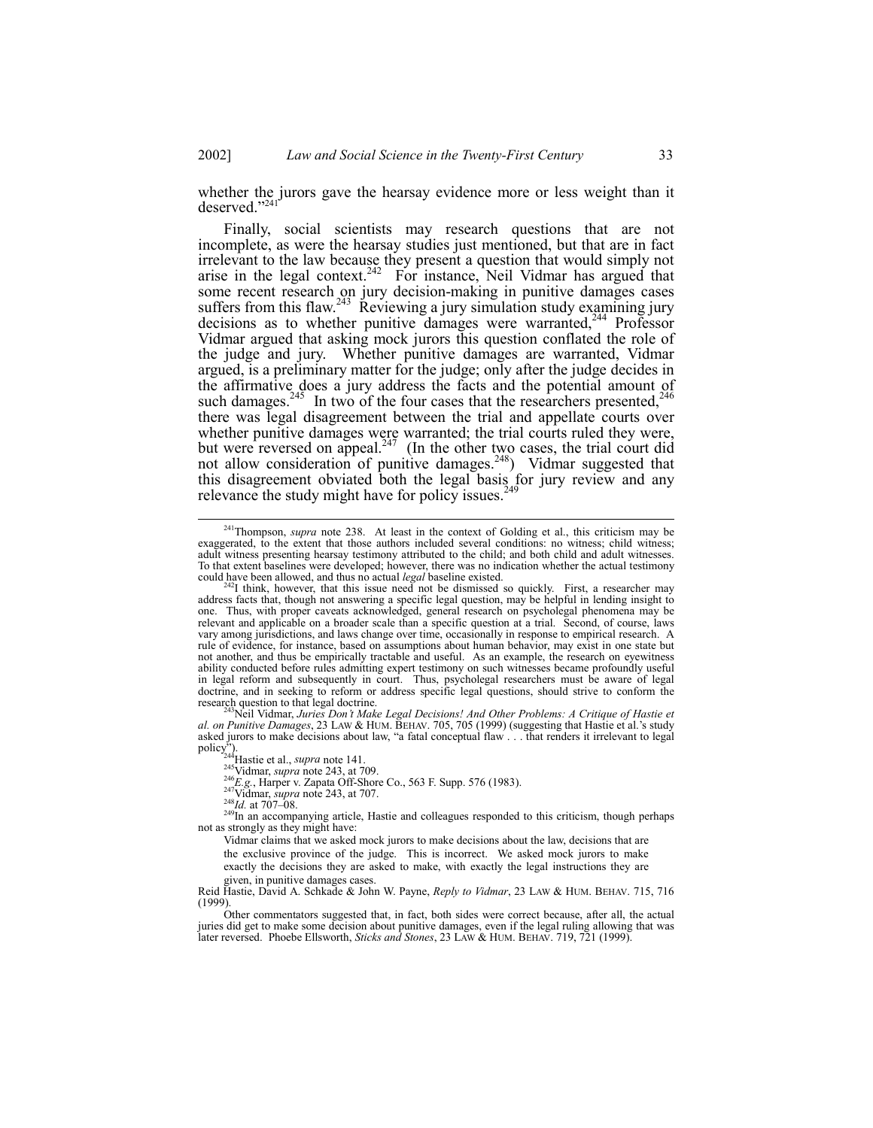whether the jurors gave the hearsay evidence more or less weight than it deserved."241

Finally, social scientists may research questions that are not incomplete, as were the hearsay studies just mentioned, but that are in fact irrelevant to the law because they present a question that would simply not arise in the legal context.<sup>242</sup> For instance, Neil Vidmar has argued that some recent research on jury decision-making in punitive damages cases suffers from this flaw.<sup>243</sup> Reviewing a jury simulation study examining jury decisions as to whether punitive damages were warranted,<sup>244</sup> Professor Vidmar argued that asking mock jurors this question conflated the role of the judge and jury. Whether punitive damages are warranted, Vidmar argued, is a preliminary matter for the judge; only after the judge decides in the affirmative does a jury address the facts and the potential amount of such damages.<sup>245</sup> In two of the four cases that the researchers presented,<sup>246</sup> there was legal disagreement between the trial and appellate courts over whether punitive damages were warranted; the trial courts ruled they were, but were reversed on appeal. $^{247}$  (In the other two cases, the trial court did not allow consideration of punitive damages.<sup>248</sup>) Vidmar suggested that this disagreement obviated both the legal basis for jury review and any relevance the study might have for policy issues. $249$ 

Neil Vidmar, Juries Don't Make Legal Decisions! And Other Problems: A Critique of Hastie et *al. on Punitive Damages*, 23 LAW & HUM. BEHAV. 705, 705 (1999) (suggesting that Hastie et al.ís study asked jurors to make decisions about law, "a fatal conceptual flaw . . . that renders it irrelevant to legal policy".<br>  $^{244}$ Hastie et al., *supra* note 141.

<sup>245</sup>Vidmar, *supra* note 243, at 709.<br><sup>246</sup>*E.g.*, Harper v. Zapata Off-Shore Co., 563 F. Supp. 576 (1983).<br><sup>247</sup>Vidmar, *supra* note 243, at 707.<br><sup>248</sup>Id. at 707–08.<br><sup>249</sup>In an accompanying article, Hastie and colleague not as strongly as they might have:

Vidmar claims that we asked mock jurors to make decisions about the law, decisions that are the exclusive province of the judge. This is incorrect. We asked mock jurors to make exactly the decisions they are asked to make, with exactly the legal instructions they are given, in punitive damages cases.

Reid Hastie, David A. Schkade & John W. Payne, *Reply to Vidmar*, 23 LAW & HUM. BEHAV. 715, 716 (1999).

Other commentators suggested that, in fact, both sides were correct because, after all, the actual juries did get to make some decision about punitive damages, even if the legal ruling allowing that was later reversed. Phoebe Ellsworth, *Sticks and Stones*, 23 LAW & HUM. BEHAV. 719, 721 (1999).

<sup>&</sup>lt;sup>241</sup>Thompson, *supra* note 238. At least in the context of Golding et al., this criticism may be exaggerated, to the extent that those authors included several conditions: no witness; child witness; adult witness presenting hearsay testimony attributed to the child; and both child and adult witnesses. To that extent baselines were developed; however, there was no indication whether the actual testimony could have been allowed, and thus no actual *legal* baseline existed.

<sup>&</sup>lt;sup>2</sup>I think, however, that this issue need not be dismissed so quickly. First, a researcher may address facts that, though not answering a specific legal question, may be helpful in lending insight to one. Thus, with proper caveats acknowledged, general research on psycholegal phenomena may be relevant and applicable on a broader scale than a specific question at a trial. Second, of course, laws vary among jurisdictions, and laws change over time, occasionally in response to empirical research. A rule of evidence, for instance, based on assumptions about human behavior, may exist in one state but not another, and thus be empirically tractable and useful. As an example, the research on eyewitness ability conducted before rules admitting expert testimony on such witnesses became profoundly useful in legal reform and subsequently in court. Thus, psycholegal researchers must be aware of legal doctrine, and in seeking to reform or address specific legal questions, should strive to conform the research question to that legal doctrine.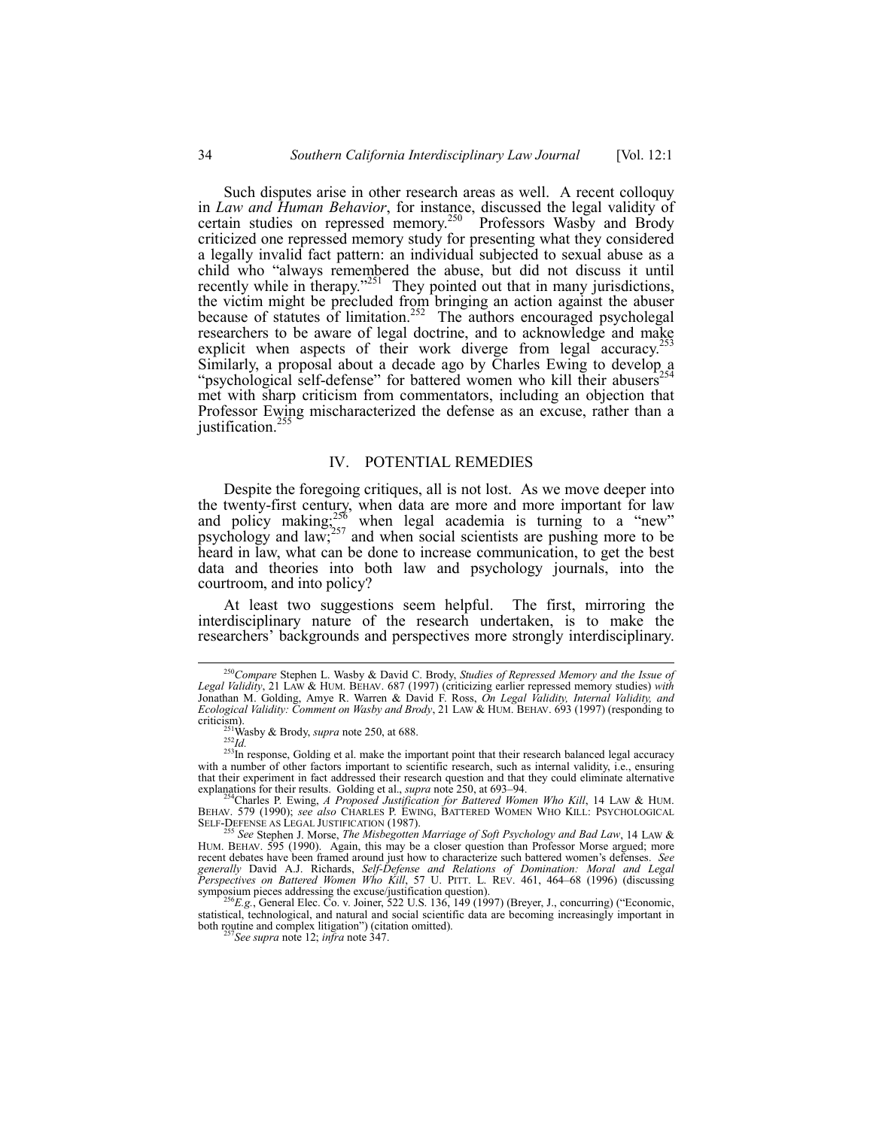Such disputes arise in other research areas as well. A recent colloquy in *Law and Human Behavior*, for instance, discussed the legal validity of certain studies on repressed memory.<sup>250</sup> Professors Wasby and Brody criticized one repressed memory study for presenting what they considered a legally invalid fact pattern: an individual subjected to sexual abuse as a child who "always remembered the abuse, but did not discuss it until recently while in therapy.<sup>7251</sup> They pointed out that in many jurisdictions, the victim might be precluded from bringing an action against the abuser because of statutes of limitation.<sup>252</sup> The authors encouraged psycholegal researchers to be aware of legal doctrine, and to acknowledge and make explicit when aspects of their work diverge from legal accuracy.<sup>2</sup> Similarly, a proposal about a decade ago by Charles Ewing to develop a "psychological self-defense" for battered women who kill their abusers<sup>254</sup> met with sharp criticism from commentators, including an objection that Professor Ewing mischaracterized the defense as an excuse, rather than a justification.<sup>255</sup>

## IV. POTENTIAL REMEDIES

Despite the foregoing critiques, all is not lost. As we move deeper into the twenty-first century, when data are more and more important for law and policy making; $^{256}$  when legal academia is turning to a "new" psychology and law; $^{257}$  and when social scientists are pushing more to be heard in law, what can be done to increase communication, to get the best data and theories into both law and psychology journals, into the courtroom, and into policy?

At least two suggestions seem helpful. The first, mirroring the interdisciplinary nature of the research undertaken, is to make the researchers' backgrounds and perspectives more strongly interdisciplinary.

statistical, technological, and natural and social scientific data are becoming increasingly important in both routine and complex litigation") (citation omitted).<br><sup>257</sup>*See supra* note 12; *infra* note 347.

 <sup>250</sup>*Compare* Stephen L. Wasby & David C. Brody, *Studies of Repressed Memory and the Issue of Legal Validity*, 21 LAW & HUM. BEHAV. 687 (1997) (criticizing earlier repressed memory studies) *with* Jonathan M. Golding, Amye R. Warren & David F. Ross, *On Legal Validity, Internal Validity, and Ecological Validity: Comment on Wasby and Brody*, 21 LAW & HUM. BEHAV. 693 (1997) (responding to

criticism).<br><sup>251</sup>Wasby & Brody, *supra* note 250, at 688.<br><sup>253</sup>In response, Golding et al. make the important point that their research balanced legal accuracy<br><sup>253</sup>In response, Golding et al. make the important point that with a number of other factors important to scientific research, such as internal validity, i.e., ensuring that their experiment in fact addressed their research question and that they could eliminate alternative explanations for their results. Golding et al., *supra* note 250, at 693–94.

<sup>&</sup>lt;sup>254</sup>Charles P. Ewing, *A Proposed Justification for Battered Women Who Kill*, 14 LAW & HUM.<br>BEHAV. 579 (1990); *see also* CHARLES P. EWING, BATTERED WOMEN WHO KILL: PSYCHOLOGICAL SELF-DEFENSE AS LEGAL JUSTIFICATION (1987

See Stephen J. Morse, *The Misbegotten Marriage of Soft Psychology and Bad Law*, 14 LAW & HUM. BEHAV. 595 (1990). Again, this may be a closer question than Professor Morse argued; more recent debates have been framed around just how to characterize such battered womenís defenses. *See generally* David A.J. Richards, *Self-Defense and Relations of Domination: Moral and Legal Perspectives on Battered Women Who Kill*, 57 U. PITT. L. REV. 461, 464–68 (1996) (discussing symposium pieces addressing the excuse/justification question).<br><sup>256</sup>*E.g.*, General Elec. Co. v. Joiner, 522 U.S. 136, 149 (1997) (Breyer, J., concurring) ("Economic,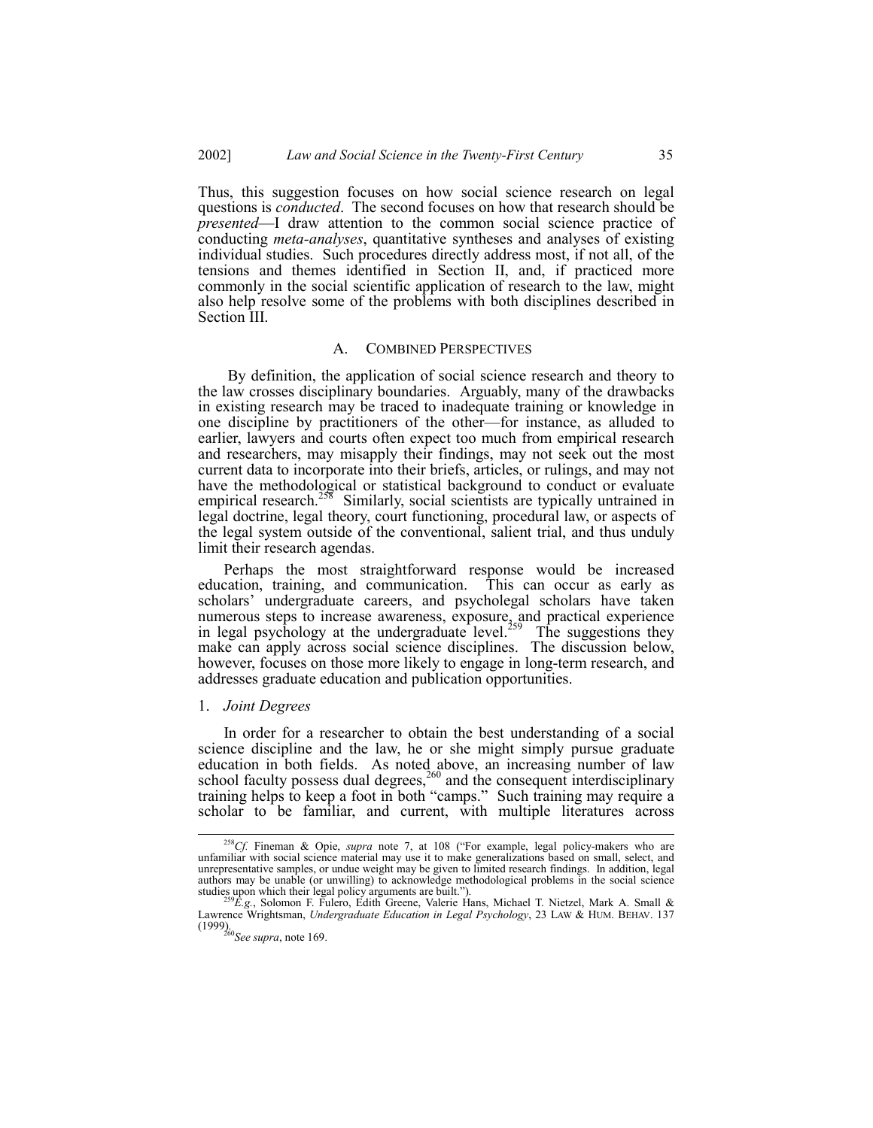Thus, this suggestion focuses on how social science research on legal questions is *conducted*. The second focuses on how that research should be *presented*—I draw attention to the common social science practice of conducting *meta-analyses*, quantitative syntheses and analyses of existing individual studies. Such procedures directly address most, if not all, of the tensions and themes identified in Section II, and, if practiced more commonly in the social scientific application of research to the law, might also help resolve some of the problems with both disciplines described in Section III.

#### A. COMBINED PERSPECTIVES

 By definition, the application of social science research and theory to the law crosses disciplinary boundaries. Arguably, many of the drawbacks in existing research may be traced to inadequate training or knowledge in one discipline by practitioners of the other—for instance, as alluded to earlier, lawyers and courts often expect too much from empirical research and researchers, may misapply their findings, may not seek out the most current data to incorporate into their briefs, articles, or rulings, and may not have the methodological or statistical background to conduct or evaluate empirical research.<sup>258</sup> Similarly, social scientists are typically untrained in legal doctrine, legal theory, court functioning, procedural law, or aspects of the legal system outside of the conventional, salient trial, and thus unduly limit their research agendas.

Perhaps the most straightforward response would be increased education, training, and communication. This can occur as early as scholars' undergraduate careers, and psycholegal scholars have taken numerous steps to increase awareness, exposure, and practical experience in legal psychology at the undergraduate level.<sup>259</sup> The suggestions they make can apply across social science disciplines. The discussion below, however, focuses on those more likely to engage in long-term research, and addresses graduate education and publication opportunities.

#### 1. *Joint Degrees*

In order for a researcher to obtain the best understanding of a social science discipline and the law, he or she might simply pursue graduate education in both fields. As noted above, an increasing number of law school faculty possess dual degrees,<sup>260</sup> and the consequent interdisciplinary training helps to keep a foot in both "camps." Such training may require a scholar to be familiar, and current, with multiple literatures across

<sup>&</sup>lt;sup>258</sup>Cf. Fineman & Opie, *supra* note 7, at 108 ("For example, legal policy-makers who are unfamiliar with social science material may use it to make generalizations based on small, select, and unrepresentative samples, or undue weight may be given to limited research findings. In addition, legal authors may be unable (or unwilling) to acknowledge methodological problems in the social science<br>studies upon which their legal policy arguments are built.").<br> $^{259}E.g.,$  Solomon F. Fulero, Edith Greene, Valerie Hans, Mic

<sup>&</sup>lt;sup>259</sup> E.g., Solomon F. Fulero, Edith Greene, Valerie Hans, Michael T. Nietzel, Mark A. Small & Lawrence Wrightsman, *Undergraduate Education in Legal Psychology*, 23 LAW & HUM. BEHAV. 137 (1999). <sup>260</sup>*See supra*, note 169.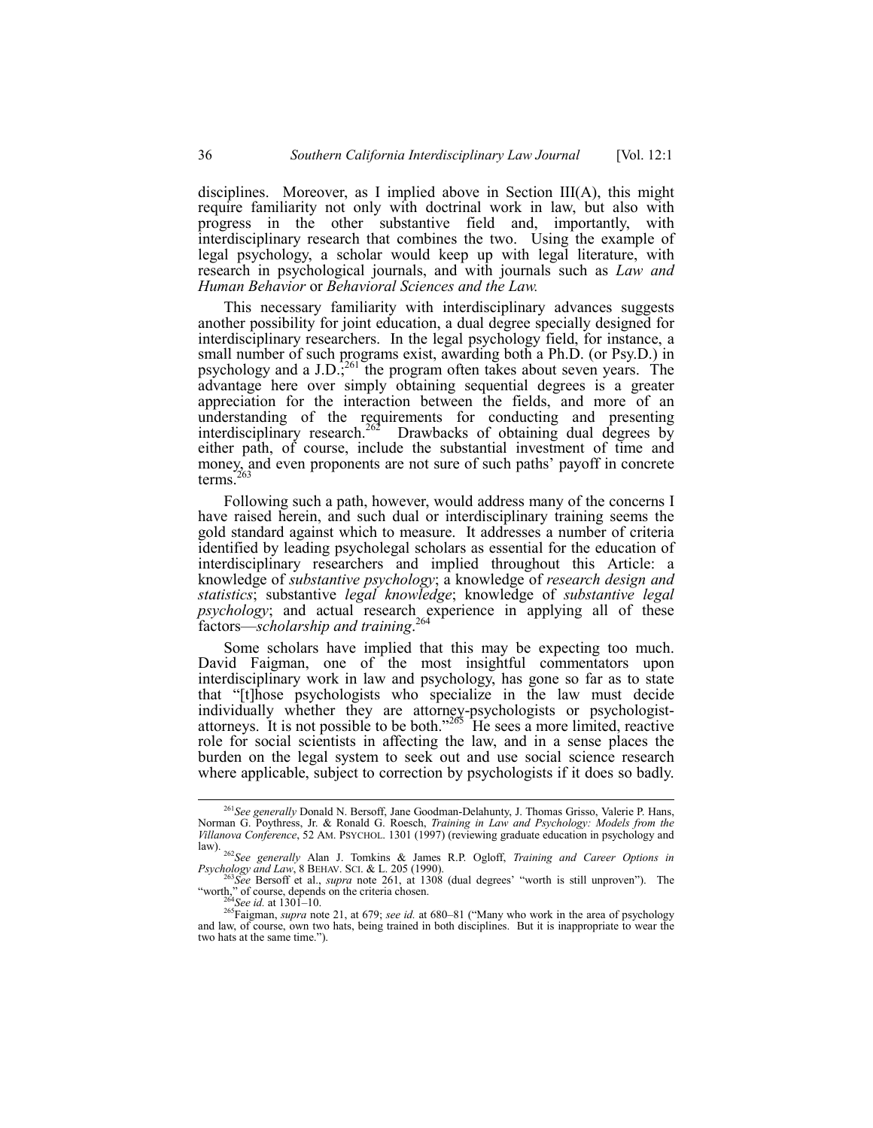disciplines. Moreover, as I implied above in Section III(A), this might require familiarity not only with doctrinal work in law, but also with progress in the other substantive field and, importantly, with interdisciplinary research that combines the two. Using the example of legal psychology, a scholar would keep up with legal literature, with research in psychological journals, and with journals such as *Law and Human Behavior* or *Behavioral Sciences and the Law.*

This necessary familiarity with interdisciplinary advances suggests another possibility for joint education, a dual degree specially designed for interdisciplinary researchers. In the legal psychology field, for instance, a small number of such programs exist, awarding both a Ph.D. (or Psy.D.) in psychology and a  $J.D.$ ;<sup>261</sup> the program often takes about seven years. The advantage here over simply obtaining sequential degrees is a greater appreciation for the interaction between the fields, and more of an understanding of the requirements for conducting and presenting interdisciplinary research.<sup>262</sup> Drawbacks of obtaining dual degrees by Drawbacks of obtaining dual degrees by either path, of course, include the substantial investment of time and money, and even proponents are not sure of such paths' payoff in concrete terms.

Following such a path, however, would address many of the concerns I have raised herein, and such dual or interdisciplinary training seems the gold standard against which to measure. It addresses a number of criteria identified by leading psycholegal scholars as essential for the education of interdisciplinary researchers and implied throughout this Article: a knowledge of *substantive psychology*; a knowledge of *research design and statistics*; substantive *legal knowledge*; knowledge of *substantive legal psychology*; and actual research experience in applying all of these factors—scholarship and training.<sup>264</sup>

Some scholars have implied that this may be expecting too much. David Faigman, one of the most insightful commentators upon interdisciplinary work in law and psychology, has gone so far as to state that "[t]hose psychologists who specialize in the law must decide individually whether they are attorney-psychologists or psychologistattorneys. It is not possible to be both.<sup> $265$ </sup> He sees a more limited, reactive role for social scientists in affecting the law, and in a sense places the burden on the legal system to seek out and use social science research where applicable, subject to correction by psychologists if it does so badly.

 <sup>261</sup>*See generally* Donald N. Bersoff, Jane Goodman-Delahunty, J. Thomas Grisso, Valerie P. Hans, Norman G. Poythress, Jr. & Ronald G. Roesch, *Training in Law and Psychology: Models from the Villanova Conference*, 52 AM. PSYCHOL. 1301 (1997) (reviewing graduate education in psychology and

law). <sup>262</sup>*See generally* Alan J. Tomkins & James R.P. Ogloff, *Training and Career Options in Psychology and Law*, 8 BEHAV. SCI. & L. 205 (1990).<br><sup>263</sup>*See* Bersoff et al., *supra* note 261, at 1308 (dual degrees' "worth is still unproven"). The

<sup>&</sup>lt;sup>264</sup>See id. at 1301–10.<br><sup>264</sup>See id. at 1301–10.<br><sup>265</sup>Faigman, *supra* note 21, at 679; *see id.* at 680–81 ("Many who work in the area of psychology

bee tu, at 1501–10.<br>
<sup>265</sup>Faigman, *supra* note 21, at 679; *see id.* at 680–81 ("Many who work in the area of psychology and law, of course, own two hats, being trained in both disciplines. But it is inappropriate to wea two hats at the same time.").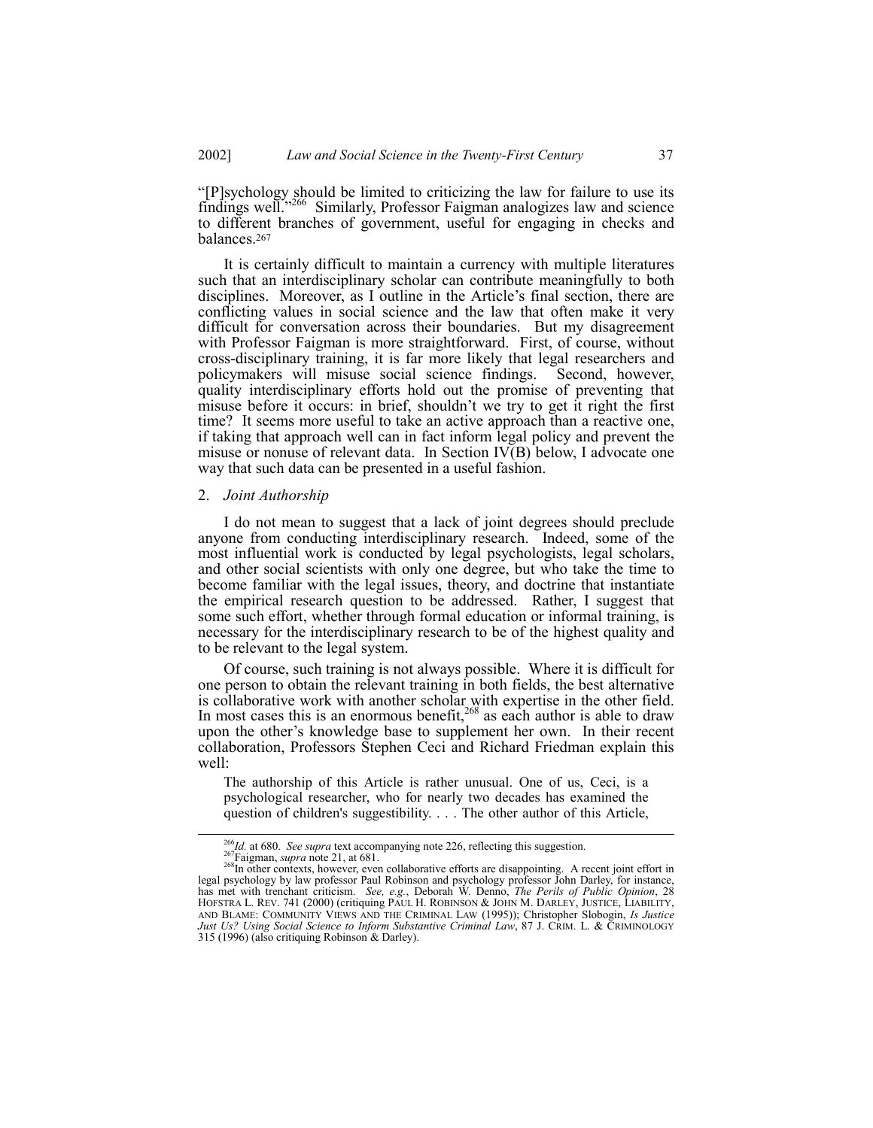ì[P]sychology should be limited to criticizing the law for failure to use its findings well.<sup>3266</sup> Similarly, Professor Faigman analogizes law and science to different branches of government, useful for engaging in checks and balances.267

It is certainly difficult to maintain a currency with multiple literatures such that an interdisciplinary scholar can contribute meaningfully to both disciplines. Moreover, as I outline in the Article's final section, there are conflicting values in social science and the law that often make it very difficult for conversation across their boundaries. But my disagreement with Professor Faigman is more straightforward. First, of course, without cross-disciplinary training, it is far more likely that legal researchers and policymakers will misuse social science findings. Second, however, quality interdisciplinary efforts hold out the promise of preventing that misuse before it occurs: in brief, shouldn't we try to get it right the first time? It seems more useful to take an active approach than a reactive one, if taking that approach well can in fact inform legal policy and prevent the misuse or nonuse of relevant data. In Section  $IV(B)$  below, I advocate one way that such data can be presented in a useful fashion.

#### 2. *Joint Authorship*

I do not mean to suggest that a lack of joint degrees should preclude anyone from conducting interdisciplinary research. Indeed, some of the most influential work is conducted by legal psychologists, legal scholars, and other social scientists with only one degree, but who take the time to become familiar with the legal issues, theory, and doctrine that instantiate the empirical research question to be addressed. Rather, I suggest that some such effort, whether through formal education or informal training, is necessary for the interdisciplinary research to be of the highest quality and to be relevant to the legal system.

Of course, such training is not always possible. Where it is difficult for one person to obtain the relevant training in both fields, the best alternative is collaborative work with another scholar with expertise in the other field. In most cases this is an enormous benefit,  $268$  as each author is able to draw upon the other's knowledge base to supplement her own. In their recent collaboration, Professors Stephen Ceci and Richard Friedman explain this well:

The authorship of this Article is rather unusual. One of us, Ceci, is a psychological researcher, who for nearly two decades has examined the question of children's suggestibility. . . . The other author of this Article,

 $^{266}$ Id. at 680. See supra text accompanying note 226, reflecting this suggestion.<br><sup>267</sup>Faigman, *supra* note 21, at 681.<br><sup>268</sup>In other contexts, however, even collaborative efforts are disappointing. A recent joint eff legal psychology by law professor Paul Robinson and psychology professor John Darley, for instance, has met with trenchant criticism. *See, e.g.*, Deborah W. Denno, *The Perils of Public Opinion*, 28 HOFSTRA L. REV. 741 (2000) (critiquing PAUL H. ROBINSON & JOHN M. DARLEY, JUSTICE, LIABILITY,<br>AND BLAME: COMMUNITY VIEWS AND THE CRIMINAL LAW (1995)); Christopher Slobogin, *Is Justice*<br>*Just Us? Using Social Science to In* 315 (1996) (also critiquing Robinson & Darley).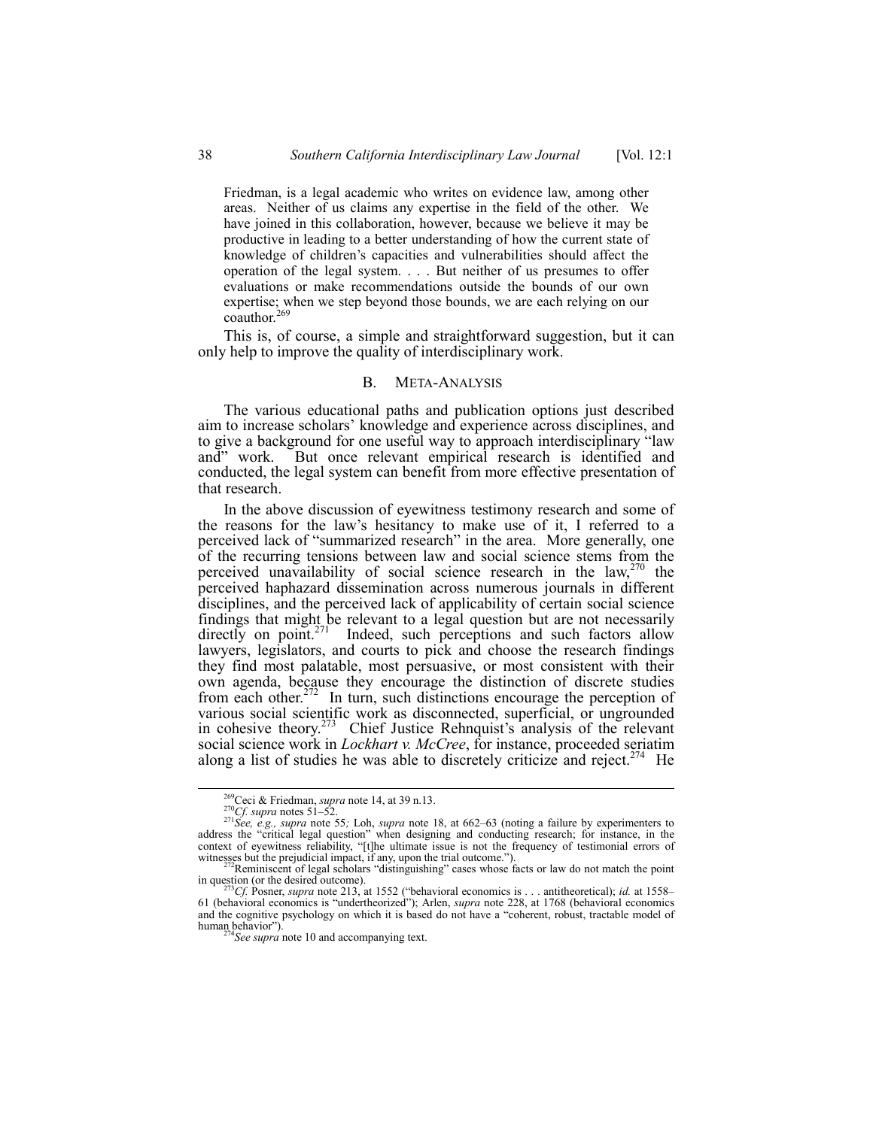Friedman, is a legal academic who writes on evidence law, among other areas. Neither of us claims any expertise in the field of the other. We have joined in this collaboration, however, because we believe it may be productive in leading to a better understanding of how the current state of knowledge of childrenís capacities and vulnerabilities should affect the operation of the legal system. . . . But neither of us presumes to offer evaluations or make recommendations outside the bounds of our own expertise; when we step beyond those bounds, we are each relying on our coauthor. $269$ 

This is, of course, a simple and straightforward suggestion, but it can only help to improve the quality of interdisciplinary work.

#### B. META-ANALYSIS

The various educational paths and publication options just described aim to increase scholars' knowledge and experience across disciplines, and to give a background for one useful way to approach interdisciplinary "law and<sup>"</sup> work. But once relevant empirical research is identified and conducted, the legal system can benefit from more effective presentation of that research.

In the above discussion of eyewitness testimony research and some of the reasons for the lawís hesitancy to make use of it, I referred to a perceived lack of "summarized research" in the area. More generally, one of the recurring tensions between law and social science stems from the perceived unavailability of social science research in the law, $270$  the perceived haphazard dissemination across numerous journals in different disciplines, and the perceived lack of applicability of certain social science findings that might be relevant to a legal question but are not necessarily directly on point.<sup>271</sup> Indeed, such perceptions and such factors allow lawyers, legislators, and courts to pick and choose the research findings they find most palatable, most persuasive, or most consistent with their own agenda, because they encourage the distinction of discrete studies from each other.<sup>272</sup> In turn, such distinctions encourage the perception of various social scientific work as disconnected, superficial, or ungrounded in cohesive theory.<sup>273</sup> Chief Justice Rehnquist's analysis of the relevant social science work in *Lockhart v. McCree*, for instance, proceeded seriatim along a list of studies he was able to discretely criticize and reject.<sup>274</sup> He

<sup>&</sup>lt;sup>269</sup>Ceci & Friedman, *supra* note 14, at 39 n.13.<br><sup>270</sup>*Cf. supra* notes 51–52.<br><sup>271</sup>*See, e.g., supra* note 55; Loh, *supra* note 18, at 662–63 (noting a failure by experimenters to address the "critical legal question" when designing and conducting research; for instance, in the context of eyewitness reliability, "[t]he ultimate issue is not the frequency of testimonial errors of witnesses but the prejudicial impact, if any, upon the trial outcome.").<br><sup>272</sup>Reminiscent of legal scholars "distinguis

in question (or the desired outcome).<br><sup>273</sup>*Cf.* Posner, *supra* note 213, at 1552 ("behavioral economics is . . . antitheoretical); *id.* at 1558–

<sup>61 (</sup>behavioral economics is "undertheorized"); Arlen, *supra* note 228, at 1768 (behavioral economics and the cognitive psychology on which it is based do not have a "coherent, robust, tractable model of human behavior").<br><sup>274</sup>See *supra* note 10 and accompanying text.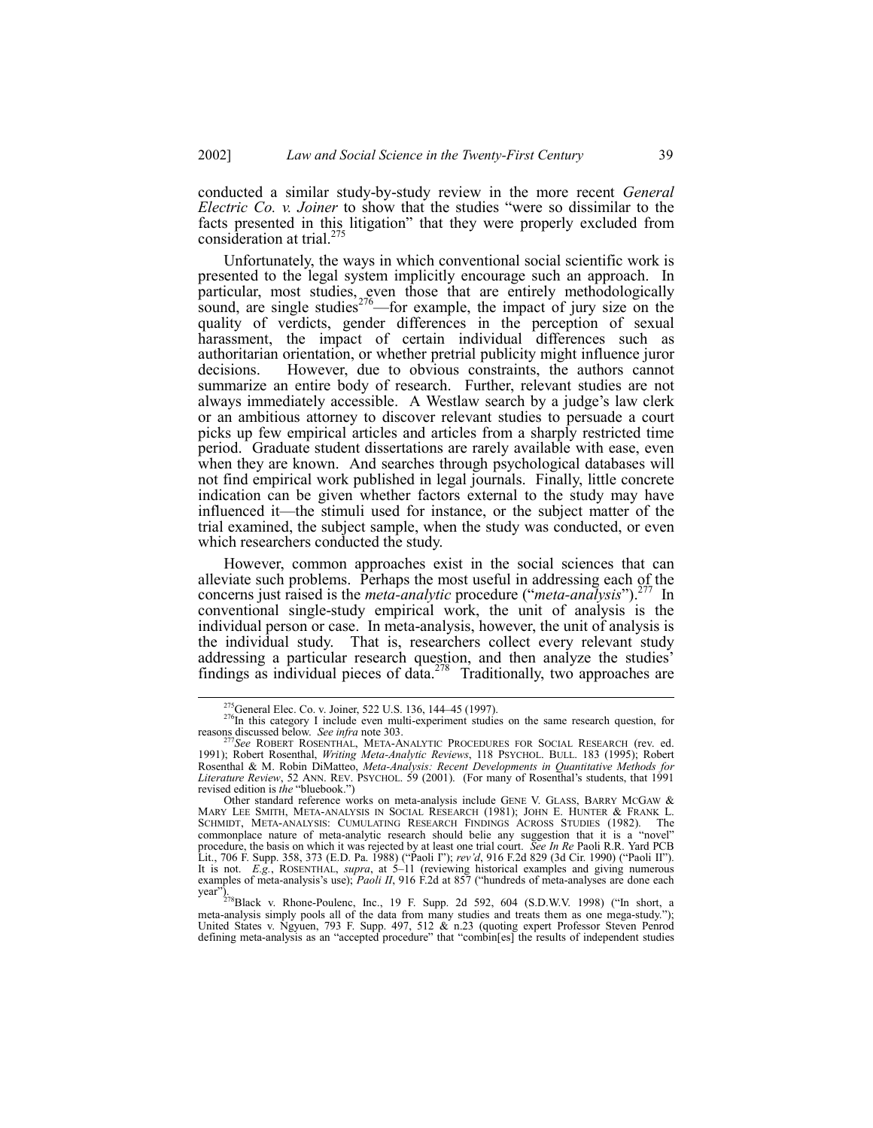conducted a similar study-by-study review in the more recent *General Electric Co. v. Joiner* to show that the studies "were so dissimilar to the facts presented in this litigation" that they were properly excluded from consideration at trial. $27$ 

Unfortunately, the ways in which conventional social scientific work is presented to the legal system implicitly encourage such an approach. In particular, most studies, even those that are entirely methodologically sound, are single studies<sup>276</sup>—for example, the impact of jury size on the quality of verdicts, gender differences in the perception of sexual harassment, the impact of certain individual differences such as authoritarian orientation, or whether pretrial publicity might influence juror decisions. However, due to obvious constraints, the authors cannot summarize an entire body of research. Further, relevant studies are not always immediately accessible. A Westlaw search by a judge's law clerk or an ambitious attorney to discover relevant studies to persuade a court picks up few empirical articles and articles from a sharply restricted time period. Graduate student dissertations are rarely available with ease, even when they are known. And searches through psychological databases will not find empirical work published in legal journals. Finally, little concrete indication can be given whether factors external to the study may have influenced it—the stimuli used for instance, or the subject matter of the trial examined, the subject sample, when the study was conducted, or even which researchers conducted the study.

However, common approaches exist in the social sciences that can alleviate such problems. Perhaps the most useful in addressing each of the concerns just raised is the *meta-analytic* procedure (*''meta-analysis*").<sup>277</sup> In conventional single-study empirical work, the unit of analysis is the individual person or case. In meta-analysis, however, the unit of analysis is the individual study. That is, researchers collect every relevant study addressing a particular research question, and then analyze the studies<sup>7</sup> findings as individual pieces of data.<sup>278</sup> Traditionally, two approaches are

<sup>&</sup>lt;sup>275</sup>General Elec. Co. v. Joiner, 522 U.S. 136, 144–45 (1997). <sup>276</sup>In this category I include even multi-experiment studies on the same research question, for reasons discussed below. *See infra* note 303.

reasons discussed below. *See infra* note 303.<br><sup>277</sup>See ROBERT ROSENTHAL, META-ANALYTIC PROCEDURES FOR SOCIAL RESEARCH (rev. ed.<br>1991); Robert Rosenthal, *Writing Meta-Analytic Reviews*, 118 PSYCHOL. BULL. 183 (1995); Robe Rosenthal & M. Robin DiMatteo, *Meta-Analysis: Recent Developments in Quantitative Methods for Literature Review*, 52 ANN. REV. PSYCHOL. 59 (2001). (For many of Rosenthalís students, that 1991 revised edition is *the* "bluebook.")

Other standard reference works on meta-analysis include GENE V. GLASS, BARRY MCGAW & MARY LEE SMITH, META-ANALYSIS IN SOCIAL RESEARCH (1981); JOHN E. HUNTER & FRANK L. SCHMIDT, META-ANALYSIS: CUMULATING RESEARCH FINDINGS ACROSS STUDIES (1982). commonplace nature of meta-analytic research should belie any suggestion that it is a "novel" procedure, the basis on which it was rejected by at least one trial court. *See In Re Paoli R.R. Yard PCB*<br>Lit., 706 F. Supp. 358, 373 (E.D. Pa. 1988) ("Paoli I"); *rev'd*, 916 F.2d 829 (3d Cir. 1990) ("Paoli II"). It is not. *E.g.*, ROSENTHAL, *supra*, at 5–11 (reviewing historical examples and giving numerous examples of meta-analysis's use); *Paoli II*, 916 F.2d at 857 ("hundreds of meta-analyses are done each

year<sup>3</sup>).<br><sup>278</sup>Black v. Rhone-Poulenc, Inc., 19 F. Supp. 2d 592, 604 (S.D.W.V. 1998) ("In short, a meta-analysis simply pools all of the data from many studies and treats them as one mega-study.");<br>United States v. Ngyuen, 793 F. Supp. 497, 512 & n.23 (quoting expert Professor Steven Penrod defining meta-analysis as an "accepted procedure" that "combin[es] the results of independent studies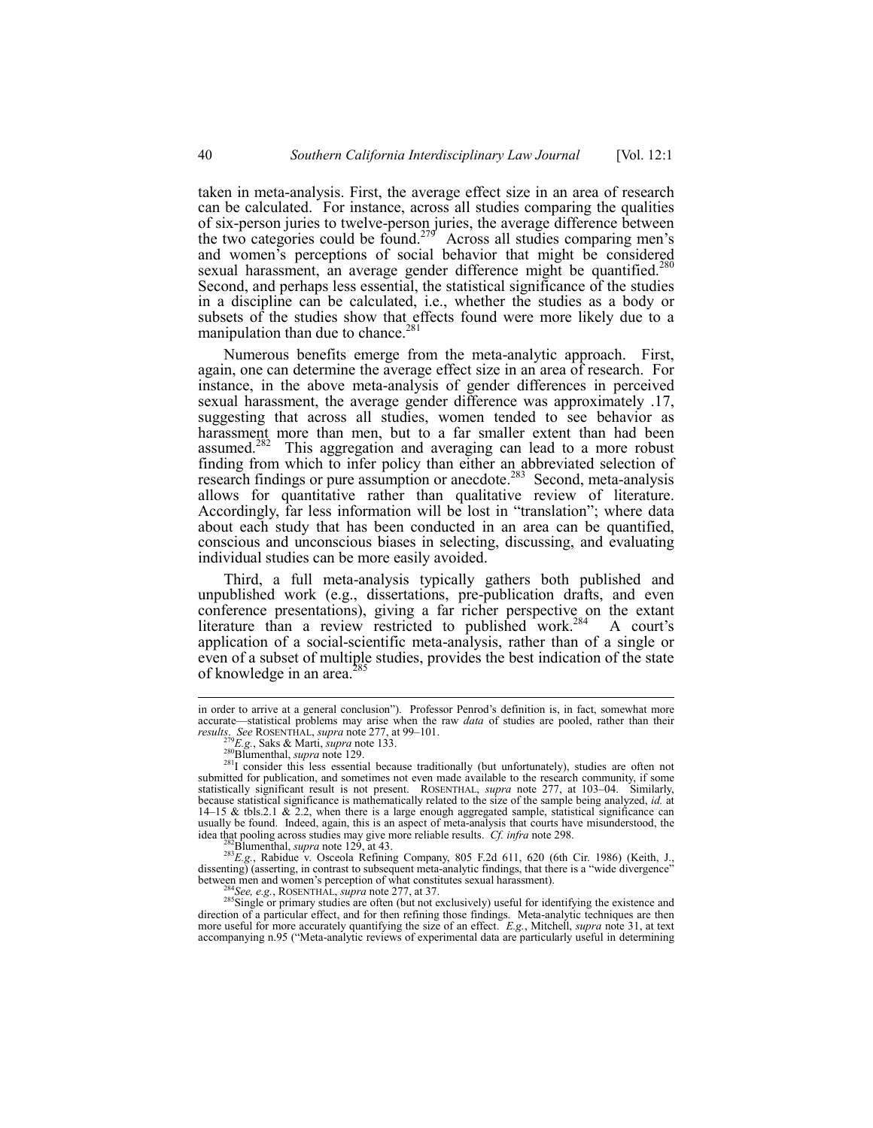taken in meta-analysis. First, the average effect size in an area of research can be calculated. For instance, across all studies comparing the qualities of six-person juries to twelve-person juries, the average difference between the two categories could be found.<sup>279</sup> Across all studies comparing men's and women's perceptions of social behavior that might be considered sexual harassment, an average gender difference might be quantified.<sup>2</sup> Second, and perhaps less essential, the statistical significance of the studies in a discipline can be calculated, i.e., whether the studies as a body or subsets of the studies show that effects found were more likely due to a manipulation than due to chance.<sup>2</sup>

Numerous benefits emerge from the meta-analytic approach. First, again, one can determine the average effect size in an area of research. For instance, in the above meta-analysis of gender differences in perceived sexual harassment, the average gender difference was approximately .17, suggesting that across all studies, women tended to see behavior as harassment more than men, but to a far smaller extent than had been assumed.<sup>282</sup> This aggregation and averaging can lead to a more robust finding from which to infer policy than either an abbreviated selection of research findings or pure assumption or anecdote.<sup>283</sup> Second, meta-analysis allows for quantitative rather than qualitative review of literature. Accordingly, far less information will be lost in "translation"; where data about each study that has been conducted in an area can be quantified, conscious and unconscious biases in selecting, discussing, and evaluating individual studies can be more easily avoided.

Third, a full meta-analysis typically gathers both published and unpublished work (e.g., dissertations, pre-publication drafts, and even conference presentations), giving a far richer perspective on the extant literature than a review restricted to published work.<sup>284</sup> A court's application of a social-scientific meta-analysis, rather than of a single or even of a subset of multiple studies, provides the best indication of the state of knowledge in an area.<sup>2</sup>

<sup>282</sup>Blumenthal, *supra* note 129, at 43.<br><sup>283</sup>E.g., Rabidue v. Osceola Refining Company, 805 F.2d 611, 620 (6th Cir. 1986) (Keith, J<sub>.</sub> dissenting) (asserting, in contrast to subsequent meta-analytic findings, that there is a "wide divergence" between men and women's perception of what constitutes sexual harassment).

<sup>284</sup>See, e.g., ROSENTHAL, *supra* note 277, at 37.<br><sup>285</sup>Single or primary studies are often (but not exclusively) useful for identifying the existence and direction of a particular effect, and for then refining those findings. Meta-analytic techniques are then<br>more useful for more accurately quantifying the size of an effect. E.g., Mitchell, *supra* note 31, at text accompanying n.95 ("Meta-analytic reviews of experimental data are particularly useful in determining

in order to arrive at a general conclusion"). Professor Penrod's definition is, in fact, somewhat more accurate—statistical problems may arise when the raw *data* of studies are pooled, rather than their *results*<sub>29</sub> See ROSENTHAL, *supra* note 277, at 99–101.

 $\frac{259}{259}$  E.g., Saks & Marti, *supra* note 133.<br><sup>280</sup>Blumenthal, *supra* note 129.<br><sup>280</sup>Blumenthal, *supra* note 129.<br><sup>281</sup>I consider this less essential because traditionally (but unfortunately), studies are often no submitted for publication, and sometimes not even made available to the research community, if some<br>statistically significant result is not present. ROSENTHAL, *supra* note 277, at 103–04. Similarly, because statistical significance is mathematically related to the size of the sample being analyzed, *id.* at 14–15 & tbls.2.1 & 2.2, when there is a large enough aggregated sample, statistical significance can usually be found. Indeed, again, this is an aspect of meta-analysis that courts have misunderstood, the idea that pooling across studies may give more reliable results.  $Cf$ : infra note 298.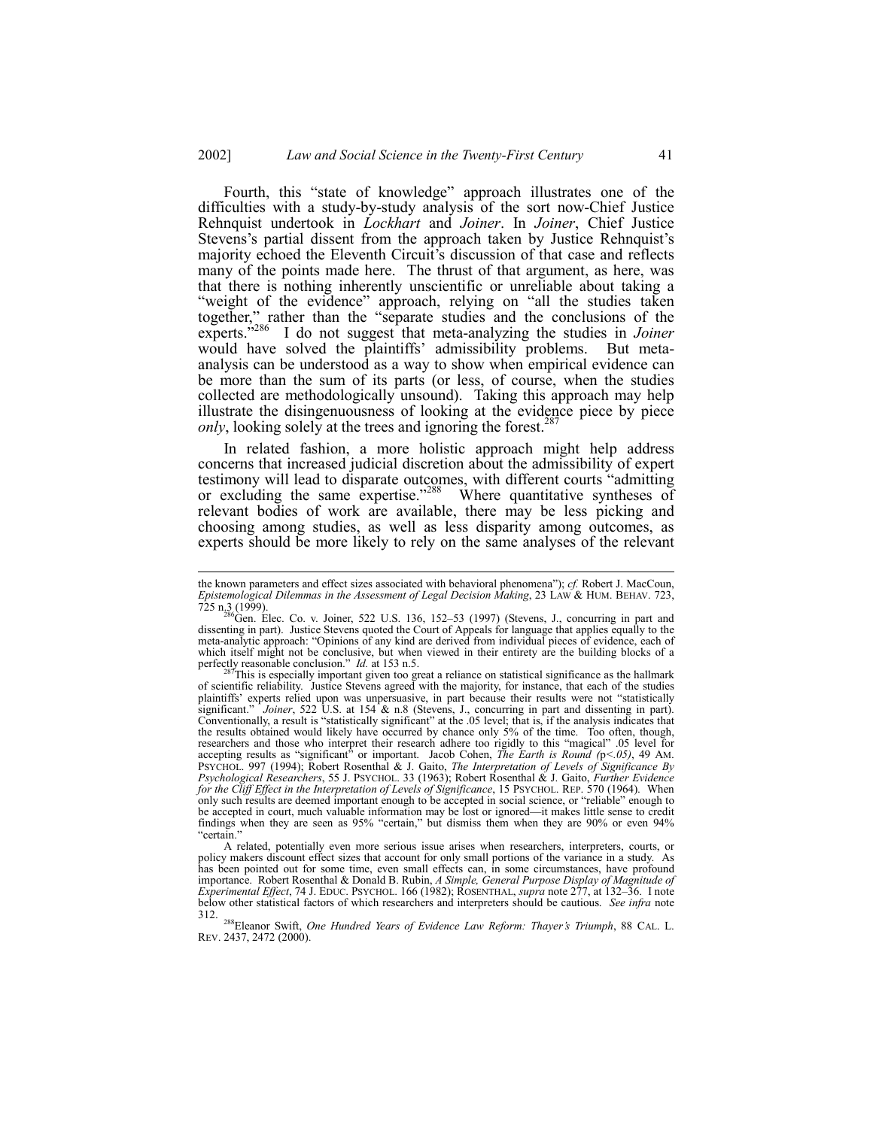Fourth, this "state of knowledge" approach illustrates one of the difficulties with a study-by-study analysis of the sort now-Chief Justice Rehnquist undertook in *Lockhart* and *Joiner*. In *Joiner*, Chief Justice Stevens's partial dissent from the approach taken by Justice Rehnquist's majority echoed the Eleventh Circuit's discussion of that case and reflects many of the points made here. The thrust of that argument, as here, was that there is nothing inherently unscientific or unreliable about taking a "weight of the evidence" approach, relying on "all the studies taken together," rather than the "separate studies and the conclusions of the experts.<sup>3286</sup> I do not suggest that meta-analyzing the studies in *Joiner* would have solved the plaintiffs' admissibility problems. But metaanalysis can be understood as a way to show when empirical evidence can be more than the sum of its parts (or less, of course, when the studies collected are methodologically unsound). Taking this approach may help illustrate the disingenuousness of looking at the evidence piece by piece *only*, looking solely at the trees and ignoring the forest.<sup>287</sup>

In related fashion, a more holistic approach might help address concerns that increased judicial discretion about the admissibility of expert testimony will lead to disparate outcomes, with different courts "admitting" or excluding the same expertise.<sup> $288$ </sup> Where quantitative syntheses of relevant bodies of work are available, there may be less picking and choosing among studies, as well as less disparity among outcomes, as experts should be more likely to rely on the same analyses of the relevant

This is especially important given too great a reliance on statistical significance as the hallmark of scientific reliability. Justice Stevens agreed with the majority, for instance, that each of the studies plaintiffs' experts relied upon was unpersuasive, in part because their results were not "statistically significant." *Joiner*, 522 U.S. at 154 & n.8 (Stevens, J., concurring in part and dissenting in part).<br>Conventionally, a result is "statistically significant" at the .05 level; that is, if the analysis indicates that the results obtained would likely have occurred by chance only 5% of the time. Too often, though, researchers and those who interpret their research adhere too rigidly to this "magical". 05 level for accepting results as "significant" or important. Jacob Cohen, *The Earth is Round* (p<.05), 49 AM. PSYCHOL. 997 (1994); Robert Rosenthal & J. Gaito, *The Interpretation of Levels of Significance By Psychological Researchers*, 55 J. PSYCHOL. 33 (1963); Robert Rosenthal & J. Gaito, *Further Evidence for the Cliff Effect in the Interpretation of Levels of Significance*, 15 PSYCHOL. REP. 570 (1964). When only such results are deemed important enough to be accepted in social science, or "reliable" enough to be accepted in court, much valuable information may be lost or ignored—it makes little sense to credit findings when they are seen as 95% "certain," but dismiss them when they are 90% or even 94% ìcertain.î

A related, potentially even more serious issue arises when researchers, interpreters, courts, or policy makers discount effect sizes that account for only small portions of the variance in a study. As has been pointed out for some time, even small effects can, in some circumstances, have profound importance. Robert Rosenthal & Donald B. Rubin, *A Simple, General Purpose Display of Magnitude of*<br>*Experimental Effect*, 74 J. EDUC. PSYCHOL. 166 (1982); ROSENTHAL, *supra* note 277, at 132–36. I note below other statistical factors of which researchers and interpreters should be cautious. *See infra* note

the known parameters and effect sizes associated with behavioral phenomenaî); *cf.* Robert J. MacCoun, *Epistemological Dilemmas in the Assessment of Legal Decision Making*, 23 LAW & HUM. BEHAV. 723,  $725 \text{ n.3 (1999)}$ .<br><sup>286</sup>Gen. Elec. Co. v. Joiner, 522 U.S. 136, 152–53 (1997) (Stevens, J., concurring in part and

dissenting in part). Justice Stevens quoted the Court of Appeals for language that applies equally to the meta-analytic approach: "Opinions of any kind are derived from individual pieces of evidence, each of which itself might not be conclusive, but when viewed in their entirety are the building blocks of a perfectly reasonable conclusion." *Id.* at 153 n.5.

<sup>312.</sup> 288Eleanor Swift, *One Hundred Years of Evidence Law Reform: Thayerís Triumph*, 88 CAL. L. REV. 2437, 2472 (2000).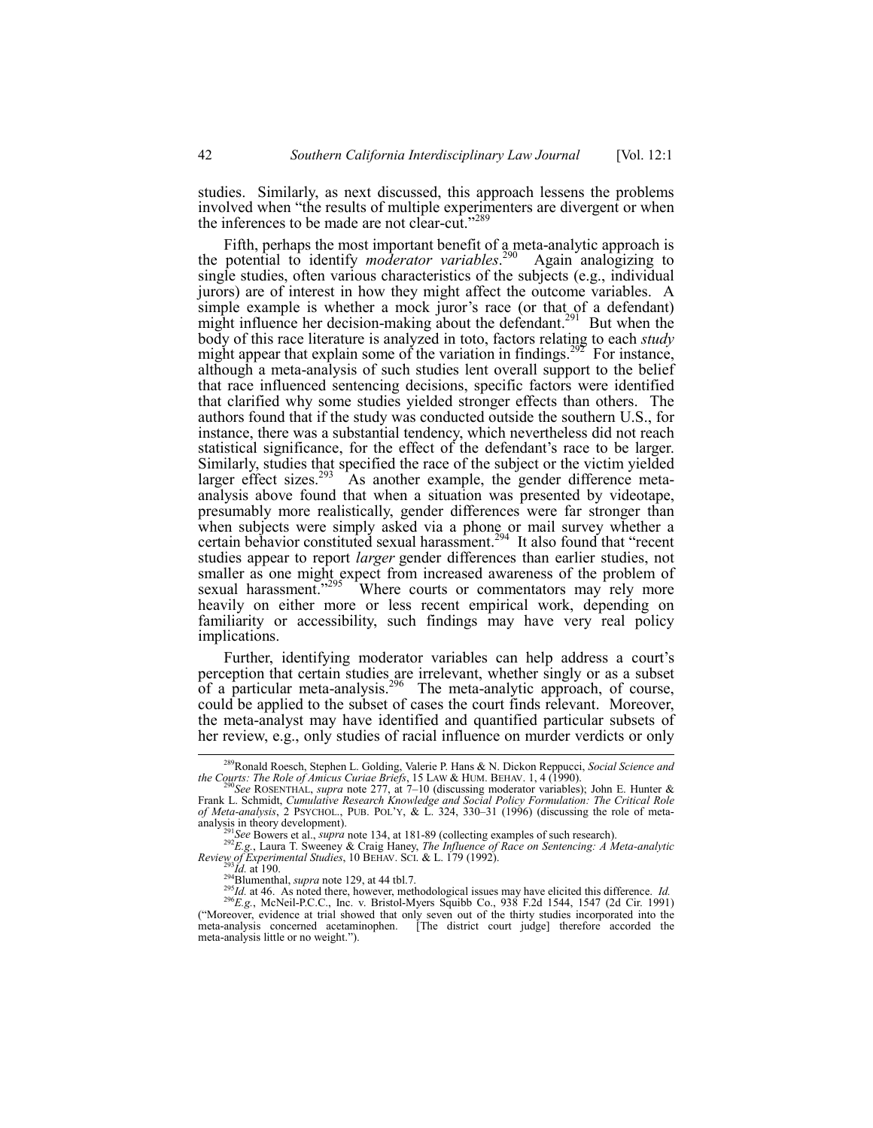studies. Similarly, as next discussed, this approach lessens the problems involved when "the results of multiple experimenters are divergent or when the inferences to be made are not clear-cut.<sup>7289</sup>

Fifth, perhaps the most important benefit of a meta-analytic approach is the potential to identify *moderator variables*. 290 Again analogizing to single studies, often various characteristics of the subjects (e.g., individual jurors) are of interest in how they might affect the outcome variables. A simple example is whether a mock juror's race (or that of a defendant) might influence her decision-making about the defendant.<sup>291</sup> But when the body of this race literature is analyzed in toto, factors relating to each *study* might appear that explain some of the variation in findings.<sup>292</sup> For instance, although a meta-analysis of such studies lent overall support to the belief that race influenced sentencing decisions, specific factors were identified that clarified why some studies yielded stronger effects than others. The authors found that if the study was conducted outside the southern U.S., for instance, there was a substantial tendency, which nevertheless did not reach statistical significance, for the effect of the defendant's race to be larger. Similarly, studies that specified the race of the subject or the victim yielded larger effect sizes. $293$  As another example, the gender difference metaanalysis above found that when a situation was presented by videotape, presumably more realistically, gender differences were far stronger than when subjects were simply asked via a phone or mail survey whether a certain behavior constituted sexual harassment.<sup>294</sup> It also found that "recent studies appear to report *larger* gender differences than earlier studies, not smaller as one might expect from increased awareness of the problem of sexual harassment."<sup>295</sup> Where courts or commentators may rely more Where courts or commentators may rely more heavily on either more or less recent empirical work, depending on familiarity or accessibility, such findings may have very real policy implications.

Further, identifying moderator variables can help address a court's perception that certain studies are irrelevant, whether singly or as a subset of a particular meta-analysis.<sup>296</sup> The meta-analytic approach, of course, could be applied to the subset of cases the court finds relevant. Moreover, the meta-analyst may have identified and quantified particular subsets of her review, e.g., only studies of racial influence on murder verdicts or only

 <sup>289</sup>Ronald Roesch, Stephen L. Golding, Valerie P. Hans & N. Dickon Reppucci, *Social Science and the Courts: The Role of Amicus Curiae Briefs*, 15 LAW & HUM. BEHAV. 1, 4 (1990). <sup>290</sup>See ROSENTHAL, *supra* note 277, at 7–10 (discussing moderator variables); John E. Hunter &

Frank L. Schmidt, *Cumulative Research Knowledge and Social Policy Formulation: The Critical Role of Meta-analysis*, 2 PSYCHOL., PUB. POL'Y, & L. 324, 330–31 (1996) (discussing the role of meta-<br>analysis in theory development).<br> $\frac{1}{291}$  Co. Determined the role of metaanalysis in theory development).<br><sup>291</sup>See Bowers et al., *supra* note 134, at 181-89 (collecting examples of such research).<br><sup>292</sup>E.g., Laura T. Sweeney & Craig Haney, *The Influence of Race on Sentencing: A Meta-analytic* 

Review of Experimental Studies, 10 BEHAV. SCI. & L. 179 (1992).<br>
<sup>293</sup>Id. at 190.<br>
<sup>294</sup>Blumenthal, *supra* note 129, at 44 tbl.7.<br>
<sup>295</sup>Id. at 46. As noted there, however, methodological issues may have elicited this dif

<sup>(</sup>ìMoreover, evidence at trial showed that only seven out of the thirty studies incorporated into the meta-analysis concerned acetaminophen. [The district court judge] therefore accorded the meta-analysis little or no weight.").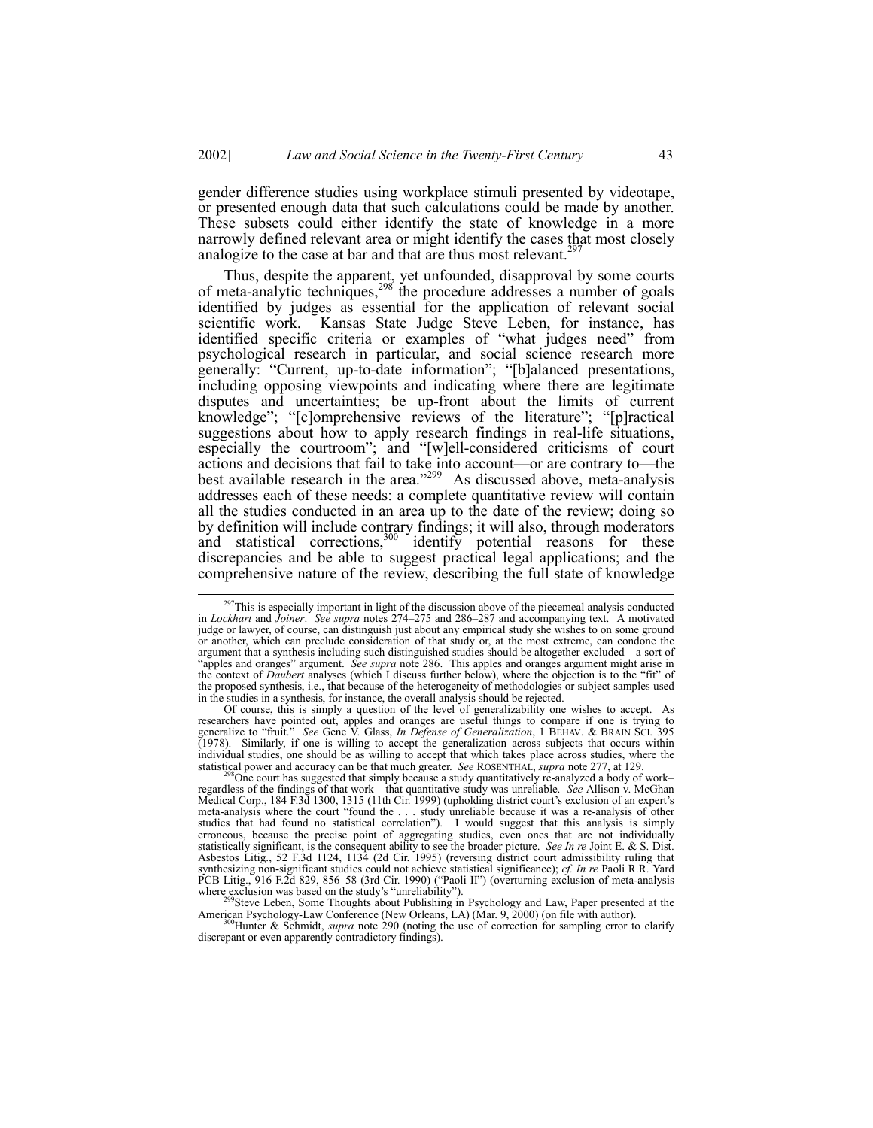gender difference studies using workplace stimuli presented by videotape, or presented enough data that such calculations could be made by another. These subsets could either identify the state of knowledge in a more narrowly defined relevant area or might identify the cases that most closely analogize to the case at bar and that are thus most relevant.<sup>29</sup>

Thus, despite the apparent, yet unfounded, disapproval by some courts of meta-analytic techniques,<sup>298</sup> the procedure addresses a number of goals identified by judges as essential for the application of relevant social scientific work. Kansas State Judge Steve Leben, for instance, has identified specific criteria or examples of "what judges need" from psychological research in particular, and social science research more generally: "Current, up-to-date information"; "[b]alanced presentations, including opposing viewpoints and indicating where there are legitimate disputes and uncertainties; be up-front about the limits of current knowledge"; "[c]omprehensive reviews of the literature"; "[p]ractical suggestions about how to apply research findings in real-life situations, especially the courtroom"; and "[w]ell-considered criticisms of court actions and decisions that fail to take into account—or are contrary to—the best available research in the area.<sup> $299$ </sup> As discussed above, meta-analysis addresses each of these needs: a complete quantitative review will contain all the studies conducted in an area up to the date of the review; doing so by definition will include contrary findings; it will also, through moderators and statistical corrections,  $300$  identify potential reasons for these discrepancies and be able to suggest practical legal applications; and the comprehensive nature of the review, describing the full state of knowledge

<sup>&</sup>lt;sup>297</sup>This is especially important in light of the discussion above of the piecemeal analysis conducted in *Lockhart* and *Joiner*. *See supra* notes 274–275 and 286–287 and accompanying text. A motivated judge or lawyer, of course, can distinguish just about any empirical study she wishes to on some ground or another, which can preclude consideration of that study or, at the most extreme, can condone the argument that a synthesis including such distinguished studies should be altogether excluded—a sort of <sup>"</sup>apples and oranges" argument. *See supra* note 286. This apples and oranges argument might arise in the context of *Daubert* analyses (which I discuss further below), where the objection is to the "fit" of the proposed synthesis, i.e., that because of the heterogeneity of methodologies or subject samples used in the studies in a synthesis, for instance, the overall analysis should be rejected.

Of course, this is simply a question of the level of generalizability one wishes to accept. As researchers have pointed out, apples and oranges are useful things to compare if one is trying to generalize to "fruit." *See* Gene V. Glass, *In Defense of Generalization*, 1 BEHAV. & BRAIN SCI. 395 (1978). Similarly, if one is willing to accept the generalization across subjects that occurs within individual studies, one should be as willing to accept that which takes place across studies, where the statistical power and accuracy can be that much greater. See ROSENTHAL, supra note 277, at 129.

<sup>&</sup>lt;sup>8</sup>One court has suggested that simply because a study quantitatively re-analyzed a body of work– regardless of the findings of that work—that quantitative study was unreliable. *See Allison v. McGhan* Medical Corp., 184 F.3d 1300, 1315 (11th Cir. 1999) (upholding district court's exclusion of an expert's meta-analysis where the court "found the . . . study unreliable because it was a re-analysis of other studies that had found no statistical correlation"). I would suggest that this analysis is simply erroneous, because the precise point of aggregating studies, even ones that are not individually statistically significant, is the consequent ability to see the broader picture. See In re Joint E. & S. Dist.<br>Asbestos Litig., 52 F.3d 1124, 1134 (2d Cir. 1995) (reversing district court admissibility ruling that synthesizing non-significant studies could not achieve statistical significance); *cf. In re* Paoli R.R. Yard PCB Litig., 916 F.2d 829, 856–58 (3rd Cir. 1990) ("Paoli II") (overturning exclusion of meta-analysis where exclusion was based on the study's "unreliability"). where exclusion was based on the study's "unreliability").<br><sup>299</sup>Steve Leben, Some Thoughts about Publishing in Psychology and Law, Paper presented at the

American Psychology-Law Conference (New Orleans, LA) (Mar. 9, 2000) (on file with author). <sup>300</sup>Hunter & Schmidt, *supra* note 290 (noting the use of correction for sampling error to clarify

discrepant or even apparently contradictory findings).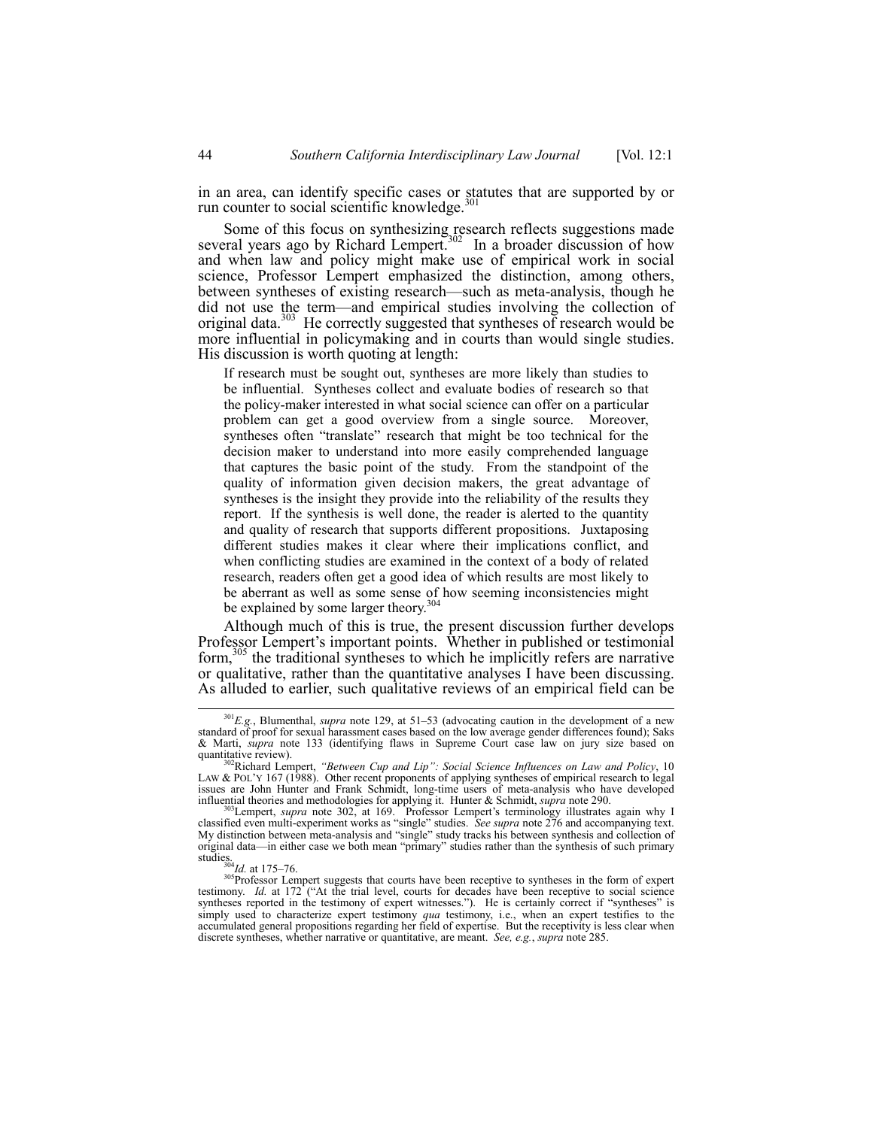in an area, can identify specific cases or statutes that are supported by or run counter to social scientific knowledge.<sup>3</sup>

Some of this focus on synthesizing research reflects suggestions made several years ago by Richard Lempert.<sup>302</sup> In a broader discussion of how and when law and policy might make use of empirical work in social science, Professor Lempert emphasized the distinction, among others, between syntheses of existing research—such as meta-analysis, though he did not use the term—and empirical studies involving the collection of original data.<sup>303</sup> He correctly suggested that syntheses of research would be more influential in policymaking and in courts than would single studies. His discussion is worth quoting at length:

If research must be sought out, syntheses are more likely than studies to be influential. Syntheses collect and evaluate bodies of research so that the policy-maker interested in what social science can offer on a particular problem can get a good overview from a single source. Moreover, syntheses often "translate" research that might be too technical for the decision maker to understand into more easily comprehended language that captures the basic point of the study. From the standpoint of the quality of information given decision makers, the great advantage of syntheses is the insight they provide into the reliability of the results they report. If the synthesis is well done, the reader is alerted to the quantity and quality of research that supports different propositions. Juxtaposing different studies makes it clear where their implications conflict, and when conflicting studies are examined in the context of a body of related research, readers often get a good idea of which results are most likely to be aberrant as well as some sense of how seeming inconsistencies might be explained by some larger theory.<sup>304</sup>

Although much of this is true, the present discussion further develops Professor Lempert's important points. Whether in published or testimonial form,<sup>305</sup> the traditional syntheses to which he implicitly refers are narrative or qualitative, rather than the quantitative analyses I have been discussing. As alluded to earlier, such qualitative reviews of an empirical field can be

 $301E.g.,$  Blumenthal, *supra* note 129, at 51–53 (advocating caution in the development of a new standard of proof for sexual harassment cases based on the low average gender differences found); Saks & Marti, *supra* note 133 (identifying flaws in Supreme Court case law on jury size based on quantitative review).  $\frac{302}{8}$ Richard Lempert, *<sup>2</sup>Between Cup and Lip*<sup>*n*</sup>: *Social Science Influences on Law and Policy*, 10

LAW & POL'Y 167 (1988). Other recent proponents of applying syntheses of empirical research to legal<br>issues are John Hunter and Frank Schmidt, long-time users of meta-analysis who have developed

influential theories and methodologies for applying it. Hunter & Schmidt, *supra* note 290.<br><sup>303</sup>Lempert, *supra* note 302, at 169. Professor Lempert's terminology illustrates again why I classified even multi-experiment w My distinction between meta-analysis and "single" study tracks his between synthesis and collection of original data—in either case we both mean "primary" studies rather than the synthesis of such primary<br>studies.<br> $\frac{304 \text{ J}}{304 \text{ J}}$  at 175–76

studies.<br><sup>304</sup>*Id.* at 175–76.<br><sup>305</sup>Professor Lempert suggests that courts have been receptive to syntheses in the form of expert testimony. *Id.* at 172 ("At the trial level, courts for decades have been receptive to soci syntheses reported in the testimony of expert witnesses."). He is certainly correct if "syntheses" is simply used to characterize expert testimony *qua* testimony, i.e., when an expert testifies to the accumulated general propositions regarding her field of expertise. But the receptivity is less clear when discrete syntheses, whether narrative or quantitative, are meant. *See, e.g.*, *supra* note 285.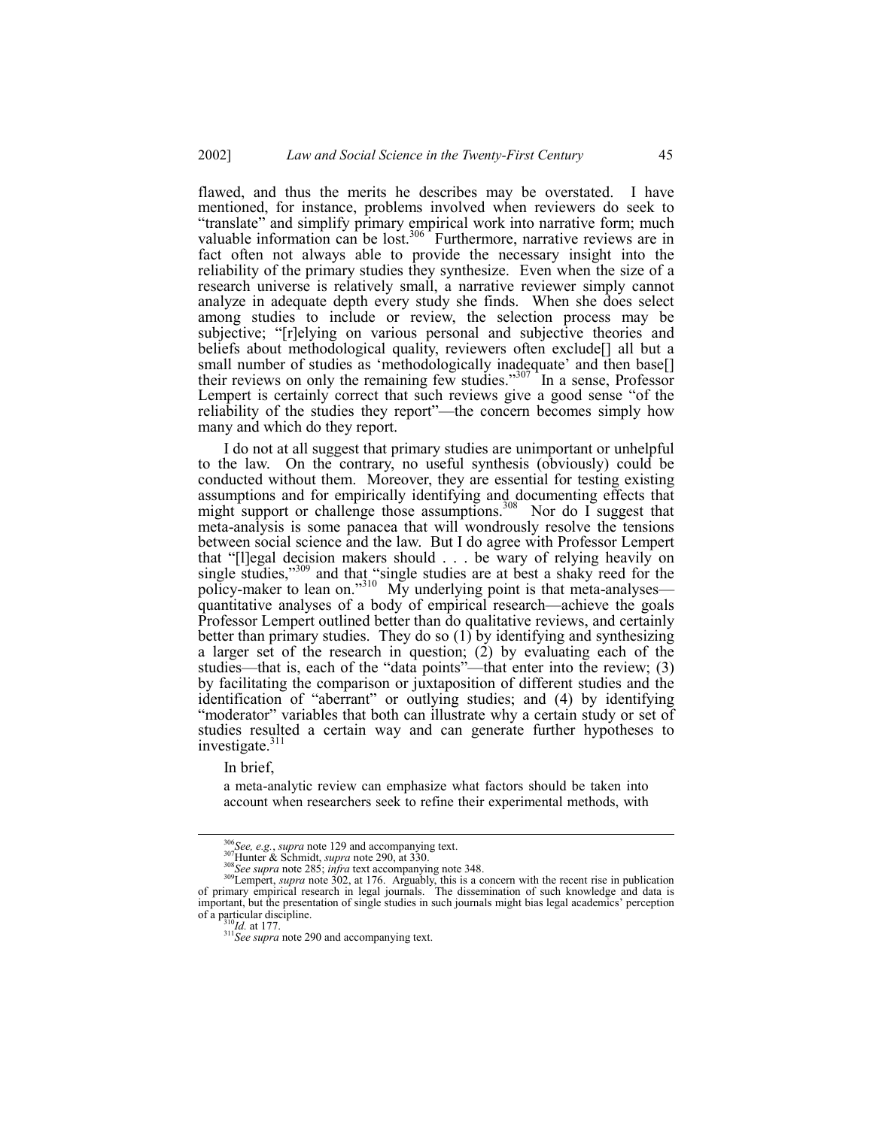flawed, and thus the merits he describes may be overstated. I have mentioned, for instance, problems involved when reviewers do seek to "translate" and simplify primary empirical work into narrative form; much valuable information can be lost.<sup>306</sup> Furthermore, narrative reviews are in fact often not always able to provide the necessary insight into the reliability of the primary studies they synthesize. Even when the size of a research universe is relatively small, a narrative reviewer simply cannot analyze in adequate depth every study she finds. When she does select among studies to include or review, the selection process may be subjective; "[r]elying on various personal and subjective theories and beliefs about methodological quality, reviewers often exclude[] all but a small number of studies as 'methodologically inadequate' and then base[] their reviews on only the remaining few studies.<sup> $307$ </sup> In a sense, Professor Lempert is certainly correct that such reviews give a good sense "of the reliability of the studies they report<sup>"</sup>—the concern becomes simply how many and which do they report.

I do not at all suggest that primary studies are unimportant or unhelpful to the law. On the contrary, no useful synthesis (obviously) could be conducted without them. Moreover, they are essential for testing existing assumptions and for empirically identifying and documenting effects that might support or challenge those assumptions.<sup>308</sup> Nor do I suggest that meta-analysis is some panacea that will wondrously resolve the tensions between social science and the law. But I do agree with Professor Lempert that "[l]egal decision makers should  $\ldots$  be wary of relying heavily on single studies, $1309$  and that "single studies are at best a shaky reed for the policy-maker to lean on."<sup>310</sup> My underlying point is that meta-analyses quantitative analyses of a body of empirical research—achieve the goals Professor Lempert outlined better than do qualitative reviews, and certainly better than primary studies. They do so (1) by identifying and synthesizing a larger set of the research in question;  $(2)$  by evaluating each of the studies—that is, each of the "data points"—that enter into the review; (3) by facilitating the comparison or juxtaposition of different studies and the identification of "aberrant" or outlying studies; and (4) by identifying "moderator" variables that both can illustrate why a certain study or set of studies resulted a certain way and can generate further hypotheses to investigate.<sup>311</sup>

In brief,

a meta-analytic review can emphasize what factors should be taken into account when researchers seek to refine their experimental methods, with

<sup>&</sup>lt;sup>306</sup>See, e.g., supra note 129 and accompanying text.<br><sup>307</sup>Hunter & Schmidt, *supra* note 290, at 330.<br><sup>308</sup>See supra note 285; *infra* text accompanying note 348.<br><sup>309</sup>Lempert, *supra* note 302, at 176. Arguably, this is important, but the presentation of single studies in such journals might bias legal academics' perception of a particular discipline.

<sup>&</sup>lt;sup>310</sup>*Id.* at 177. <sup>2</sup><br><sup>311</sup>*See supra* note 290 and accompanying text.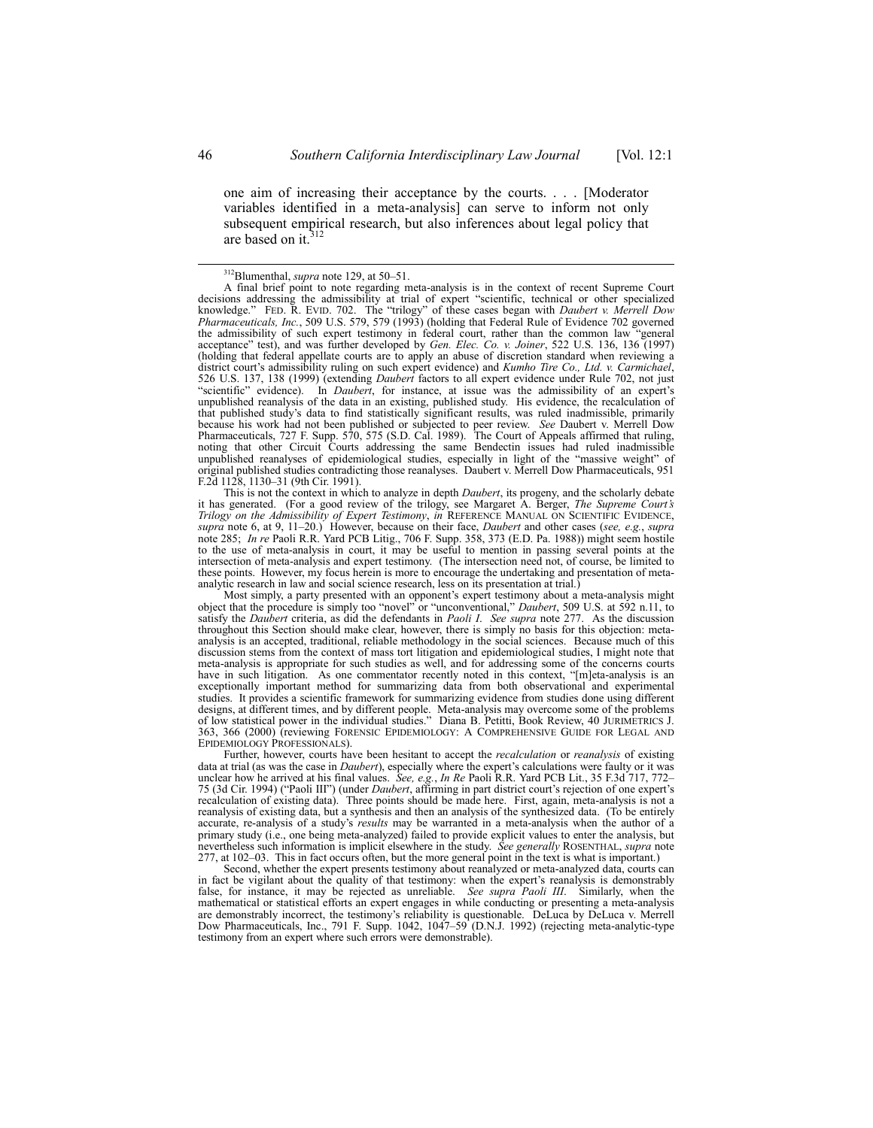one aim of increasing their acceptance by the courts. . . . [Moderator variables identified in a meta-analysis] can serve to inform not only subsequent empirical research, but also inferences about legal policy that are based on it.<sup>312</sup>

This is not the context in which to analyze in depth *Daubert*, its progeny, and the scholarly debate it has generated. (For a good review of the trilogy, see Margaret A. Berger, *The Supreme Courtís Trilogy on the Admissibility of Expert Testimony, in* REFERENCE MANUAL ON SCIENTIFIC EVIDENCE, *supra* note 6, at 9, 11–20.) However, because on their face, *Daubert* and other cases (*see, e.g., supra* note 285; *In re* Paoli R.R. Yard PCB Litig., 706 F. Supp. 358, 373 (E.D. Pa. 1988)) might seem hostile to the use of meta-analysis in court, it may be useful to mention in passing several points at the intersection of meta-analysis and expert testimony. (The intersection need not, of course, be limited to these points. However, my focus herein is more to encourage the undertaking and presentation of metaanalytic research in law and social science research, less on its presentation at trial.)

Most simply, a party presented with an opponent's expert testimony about a meta-analysis might object that the procedure is simply too "novel" or "unconventional," *Daubert*, 509 U.S. at 592 n.11, to satisfy the *Daubert* criteria, as did the defendants in *Paoli I*. *See supra* note 277. As the discussion throughout this Section should make clear, however, there is simply no basis for this objection: metaanalysis is an accepted, traditional, reliable methodology in the social sciences. Because much of this discussion stems from the context of mass tort litigation and epidemiological studies, I might note that meta-analysis is appropriate for such studies as well, and for addressing some of the concerns courts have in such litigation. As one commentator recently noted in this context, "[m]eta-analysis is an exceptionally important method for summarizing data from both observational and experimental studies. It provides a scientific framework for summarizing evidence from studies done using different designs, at different times, and by different people. Meta-analysis may overcome some of the problems of low statistical power in the individual studies.î Diana B. Petitti, Book Review, 40 JURIMETRICS J. 363, 366 (2000) (reviewing FORENSIC EPIDEMIOLOGY: A COMPREHENSIVE GUIDE FOR LEGAL AND EPIDEMIOLOGY PROFESSIONALS).

Further, however, courts have been hesitant to accept the *recalculation* or *reanalysis* of existing data at trial (as was the case in *Daubert*), especially where the expert's calculations were faulty or it was unclear how he arrived at his final values. *See, e.g., In Re* Paoli R.R. Yard PCB Lit., 35 F.3d 717, 772–<br>75 (3d Cir. 1994) ("Paoli III") (under *Daubert*, affirming in part district court's rejection of one expert's recalculation of existing data). Three points should be made here. First, again, meta-analysis is not a reanalysis of existing data, but a synthesis and then an analysis of the synthesized data. (To be entirely accurate, re-analysis of a studyís *results* may be warranted in a meta-analysis when the author of a primary study (i.e., one being meta-analyzed) failed to provide explicit values to enter the analysis, but nevertheless such information is implicit elsewhere in the study. *See generally* ROSENTHAL, *supra* note  $277$ , at  $102-03$ . This in fact occurs often, but the more general point in the text is what is important.)

Second, whether the expert presents testimony about reanalyzed or meta-analyzed data, courts can in fact be vigilant about the quality of that testimony: when the expert's reanalysis is demonstrably false, for instance, it may be rejected as unreliable. *See supra Paoli III*. Similarly, when the mathematical or statistical efforts an expert engages in while conducting or presenting a meta-analysis are demonstrably incorrect, the testimony's reliability is questionable. DeLuca by DeLuca v. Merrell<br>Dow Pharmaceuticals, Inc., 791 F. Supp. 1042, 1047–59 (D.N.J. 1992) (rejecting meta-analytic-type testimony from an expert where such errors were demonstrable).

<sup>&</sup>lt;sup>312</sup>Blumenthal, *supra* note 129, at 50-51.

A final brief point to note regarding meta-analysis is in the context of recent Supreme Court decisions addressing the admissibility at trial of expert "scientific, technical or other specialized<br>knowledge." FED. R. EVID. 702. The "trilogy" of these cases began with *Daubert v. Merrell Dow Pharmaceuticals, Inc.*, 509 U.S. 579, 579 (1993) (holding that Federal Rule of Evidence 702 governed the admissibility of such expert testimony in federal court, rather than the common law "general acceptanceî test), and was further developed by *Gen. Elec. Co. v. Joiner*, 522 U.S. 136, 136 (1997) (holding that federal appellate courts are to apply an abuse of discretion standard when reviewing a district courtís admissibility ruling on such expert evidence) and *Kumho Tire Co., Ltd. v. Carmichael*, 526 U.S. 137, 138 (1999) (extending *Daubert* factors to all expert evidence under Rule 702, not just "scientific" evidence). In *Daubert*, for instance, at issue was the admissibility of an expert's unpublished reanalysis of the data in an existing, published study. His evidence, the recalculation of that published studyís data to find statistically significant results, was ruled inadmissible, primarily because his work had not been published or subjected to peer review. *See* Daubert v. Merrell Dow Pharmaceuticals, 727 F. Supp. 570, 575 (S.D. Cal. 1989). The Court of Appeals affirmed that ruling, noting that other Circuit Courts addressing the same Bendectin issues had ruled inadmissible unpublished reanalyses of epidemiological studies, especially in light of the "massive weight" of original published studies contradicting those reanalyses. Daubert v. Merrell Dow Pharmaceuticals, 951 F.2d 1128, 1130-31 (9th Cir. 1991).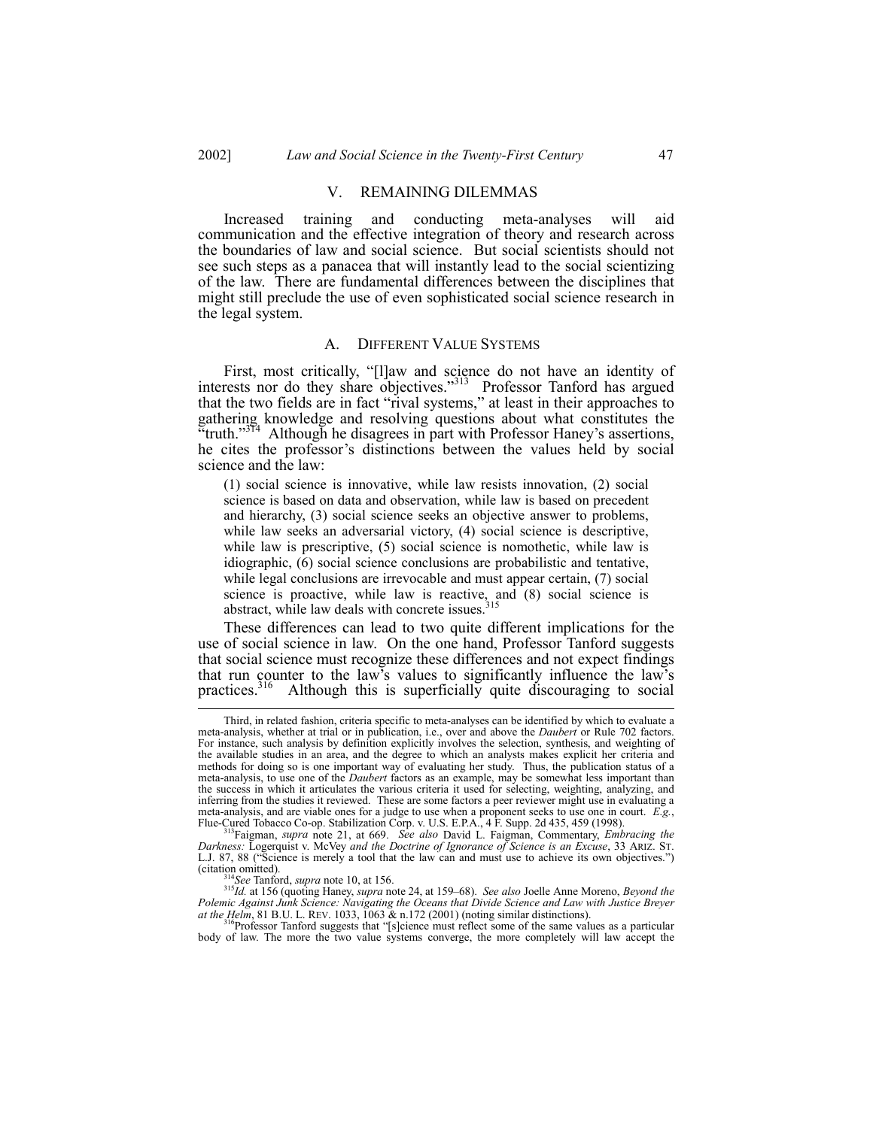#### V. REMAINING DILEMMAS

Increased training and conducting meta-analyses will aid communication and the effective integration of theory and research across the boundaries of law and social science. But social scientists should not see such steps as a panacea that will instantly lead to the social scientizing of the law. There are fundamental differences between the disciplines that might still preclude the use of even sophisticated social science research in the legal system.

#### A. DIFFERENT VALUE SYSTEMS

First, most critically, "[I]aw and science do not have an identity of interests nor do they share objectives."<sup>313</sup> Professor Tanford has argued that the two fields are in fact "rival systems," at least in their approaches to gathering knowledge and resolving questions about what constitutes the  $\frac{a}{1}$ truth.<sup>3374</sup> Although he disagrees in part with Professor Haney's assertions, he cites the professor's distinctions between the values held by social science and the law:

(1) social science is innovative, while law resists innovation, (2) social science is based on data and observation, while law is based on precedent and hierarchy, (3) social science seeks an objective answer to problems, while law seeks an adversarial victory, (4) social science is descriptive, while law is prescriptive, (5) social science is nomothetic, while law is idiographic, (6) social science conclusions are probabilistic and tentative, while legal conclusions are irrevocable and must appear certain, (7) social science is proactive, while law is reactive, and (8) social science is abstract, while law deals with concrete issues.<sup>315</sup>

These differences can lead to two quite different implications for the use of social science in law. On the one hand, Professor Tanford suggests that social science must recognize these differences and not expect findings that run counter to the law<sup>7</sup>s values to significantly influence the law<sup>7</sup>s practices.<sup>316</sup> Although this is superficially quite discouraging to social Although this is superficially quite discouraging to social

Third, in related fashion, criteria specific to meta-analyses can be identified by which to evaluate a meta-analysis, whether at trial or in publication, i.e., over and above the *Daubert* or Rule 702 factors. For instance, such analysis by definition explicitly involves the selection, synthesis, and weighting of the available studies in an area, and the degree to which an analysts makes explicit her criteria and methods for doing so is one important way of evaluating her study. Thus, the publication status of a meta-analysis, to use one of the *Daubert* factors as an example, may be somewhat less important than the success in which it articulates the various criteria it used for selecting, weighting, analyzing, and inferring from the studies it reviewed. These are some factors a peer reviewer might use in evaluating a meta-analysis, and are viable ones for a judge to use when a proponent seeks to use one in court. E.g., Flue-Cured Tobacco Co-op. Stabilization Corp. v. U.S. E.P.A., 4 F. Supp. 2d 435, 459 (1998).<br><sup>313</sup>Faigman, *supra* not

*L.J.* 87, 88 ("Science is merely a tool that the law can and must use to achieve its own objectives.") (citation omitted).

<sup>&</sup>lt;sup>314</sup>See Tanford, *supra* note 10, at 156. 315*Id.* at 159–68). *See also* Joelle Anne Moreno, *Beyond the* 31<sup>5</sup>*Id.* at 156 (quoting Haney, *supra* note 24, at 159–68). *See also* Joelle Anne Moreno, *Beyond the Polemic Against Junk Science: Navigating the Oceans that Divide Science and Law with Justice Breyer at the Helm*, 81 B.U. L. REV. 1033, 1063 & n.172 (2001) (noting similar distinctions). 31<sup>6</sup>Professor Tanford suggests that <sup>"</sup>[s]cience must reflect some of the same values as a particular

body of law. The more the two value systems converge, the more completely will law accept the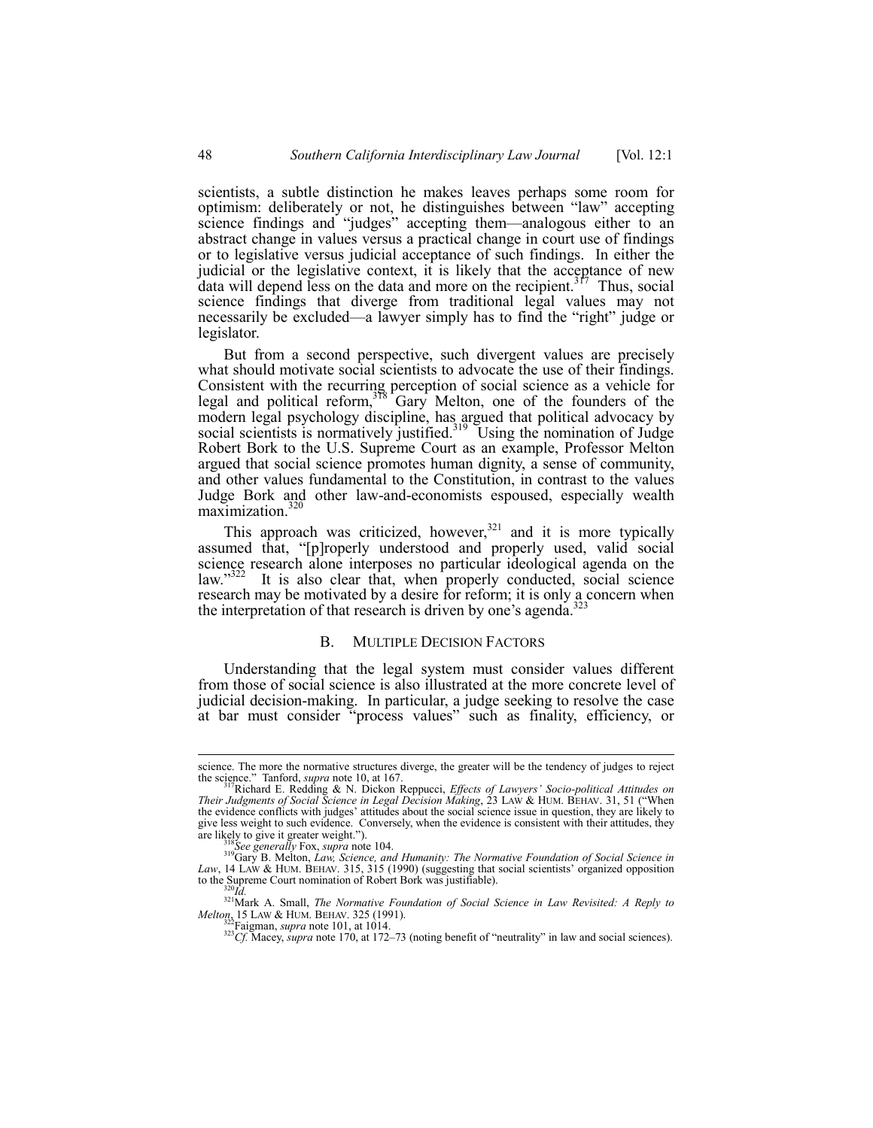scientists, a subtle distinction he makes leaves perhaps some room for optimism: deliberately or not, he distinguishes between "law" accepting science findings and "judges" accepting them—analogous either to an abstract change in values versus a practical change in court use of findings or to legislative versus judicial acceptance of such findings. In either the judicial or the legislative context, it is likely that the acceptance of new data will depend less on the data and more on the recipient.<sup>317</sup> Thus, social science findings that diverge from traditional legal values may not necessarily be excluded—a lawyer simply has to find the "right" judge or legislator.

But from a second perspective, such divergent values are precisely what should motivate social scientists to advocate the use of their findings. Consistent with the recurring perception of social science as a vehicle for legal and political reform,<sup>318</sup> Gary Melton, one of the founders of the modern legal psychology discipline, has argued that political advocacy by social scientists is normatively justified.<sup>319</sup> Using the nomination of Judge Robert Bork to the U.S. Supreme Court as an example, Professor Melton argued that social science promotes human dignity, a sense of community, and other values fundamental to the Constitution, in contrast to the values Judge Bork and other law-and-economists espoused, especially wealth maximization.<sup>320</sup>

This approach was criticized, however, $321$  and it is more typically assumed that, "[p]roperly understood and properly used, valid social science research alone interposes no particular ideological agenda on the law. $1322$  It is also clear that, when properly conducted, social science research may be motivated by a desire for reform; it is only a concern when the interpretation of that research is driven by one's agenda.<sup>3</sup>

### B. MULTIPLE DECISION FACTORS

Understanding that the legal system must consider values different from those of social science is also illustrated at the more concrete level of judicial decision-making. In particular, a judge seeking to resolve the case at bar must consider "process values" such as finality, efficiency, or

*Melton, supra* note 170, at 172–73 (noting benefit of "neutrality" in law and social sciences).

science. The more the normative structures diverge, the greater will be the tendency of judges to reject the science.<sup>3</sup> Tanford, *supra* note 10, at 167.  $\frac{1}{2}$  at 167.  $\frac{1}{2}$  at 167.  $\frac{1}{2}$  at 167.  $\frac{1}{2}$  at 167.  $\frac{1}{2}$  at 167.  $\frac{1}{2}$  at 167.  $\frac{1}{2}$  at 167.

*Their Judgments of Social Science in Legal Decision Making*, 23 LAW & HUM. BEHAV. 31, 51 ("When the evidence conflicts with judges' attitudes about the social science issue in question, they are likely to give less weight to such evidence. Conversely, when the evidence is consistent with their attitudes, they are likely to give it greater weight.<sup>*"*</sup>).<br><sup>318</sup>See generally Fox, *supra* note 104.<br><sup>319</sup>Gary B. Melton, *Law, Science, and Humanity: The Normative Foundation of Social Science in* 

Law, 14 LAW & HUM. BEHAV. 315, 315 (1990) (suggesting that social scientists' organized opposition

to the Supreme Court nomination of Robert Bork was justifiable).<br><sup>320</sup>*Id.* <sup>321</sup>Mark A. Small, *The Normative Foundation of Social Science in Law Revisited: A Reply to Melton*, 15 LAW & HUM. BEHAV. 325 (1991).<br><sup>322</sup>Faigma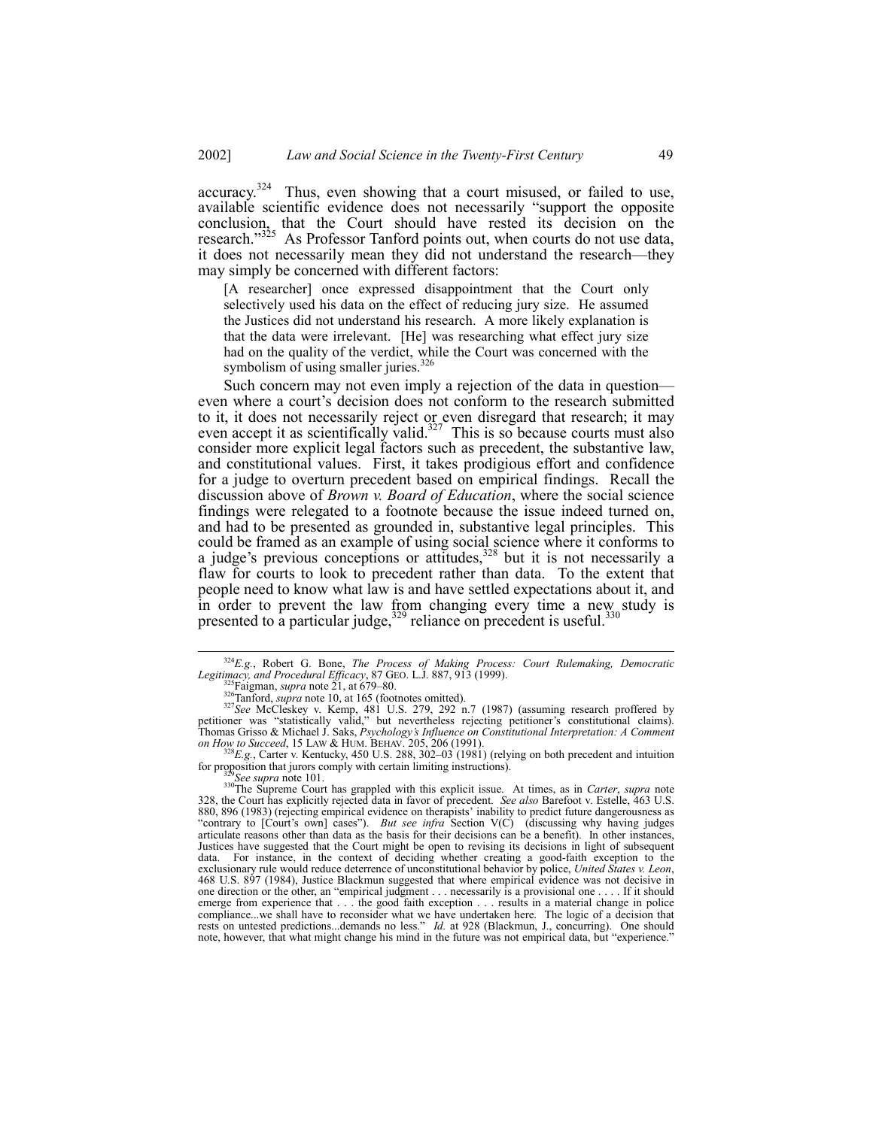$\alpha$  accuracy.<sup>324</sup> Thus, even showing that a court misused, or failed to use, available scientific evidence does not necessarily "support the opposite conclusion, that the Court should have rested its decision on the research.<sup>3325</sup> As Professor Tanford points out, when courts do not use data, it does not necessarily mean they did not understand the research—they may simply be concerned with different factors:

[A researcher] once expressed disappointment that the Court only selectively used his data on the effect of reducing jury size. He assumed the Justices did not understand his research. A more likely explanation is that the data were irrelevant. [He] was researching what effect jury size had on the quality of the verdict, while the Court was concerned with the symbolism of using smaller juries.<sup>326</sup>

Such concern may not even imply a rejection of the data in question even where a court's decision does not conform to the research submitted to it, it does not necessarily reject or even disregard that research; it may even accept it as scientifically valid.<sup>327</sup> This is so because courts must also consider more explicit legal factors such as precedent, the substantive law, and constitutional values. First, it takes prodigious effort and confidence for a judge to overturn precedent based on empirical findings. Recall the discussion above of *Brown v. Board of Education*, where the social science findings were relegated to a footnote because the issue indeed turned on, and had to be presented as grounded in, substantive legal principles. This could be framed as an example of using social science where it conforms to a judge's previous conceptions or attitudes,  $328$  but it is not necessarily a flaw for courts to look to precedent rather than data. To the extent that people need to know what law is and have settled expectations about it, and in order to prevent the law from changing every time a new study is presented to a particular judge, $329$  reliance on precedent is useful.<sup>33</sup>

*on How to Succeed*, 15 LAW & HUM. BEHAV. 205, 206 (1991). 328*E.g.*, Carter v. Kentucky, 450 U.S. 288, 302–03 (1981) (relying on both precedent and intuition for proposition that jurors comply with certain limiting instru

<sup>&</sup>lt;sup>324</sup>*E.g.*, Robert G. Bone, *The Process of Making Process: Court Rulemaking, Democratic Legitimacy, and Procedural Efficacy, 87 GEO. L.J. 887, 913 (1999).*<br><sup>325</sup>Faigman, *supra* note 21, at 679–80.

Legitimacy, and Procedural Efficacy, 87 GEO. L.J. 887, 913 (1999).<br>
<sup>325</sup>Faigman, *supra* note 21, at 679–80.<br>
<sup>326</sup>Tainford, *supra* note 10, at 165 (footnotes omitted).<br>
<sup>327</sup>See McCleskey v. Kemp, 481 U.S. 279, 292 n.7 Thomas Grisso & Michael J. Saks, *Psychologyís Influence on Constitutional Interpretation: A Comment*

<sup>&</sup>lt;sup>529</sup>See *supra* note 101.<br><sup>330</sup>The Supreme Court has grappled with this explicit issue. At times, as in *Carter*, *supra* note 328, the Court has explicitly rejected data in favor of precedent. *See also* Barefoot v. Estelle, 463 U.S. 880, 896 (1983) (rejecting empirical evidence on therapistsí inability to predict future dangerousness as "contrary to [Court's own] cases"). *But see infra* Section V(C) (discussing why having judges articulate reasons other than data as the basis for their decisions can be a benefit). In other instances, Justices have suggested that the Court might be open to revising its decisions in light of subsequent data. For instance, in the context of deciding whether creating a good-faith exception to the exclusionary rule would reduce deterrence of unconstitutional behavior by police, *United States v. Leon*, 468 U.S. 897 (1984), Justice Blackmun suggested that where empirical evidence was not decisive in one direction or the other, an "empirical judgment . . . necessarily is a provisional one . . . . If it should emerge from experience that . . . the good faith exception . . . results in a material change in police compliance...we shall have to reconsider what we have undertaken here. The logic of a decision that rests on untested predictions...demands no less." *Id.* at 928 (Blackmun, J., concurring). One should note, however, that what might change his mind in the future was not empirical data, but "experience."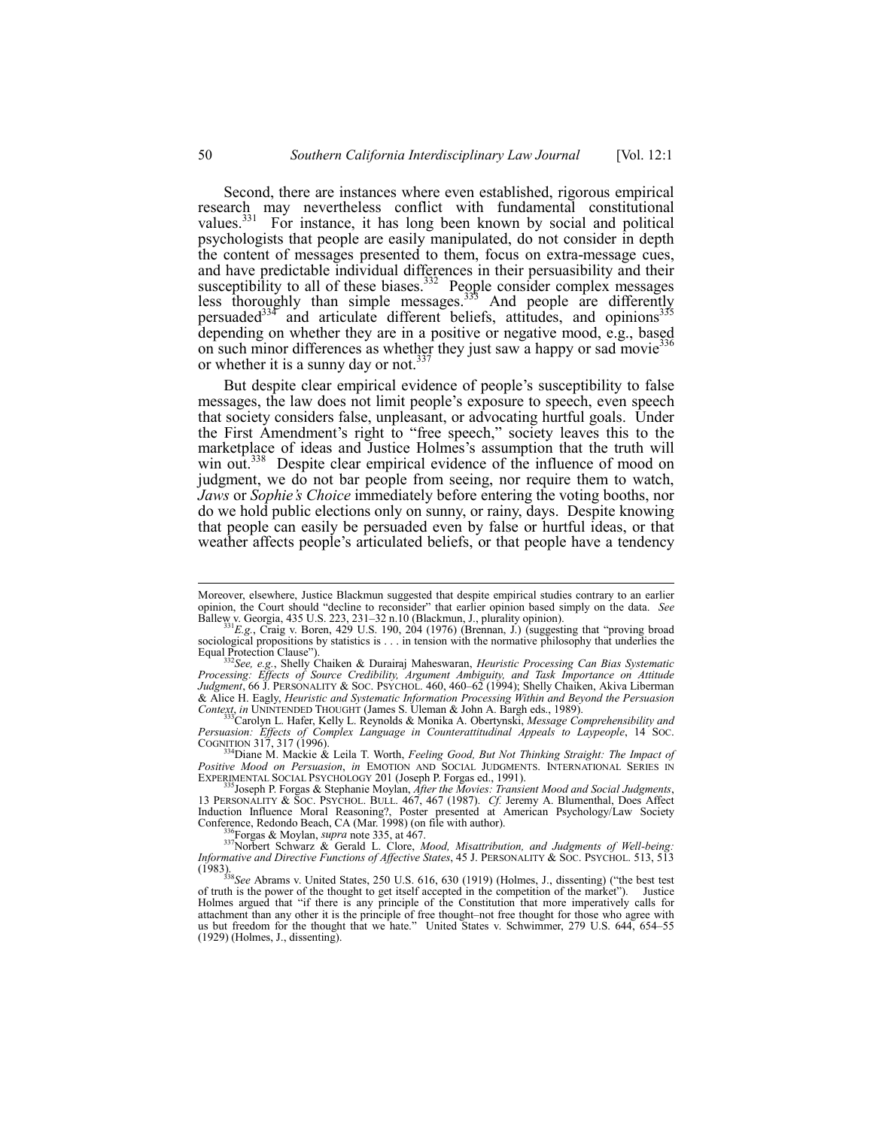Second, there are instances where even established, rigorous empirical research may nevertheless conflict with fundamental constitutional values.<sup>331</sup> For instance, it has long been known by social and political psychologists that people are easily manipulated, do not consider in depth the content of messages presented to them, focus on extra-message cues, and have predictable individual differences in their persuasibility and their susceptibility to all of these biases. $332$  People consider complex messages less thoroughly than simple messages.<sup>335</sup> And people are differently persuaded $334^{\circ}$  and articulate different beliefs, attitudes, and opinions<sup>33</sup> depending on whether they are in a positive or negative mood, e.g., based on such minor differences as whether they just saw a happy or sad movie<sup>3</sup> or whether it is a sunny day or not.<sup>33</sup>

But despite clear empirical evidence of people's susceptibility to false messages, the law does not limit people's exposure to speech, even speech that society considers false, unpleasant, or advocating hurtful goals. Under the First Amendment's right to "free speech," society leaves this to the marketplace of ideas and Justice Holmes's assumption that the truth will win out.<sup>338</sup> Despite clear empirical evidence of the influence of mood on judgment, we do not bar people from seeing, nor require them to watch, *Jaws* or *Sophie's Choice* immediately before entering the voting booths, nor do we hold public elections only on sunny, or rainy, days. Despite knowing that people can easily be persuaded even by false or hurtful ideas, or that weather affects people's articulated beliefs, or that people have a tendency

*Persuasion: Effects of Complex Language in Counterattitudinal Appeals to Laypeople*, 14 SOC. COGNITION 317, 317 (1996).

<sup>34</sup>Diane M. Mackie & Leila T. Worth, *Feeling Good, But Not Thinking Straight: The Impact of Positive Mood on Persuasion*, *in* EMOTION AND SOCIAL JUDGMENTS. INTERNATIONAL SERIES IN EXPERIMENTAL SOCIAL PSYCHOLOGY 201 (Joseph P. Forgas ed., 1991).<br><sup>335</sup>Joseph P. Forgas & Stephanie Moylan, *After the Movies: Transient Mood and Social Judgments*,

13 PERSONALITY & SOC. PSYCHOL. BULL. 467, 467 (1987). Cf. Jeremy A. Blumenthal, Does Affect Induction Influence Moral Reasoning?, Poster presented at American Psychology/Law Society Conference, Redondo Beach, CA (Mar. 1998

<sup>336</sup>Forgas & Moylan, *supra* note 335, at 467.<br><sup>337</sup>Norbert Schwarz & Gerald L. Clore, *Mood, Misattribution, and Judgments of Well-being: Informative and Directive Functions of Affective States*, 45 J. PERSONALITY & SOC. PSYCHOL. 513, 513

(1983).<br><sup>338</sup>*See* Abrams v. United States, 250 U.S. 616, 630 (1919) (Holmes, J., dissenting) ("the best test<br>of truth is the power of the thought to get itself accepted in the competition of the market"). Justice Holmes argued that "if there is any principle of the Constitution that more imperatively calls for attachment than any other it is the principle of free thought–not free thought for those who agree with us but freedom for the thought that we hate." United States v. Schwimmer, 279 U.S. 644, 654–55 (1929) (Holmes, J., dissenting).

Moreover, elsewhere, Justice Blackmun suggested that despite empirical studies contrary to an earlier opinion, the Court should "decline to reconsider" that earlier opinion based simply on the data. See<br>Ballew v. Georgia, 435 U.S. 223, 231–32 n.10 (Blackmun, J., plurality opinion).<br><sup>331</sup>E.g., Craig v. Boren, 429 U.S. 190,

sociological propositions by statistics is . . . in tension with the normative philosophy that underlies the

Equal Protection Clauseî). <sup>332</sup>*See, e.g.*, Shelly Chaiken & Durairaj Maheswaran, *Heuristic Processing Can Bias Systematic* Processing: *Effects of Source Credibility, Argument Ambiguity, and Task Importance on Attitude*<br>Judgment, 66 J. PERSONALITY & SOC. PSYCHOL. 460, 460–62 (1994); Shelly Chaiken, Akiva Liberman & Alice H. Eagly, *Heuristic and Systematic Information Processing Within and Beyond the Persuasion Context*, *in* UNINTENDED THOUGHT (James S. Uleman & John A. Bargh eds., 1989). 333Carolyn L. Hafer, Kelly L. Reynolds & Monika A. Obertynski, *Message Comprehensibility and*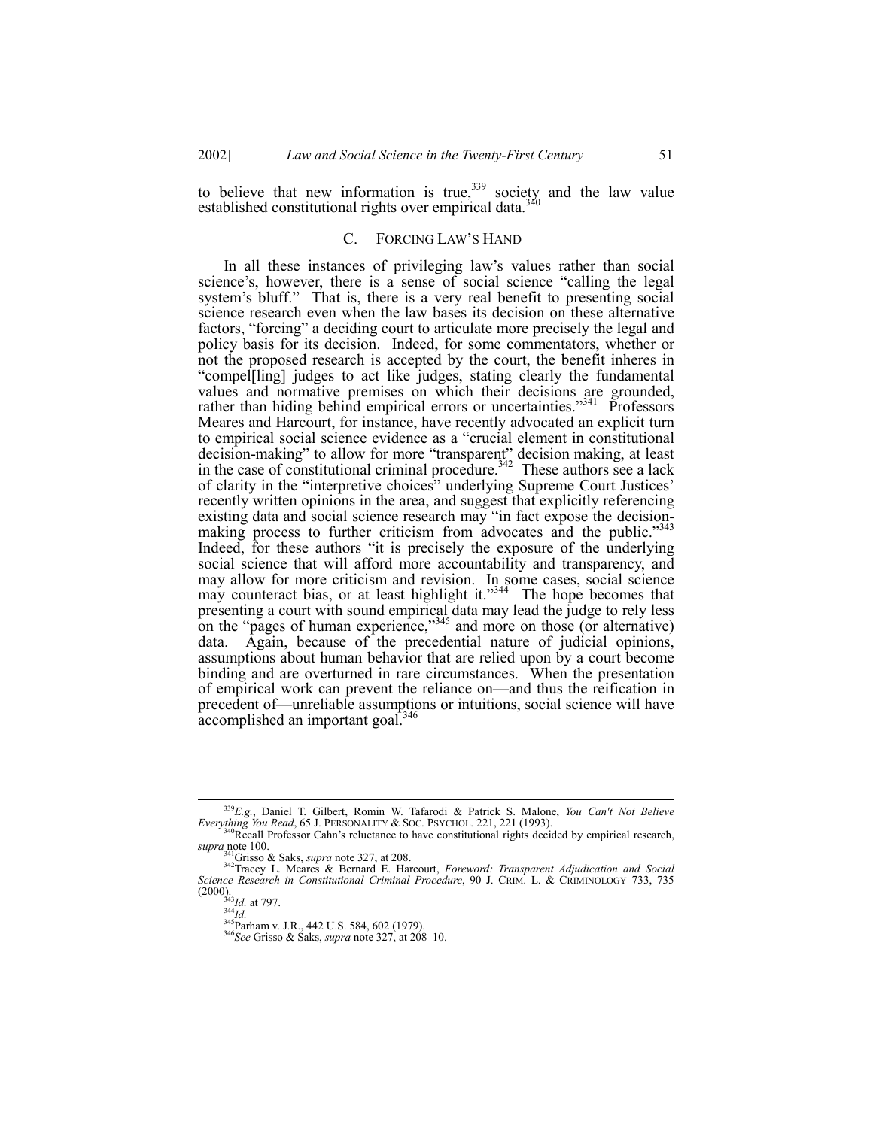to believe that new information is true,  $339$  society and the law value established constitutional rights over empirical data.<sup>3</sup>

## C. FORCING LAW'S HAND

In all these instances of privileging law's values rather than social science's, however, there is a sense of social science "calling the legal system's bluff." That is, there is a very real benefit to presenting social science research even when the law bases its decision on these alternative factors, "forcing" a deciding court to articulate more precisely the legal and policy basis for its decision. Indeed, for some commentators, whether or not the proposed research is accepted by the court, the benefit inheres in ìcompel[ling] judges to act like judges, stating clearly the fundamental values and normative premises on which their decisions are grounded, rather than hiding behind empirical errors or uncertainties.<sup>3341</sup> Professors Meares and Harcourt, for instance, have recently advocated an explicit turn to empirical social science evidence as a "crucial element in constitutional decision-making" to allow for more "transparent" decision making, at least in the case of constitutional criminal procedure.<sup>342</sup> These authors see a lack of clarity in the "interpretive choices" underlying Supreme Court Justices' recently written opinions in the area, and suggest that explicitly referencing existing data and social science research may "in fact expose the decisionmaking process to further criticism from advocates and the public.<sup>7343</sup> Indeed, for these authors "it is precisely the exposure of the underlying social science that will afford more accountability and transparency, and may allow for more criticism and revision. In some cases, social science may counteract bias, or at least highlight it.<sup> $344$ </sup> The hope becomes that presenting a court with sound empirical data may lead the judge to rely less on the "pages of human experience," $345$  and more on those (or alternative) data. Again, because of the precedential nature of judicial opinions, assumptions about human behavior that are relied upon by a court become binding and are overturned in rare circumstances. When the presentation of empirical work can prevent the reliance on—and thus the reification in precedent of—unreliable assumptions or intuitions, social science will have accomplished an important goal.<sup>346</sup>

 <sup>339</sup>*E.g.*, Daniel T. Gilbert, Romin W. Tafarodi & Patrick S. Malone, *You Can't Not Believe Everything You Read*, 65 J. PERSONALITY & SOC. PSYCHOL. 221, 221 (1993). *340* Recall Professor Cahn<sup>3</sup> reluctance to have constitutional rights decided by empirical research,

*supra* note 100.<br><sup>341</sup>Grisso & Saks, *supra* note 327, at 208.

<sup>341</sup>Grisso & Saks, *supra* note 327, at 208. 342Tracey L. Meares & Bernard E. Harcourt, *Foreword: Transparent Adjudication and Social Science Research in Constitutional Criminal Procedure*, 90 J. CRIM. L. & CRIMINOLOGY 733, 735 (2000).<br>(2000).<br><sup>34377</sup> at 707

<sup>&</sup>lt;sup>344</sup>*Id.* at 797.<br><sup>345</sup>Parham v. J.R., 442 U.S. 584, 602 (1979).<br><sup>346</sup>*See* Grisso & Saks, *supra* note 327, at 208–10.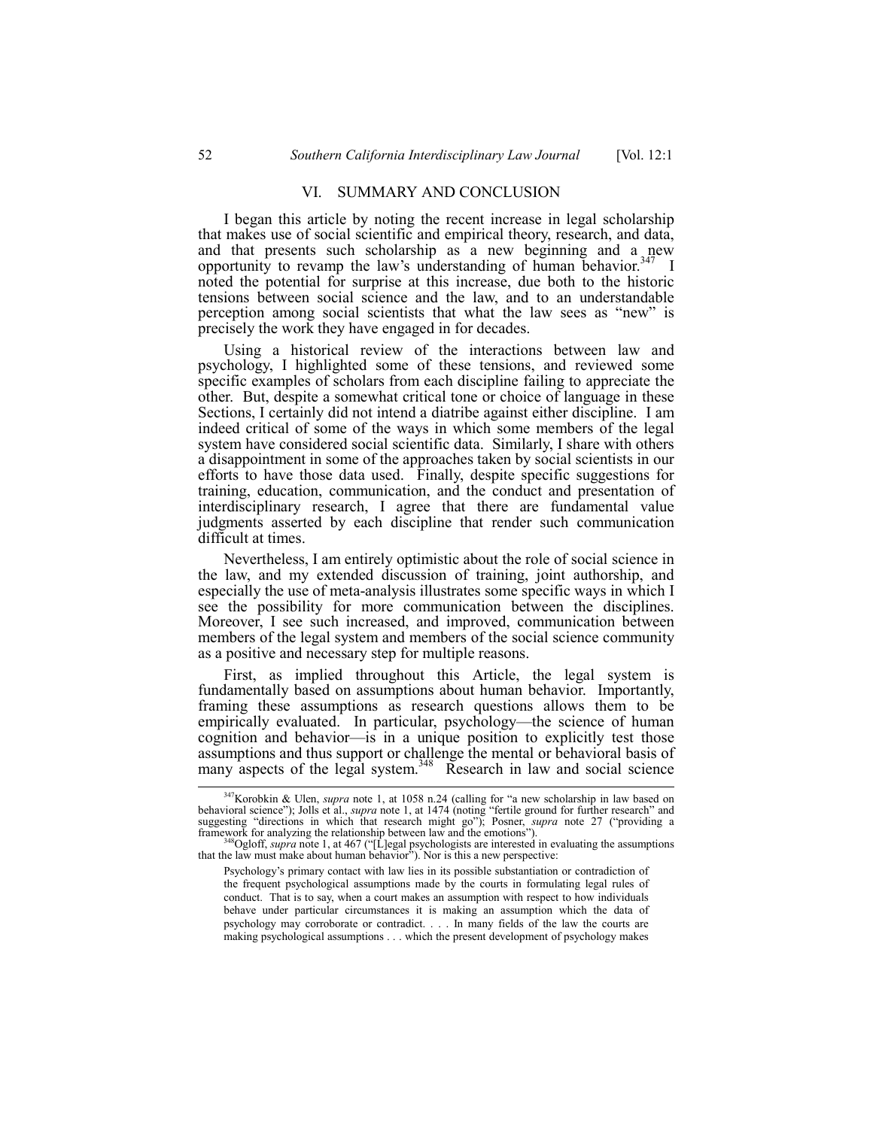#### VI. SUMMARY AND CONCLUSION

I began this article by noting the recent increase in legal scholarship that makes use of social scientific and empirical theory, research, and data, and that presents such scholarship as a new beginning and a new opportunity to revamp the law's understanding of human behavior.<sup> $347$ </sup> I noted the potential for surprise at this increase, due both to the historic tensions between social science and the law, and to an understandable perception among social scientists that what the law sees as "new" is precisely the work they have engaged in for decades.

Using a historical review of the interactions between law and psychology, I highlighted some of these tensions, and reviewed some specific examples of scholars from each discipline failing to appreciate the other. But, despite a somewhat critical tone or choice of language in these Sections, I certainly did not intend a diatribe against either discipline. I am indeed critical of some of the ways in which some members of the legal system have considered social scientific data. Similarly, I share with others a disappointment in some of the approaches taken by social scientists in our efforts to have those data used. Finally, despite specific suggestions for training, education, communication, and the conduct and presentation of interdisciplinary research, I agree that there are fundamental value judgments asserted by each discipline that render such communication difficult at times.

Nevertheless, I am entirely optimistic about the role of social science in the law, and my extended discussion of training, joint authorship, and especially the use of meta-analysis illustrates some specific ways in which I see the possibility for more communication between the disciplines. Moreover, I see such increased, and improved, communication between members of the legal system and members of the social science community as a positive and necessary step for multiple reasons.

First, as implied throughout this Article, the legal system is fundamentally based on assumptions about human behavior. Importantly, framing these assumptions as research questions allows them to be empirically evaluated. In particular, psychology—the science of human cognition and behavior—is in a unique position to explicitly test those assumptions and thus support or challenge the mental or behavioral basis of many aspects of the legal system.<sup>348</sup> Research in law and social science

 $347$ Korobkin & Ulen, *supra* note 1, at 1058 n.24 (calling for "a new scholarship in law based on behavioral science"); Jolls et al., *supra* note 1, at 1474 (noting "fertile ground for further research" and suggesting "directions in which that research might go"); Posner, *supra* note 27 ("providing a framework for analyzing the relationship between law and the emotions").<br><sup>348</sup>Ogloff, *supra* note 1, at 467 ("[L]egal psychologists are interested in evaluating the assumptions

<sup>&</sup>lt;sup>348</sup>Ogloff, *supra* note 1, at 467 ("[L]egal psychologists are interested in evaluating the assumptions that the law must make about human behavior"). Nor is this a new perspective:

Psychology's primary contact with law lies in its possible substantiation or contradiction of the frequent psychological assumptions made by the courts in formulating legal rules of conduct. That is to say, when a court makes an assumption with respect to how individuals behave under particular circumstances it is making an assumption which the data of psychology may corroborate or contradict. . . . In many fields of the law the courts are making psychological assumptions . . . which the present development of psychology makes